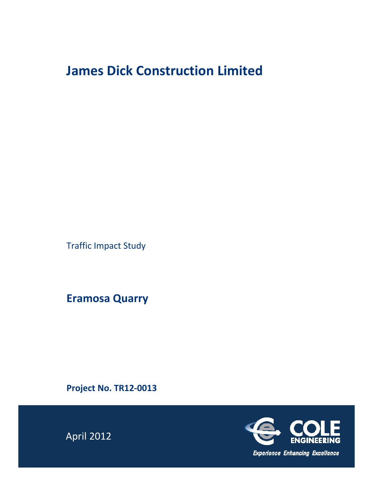# **James Dick Construction Limited**

Traffic Impact Study

**Eramosa Quarry**

**Project No. TR12‐0013**



April 2012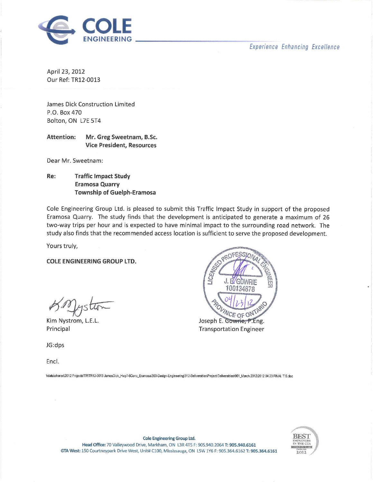



April 23, 2012 Our Ref: TR12-0013

James Dick Construction Limited P.O. Box 470 Bolton, ON L7E 5T4

**Attention:** Mr. Greg Sweetnam, B.Sc. **Vice President, Resources** 

Dear Mr. Sweetnam:

Re: **Traffic Impact Study Eramosa Quarry Township of Guelph-Eramosa** 

Cole Engineering Group Ltd. is pleased to submit this Traffic Impact Study in support of the proposed Eramosa Quarry. The study finds that the development is anticipated to generate a maximum of 26 two-way trips per hour and is expected to have minimal impact to the surrounding road network. The study also finds that the recommended access location is sufficient to serve the proposed development.

Yours truly,

**COLE ENGINEERING GROUP LTD.** 

Kim Nystrom, L.E.L. Principal

JG:dps

Encl.



\\data\shared\2012 Projects\TR\TR12-0013 JamesDick\_Hwy7-6Conc\_Eramosa\300-Design-Engineering\312-Deliverables\Project Deliverables\001\_March 2012\2012 04 23 FINAL TIS.doc



Cole Engineering Group Ltd.

Head Office: 70 Valleywood Drive, Markham, ON L3R 4T5 F: 905.940.2064 T: 905.940.6161 GTA West: 150 Courtneypark Drive West, Unit# C100, Mississauga, ON L5W 1Y6 F: 905.364.6162 T: 905.364.6161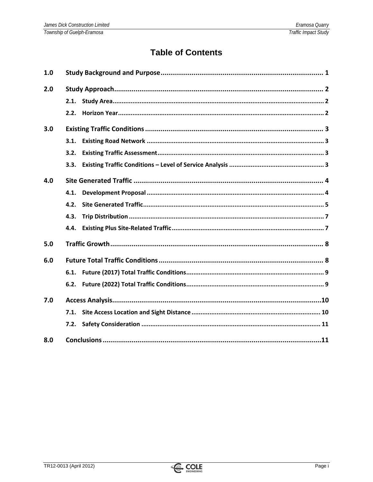### **Table of Contents**

| 1.0 |      |  |
|-----|------|--|
| 2.0 |      |  |
|     |      |  |
|     | 2.2. |  |
| 3.0 |      |  |
|     | 3.1. |  |
|     | 3.2. |  |
|     | 3.3. |  |
| 4.0 |      |  |
|     | 4.1. |  |
|     | 4.2. |  |
|     | 4.3. |  |
|     | 4.4. |  |
| 5.0 |      |  |
| 6.0 |      |  |
|     | 6.1. |  |
|     | 6.2. |  |
| 7.0 |      |  |
|     | 7.1. |  |
|     | 7.2. |  |
| 8.0 |      |  |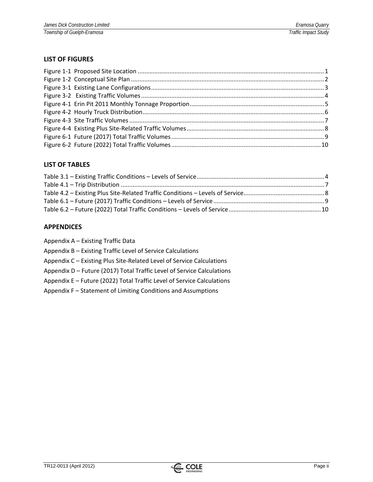#### **LIST OF FIGURES**

#### **LIST OF TABLES**

#### **APPENDICES**

Appendix A – Existing Traffic Data

Appendix B – Existing Traffic Level of Service Calculations

Appendix C – Existing Plus Site‐Related Level of Service Calculations

Appendix D – Future (2017) Total Traffic Level of Service Calculations

Appendix E – Future (2022) Total Traffic Level of Service Calculations

Appendix F – Statement of Limiting Conditions and Assumptions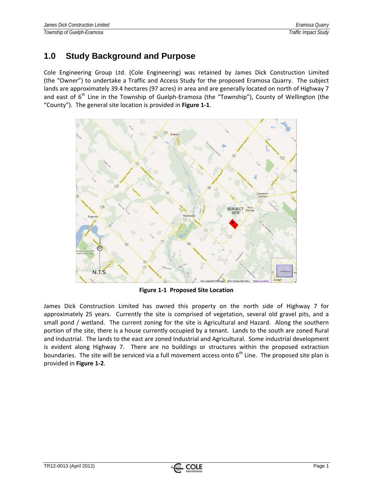### **1.0 Study Background and Purpose**

Cole Engineering Group Ltd. (Cole Engineering) was retained by James Dick Construction Limited (the "Owner") to undertake a Traffic and Access Study for the proposed Eramosa Quarry. The subject lands are approximately 39.4 hectares (97 acres) in area and are generally located on north of Highway 7 and east of  $6<sup>th</sup>$  Line in the Township of Guelph-Eramosa (the "Township"), County of Wellington (the "County"). The general site location is provided in **Figure 1‐1**.



**Figure 1‐1 Proposed Site Location**

James Dick Construction Limited has owned this property on the north side of Highway 7 for approximately 25 years. Currently the site is comprised of vegetation, several old gravel pits, and a small pond / wetland. The current zoning for the site is Agricultural and Hazard. Along the southern portion of the site, there is a house currently occupied by a tenant. Lands to the south are zoned Rural and Industrial. The lands to the east are zoned Industrial and Agricultural. Some industrial development is evident along Highway 7. There are no buildings or structures within the proposed extraction boundaries. The site will be serviced via a full movement access onto  $6<sup>th</sup>$  Line. The proposed site plan is provided in **Figure 1‐2**.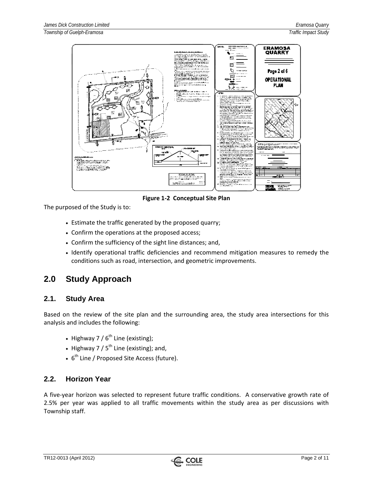

**Figure 1‐2 Conceptual Site Plan**

The purposed of the Study is to:

- Estimate the traffic generated by the proposed quarry;
- Confirm the operations at the proposed access;
- Confirm the sufficiency of the sight line distances; and,
- Identify operational traffic deficiencies and recommend mitigation measures to remedy the conditions such as road, intersection, and geometric improvements.

### **2.0 Study Approach**

#### **2.1. Study Area**

Based on the review of the site plan and the surrounding area, the study area intersections for this analysis and includes the following:

- Highway 7 /  $6<sup>th</sup>$  Line (existing);
- Highway 7 /  $5<sup>th</sup>$  Line (existing); and,
- $\cdot$  6<sup>th</sup> Line / Proposed Site Access (future).

#### **2.2. Horizon Year**

A five‐year horizon was selected to represent future traffic conditions. A conservative growth rate of 2.5% per year was applied to all traffic movements within the study area as per discussions with Township staff.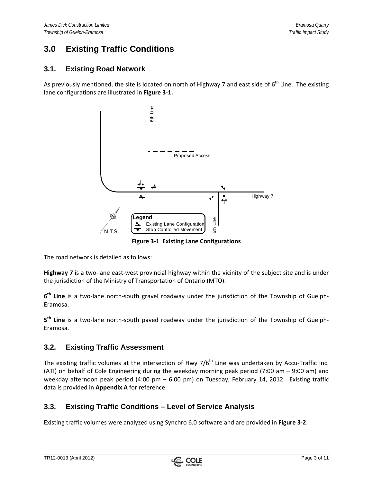### **3.0 Existing Traffic Conditions**

#### **3.1. Existing Road Network**

As previously mentioned, the site is located on north of Highway 7 and east side of  $6<sup>th</sup>$  Line. The existing lane configurations are illustrated in **Figure 3‐1.**



**Figure 3‐1 Existing Lane Configurations**

The road network is detailed as follows:

**Highway 7** is a two-lane east-west provincial highway within the vicinity of the subject site and is under the jurisdiction of the Ministry of Transportation of Ontario (MTO).

**6th Line** is a two‐lane north‐south gravel roadway under the jurisdiction of the Township of Guelph‐ Eramosa.

**5th Line** is a two‐lane north‐south paved roadway under the jurisdiction of the Township of Guelph‐ Eramosa.

#### **3.2. Existing Traffic Assessment**

The existing traffic volumes at the intersection of Hwy  $7/6<sup>th</sup>$  Line was undertaken by Accu-Traffic Inc. (ATI) on behalf of Cole Engineering during the weekday morning peak period (7:00 am – 9:00 am) and weekday afternoon peak period (4:00 pm – 6:00 pm) on Tuesday, February 14, 2012. Existing traffic data is provided in **Appendix A** for reference.

#### **3.3. Existing Traffic Conditions – Level of Service Analysis**

Existing traffic volumes were analyzed using Synchro 6.0 software and are provided in **Figure 3‐2**.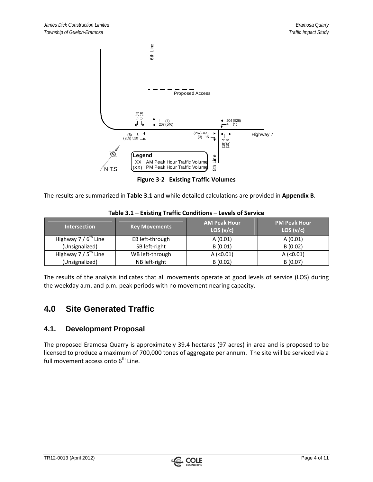

**Figure 3‐2 Existing Traffic Volumes**

The results are summarized in **Table 3.1** and while detailed calculations are provided in **Appendix B**.

| <b>Intersection</b>              | <b>Key Movements</b> | <b>AM Peak Hour</b><br>LOS (v/c) | <b>PM Peak Hour</b><br>LOS $(v/c)$ |
|----------------------------------|----------------------|----------------------------------|------------------------------------|
| Highway 7 / 6 <sup>th</sup> Line | EB left-through      | A(0.01)                          | A(0.01)                            |
| (Unsignalized)                   | SB left-right        | B(0.01)                          | B(0.02)                            |
| Highway 7 / $5^{th}$ Line        | WB left-through      | $A$ (<0.01)                      | A (< 0.01)                         |
| (Unsignalized)                   | NB left-right        | B(0.02)                          | B(0.07)                            |

**Table 3.1 – Existing Traffic Conditions – Levels of Service**

The results of the analysis indicates that all movements operate at good levels of service (LOS) during the weekday a.m. and p.m. peak periods with no movement nearing capacity.

### **4.0 Site Generated Traffic**

#### **4.1. Development Proposal**

The proposed Eramosa Quarry is approximately 39.4 hectares (97 acres) in area and is proposed to be licensed to produce a maximum of 700,000 tones of aggregate per annum. The site will be serviced via a full movement access onto  $6<sup>th</sup>$  Line.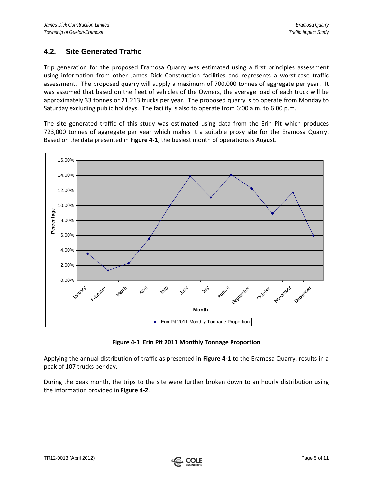#### **4.2. Site Generated Traffic**

Trip generation for the proposed Eramosa Quarry was estimated using a first principles assessment using information from other James Dick Construction facilities and represents a worst‐case traffic assessment. The proposed quarry will supply a maximum of 700,000 tonnes of aggregate per year. It was assumed that based on the fleet of vehicles of the Owners, the average load of each truck will be approximately 33 tonnes or 21,213 trucks per year. The proposed quarry is to operate from Monday to Saturday excluding public holidays. The facility is also to operate from 6:00 a.m. to 6:00 p.m.

The site generated traffic of this study was estimated using data from the Erin Pit which produces 723,000 tonnes of aggregate per year which makes it a suitable proxy site for the Eramosa Quarry. Based on the data presented in **Figure 4‐1**, the busiest month of operations is August.



#### **Figure 4‐1 Erin Pit 2011 Monthly Tonnage Proportion**

Applying the annual distribution of traffic as presented in **Figure 4‐1** to the Eramosa Quarry, results in a peak of 107 trucks per day.

During the peak month, the trips to the site were further broken down to an hourly distribution using the information provided in **Figure 4‐2**.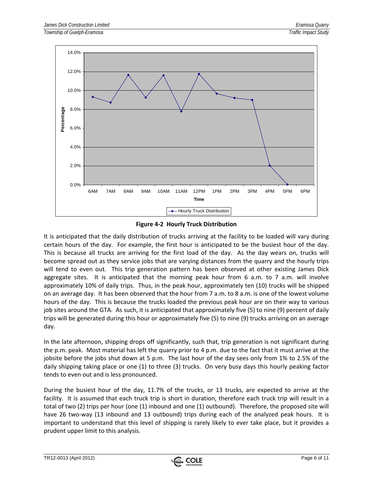

#### **Figure 4‐2 Hourly Truck Distribution**

It is anticipated that the daily distribution of trucks arriving at the facility to be loaded will vary during certain hours of the day. For example, the first hour is anticipated to be the busiest hour of the day. This is because all trucks are arriving for the first load of the day. As the day wears on, trucks will become spread out as they service jobs that are varying distances from the quarry and the hourly trips will tend to even out. This trip generation pattern has been observed at other existing James Dick aggregate sites. It is anticipated that the morning peak hour from 6 a.m. to 7 a.m. will involve approximately 10% of daily trips. Thus, in the peak hour, approximately ten (10) trucks will be shipped on an average day. It has been observed that the hour from 7 a.m. to 8 a.m. is one of the lowest volume hours of the day. This is because the trucks loaded the previous peak hour are on their way to various job sites around the GTA. As such, it is anticipated that approximately five (5) to nine (9) percent of daily trips will be generated during this hour or approximately five (5) to nine (9) trucks arriving on an average day.

In the late afternoon, shipping drops off significantly, such that, trip generation is not significant during the p.m. peak. Most material has left the quarry prior to 4 p.m. due to the fact that it must arrive at the jobsite before the jobs shut down at 5 p.m. The last hour of the day sees only from 1% to 2.5% of the daily shipping taking place or one (1) to three (3) trucks. On very busy days this hourly peaking factor tends to even out and is less pronounced.

During the busiest hour of the day, 11.7% of the trucks, or 13 trucks, are expected to arrive at the facility. It is assumed that each truck trip is short in duration, therefore each truck trip will result in a total of two (2) trips per hour (one (1) inbound and one (1) outbound). Therefore, the proposed site will have 26 two-way (13 inbound and 13 outbound) trips during each of the analyzed peak hours. It is important to understand that this level of shipping is rarely likely to ever take place, but it provides a prudent upper limit to this analysis.

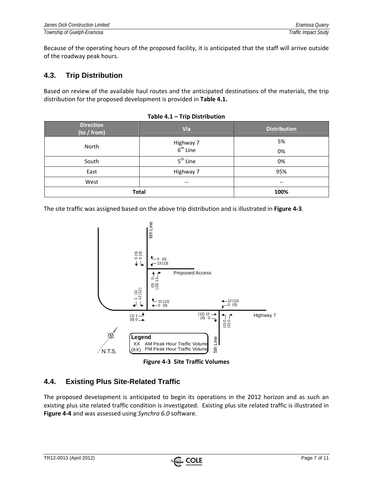Because of the operating hours of the proposed facility, it is anticipated that the staff will arrive outside of the roadway peak hours.

#### **4.3. Trip Distribution**

Based on review of the available haul routes and the anticipated destinations of the materials, the trip distribution for the proposed development is provided in **Table 4.1.**

| <b>Direction</b><br>(to / from) | <b>Distribution</b>               |     |  |  |  |
|---------------------------------|-----------------------------------|-----|--|--|--|
| North                           | Highway 7<br>$6^{\text{th}}$ Line | 5%  |  |  |  |
|                                 |                                   | 0%  |  |  |  |
| South                           | $5th$ Line                        | 0%  |  |  |  |
| East                            | Highway 7                         | 95% |  |  |  |
| West                            | $- -$                             | --  |  |  |  |
| <b>Total</b>                    | 100%                              |     |  |  |  |

**Table 4.1 – Trip Distribution**

The site traffic was assigned based on the above trip distribution and is illustrated in **Figure 4‐3**.



**Figure 4‐3 Site Traffic Volumes**

#### **4.4. Existing Plus Site-Related Traffic**

The proposed development is anticipated to begin its operations in the 2012 horizon and as such an existing plus site related traffic condition is investigated. Existing plus site related traffic is illustrated in **Figure 4‐4** and was assessed using *Synchro 6.0* software.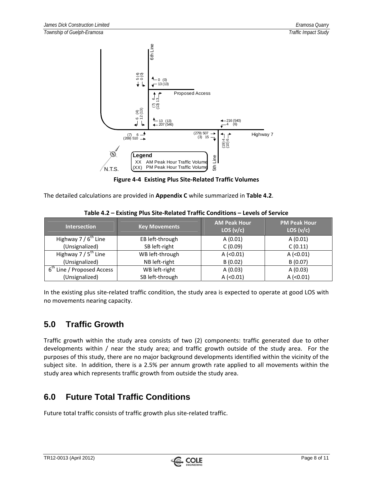

**Figure 4‐4 Existing Plus Site‐Related Traffic Volumes**

The detailed calculations are provided in **Appendix C** while summarized in **Table 4.2**.

| <b>Intersection</b>     | <b>Key Movements</b> | <b>AM Peak Hour</b><br>LOS $(v/c)$ | <b>PM Peak Hour</b><br>LOS (v/c) |
|-------------------------|----------------------|------------------------------------|----------------------------------|
| Highway $7/6th$ Line    | EB left-through      | A(0.01)                            | A(0.01)                          |
| (Unsignalized)          | SB left-right        | C(0.09)                            | C(0.11)                          |
| Highway $7/5^{th}$ Line | WB left-through      | $A$ (<0.01)                        | $A$ (<0.01)                      |
| (Unsignalized)          | NB left-right        | B(0.02)                            | B(0.07)                          |
| Line / Proposed Access  | WB left-right        | A(0.03)                            | A(0.03)                          |
| (Unsignalized)          | SB left-through      | $A$ (<0.01)                        | $A$ (<0.01)                      |

**Table 4.2 – Existing Plus Site‐Related Traffic Conditions – Levels of Service**

In the existing plus site-related traffic condition, the study area is expected to operate at good LOS with no movements nearing capacity.

### **5.0 Traffic Growth**

Traffic growth within the study area consists of two (2) components: traffic generated due to other developments within / near the study area; and traffic growth outside of the study area. For the purposes of this study, there are no major background developments identified within the vicinity of the subject site. In addition, there is a 2.5% per annum growth rate applied to all movements within the study area which represents traffic growth from outside the study area.

### **6.0 Future Total Traffic Conditions**

Future total traffic consists of traffic growth plus site‐related traffic.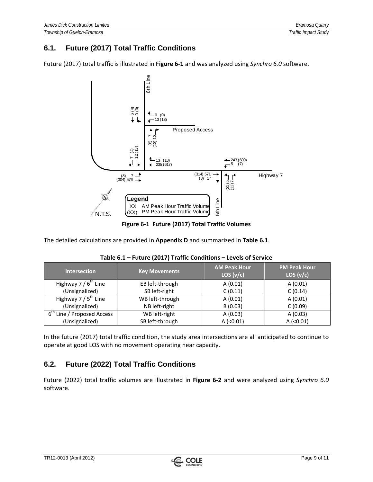#### **6.1. Future (2017) Total Traffic Conditions**

Future (2017) total traffic is illustrated in **Figure 6‐1** and was analyzed using *Synchro 6.0* software.



**Figure 6‐1 Future (2017) Total Traffic Volumes**

The detailed calculations are provided in **Appendix D** and summarized in **Table 6.1**.

| <b>Intersection</b>                    | <b>Key Movements</b> | <b>AM Peak Hour</b><br>LOS (v/c) | <b>PM Peak Hour</b><br>LOS $(v/c)$ |
|----------------------------------------|----------------------|----------------------------------|------------------------------------|
| Highway $7/6th$ Line                   | EB left-through      | A(0.01)                          | A(0.01)                            |
| (Unsignalized)                         | SB left-right        | C(0.11)                          | C(0.14)                            |
| Highway $7/5^{th}$ Line                | WB left-through      | A(0.01)                          | A(0.01)                            |
| (Unsignalized)                         | NB left-right        | B(0.03)                          | C(0.09)                            |
| 6 <sup>th</sup> Line / Proposed Access | WB left-right        | A(0.03)                          | A(0.03)                            |
| (Unsignalized)                         | SB left-through      | $A$ (<0.01)                      | $A$ (<0.01)                        |

|  | Table 6.1 - Future (2017) Traffic Conditions - Levels of Service |  |  |
|--|------------------------------------------------------------------|--|--|
|--|------------------------------------------------------------------|--|--|

In the future (2017) total traffic condition, the study area intersections are all anticipated to continue to operate at good LOS with no movement operating near capacity.

#### **6.2. Future (2022) Total Traffic Conditions**

Future (2022) total traffic volumes are illustrated in **Figure 6‐2** and were analyzed using *Synchro 6.0* software.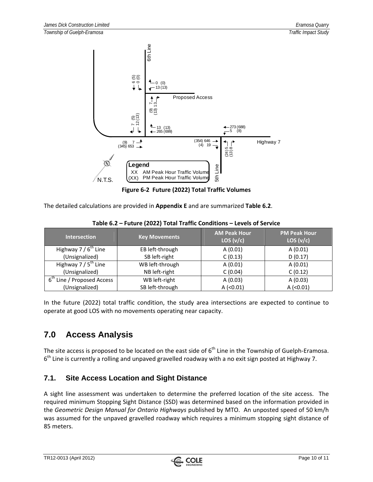

**Figure 6‐2 Future (2022) Total Traffic Volumes**

The detailed calculations are provided in **Appendix E** and are summarized **Table 6.2**.

| Table 6.2 – Future (2022) Total Traffic Conditions – Levels of Service |  |
|------------------------------------------------------------------------|--|
|                                                                        |  |

| <b>Intersection</b>                    | <b>Key Movements</b> | <b>AM Peak Hour</b><br>LOS (v/c) | <b>PM Peak Hour</b><br>LOS (v/c) |
|----------------------------------------|----------------------|----------------------------------|----------------------------------|
| Highway $7/6^{th}$ Line                | EB left-through      | A(0.01)                          | A(0.01)                          |
| (Unsignalized)                         | SB left-right        | C(0.13)                          | D(0.17)                          |
| Highway $7/5$ <sup>th</sup> Line       | WB left-through      | A(0.01)                          | A(0.01)                          |
| (Unsignalized)                         | NB left-right        | C(0.04)                          | C(0.12)                          |
| 6 <sup>th</sup> Line / Proposed Access | WB left-right        | A(0.03)                          | A(0.03)                          |
| (Unsignalized)                         | SB left-through      | $A$ (<0.01)                      | $A$ (<0.01)                      |

In the future (2022) total traffic condition, the study area intersections are expected to continue to operate at good LOS with no movements operating near capacity.

### **7.0 Access Analysis**

The site access is proposed to be located on the east side of  $6<sup>th</sup>$  Line in the Township of Guelph-Eramosa.  $6<sup>th</sup>$  Line is currently a rolling and unpaved gravelled roadway with a no exit sign posted at Highway 7.

#### **7.1. Site Access Location and Sight Distance**

A sight line assessment was undertaken to determine the preferred location of the site access. The required minimum Stopping Sight Distance (SSD) was determined based on the information provided in the *Geometric Design Manual for Ontario Highways* published by MTO. An unposted speed of 50 km/h was assumed for the unpaved gravelled roadway which requires a minimum stopping sight distance of 85 meters.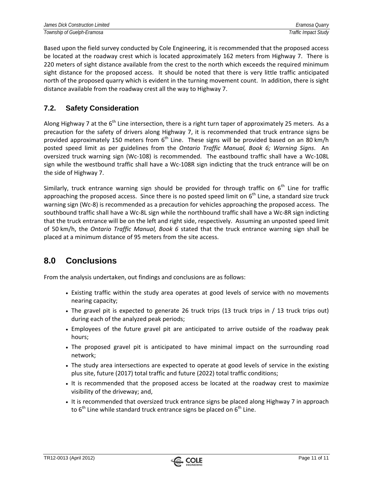Based upon the field survey conducted by Cole Engineering, it is recommended that the proposed access be located at the roadway crest which is located approximately 162 meters from Highway 7. There is 220 meters of sight distance available from the crest to the north which exceeds the required minimum sight distance for the proposed access. It should be noted that there is very little traffic anticipated north of the proposed quarry which is evident in the turning movement count. In addition, there is sight distance available from the roadway crest all the way to Highway 7.

#### **7.2. Safety Consideration**

Along Highway 7 at the  $6<sup>th</sup>$  Line intersection, there is a right turn taper of approximately 25 meters. As a precaution for the safety of drivers along Highway 7, it is recommended that truck entrance signs be provided approximately 150 meters from  $6<sup>th</sup>$  Line. These signs will be provided based on an 80 km/h posted speed limit as per guidelines from the *Ontario Traffic Manual, Book 6; Warning Signs*. An oversized truck warning sign (Wc‐108) is recommended. The eastbound traffic shall have a Wc‐108L sign while the westbound traffic shall have a Wc-108R sign indicting that the truck entrance will be on the side of Highway 7.

Similarly, truck entrance warning sign should be provided for through traffic on  $6<sup>th</sup>$  Line for traffic approaching the proposed access. Since there is no posted speed limit on  $6<sup>th</sup>$  Line, a standard size truck warning sign (Wc‐8) is recommended as a precaution for vehicles approaching the proposed access. The southbound traffic shall have a Wc‐8L sign while the northbound traffic shall have a Wc‐8R sign indicting that the truck entrance will be on the left and right side, respectively. Assuming an unposted speed limit of 50 km/h, the *Ontario Traffic Manual, Book 6* stated that the truck entrance warning sign shall be placed at a minimum distance of 95 meters from the site access.

### **8.0 Conclusions**

From the analysis undertaken, out findings and conclusions are as follows:

- Existing traffic within the study area operates at good levels of service with no movements nearing capacity;
- The gravel pit is expected to generate 26 truck trips (13 truck trips in / 13 truck trips out) during each of the analyzed peak periods;
- Employees of the future gravel pit are anticipated to arrive outside of the roadway peak hours;
- The proposed gravel pit is anticipated to have minimal impact on the surrounding road network;
- The study area intersections are expected to operate at good levels of service in the existing plus site, future (2017) total traffic and future (2022) total traffic conditions;
- It is recommended that the proposed access be located at the roadway crest to maximize visibility of the driveway; and,
- It is recommended that oversized truck entrance signs be placed along Highway 7 in approach to  $6<sup>th</sup>$  Line while standard truck entrance signs be placed on  $6<sup>th</sup>$  Line.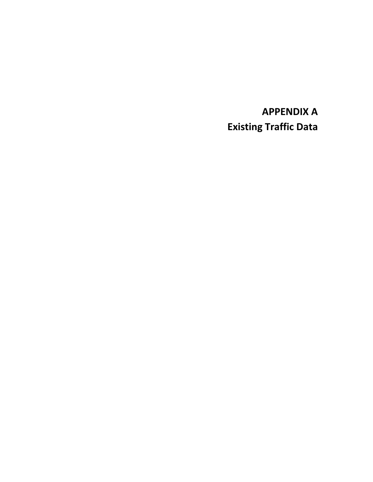**APPENDIX A Existing Traffic Data**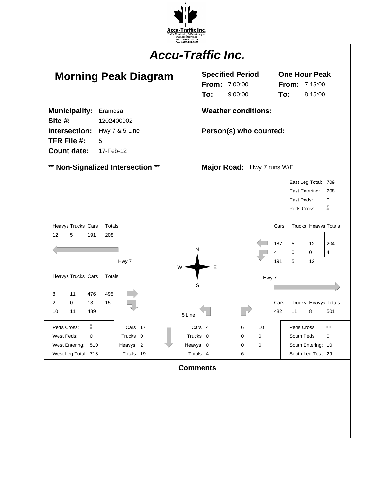

| <b>Accu-Traffic Inc.</b>                                                                                                                              |                                                                                                                                                                                       |  |  |  |  |  |  |  |  |
|-------------------------------------------------------------------------------------------------------------------------------------------------------|---------------------------------------------------------------------------------------------------------------------------------------------------------------------------------------|--|--|--|--|--|--|--|--|
| <b>Morning Peak Diagram</b>                                                                                                                           | <b>Specified Period</b><br><b>One Hour Peak</b><br><b>From: 7:00:00</b><br>From:<br>7:15:00<br>To:<br>9:00:00<br>To:<br>8:15:00                                                       |  |  |  |  |  |  |  |  |
| <b>Municipality:</b><br>Eramosa<br>Site #:<br>1202400002<br>Intersection:<br>Hwy 7 & 5 Line<br>TFR File #:<br>5<br><b>Count date:</b><br>17-Feb-12    | <b>Weather conditions:</b><br>Person(s) who counted:                                                                                                                                  |  |  |  |  |  |  |  |  |
| ** Non-Signalized Intersection **                                                                                                                     | Major Road: Hwy 7 runs W/E                                                                                                                                                            |  |  |  |  |  |  |  |  |
| East Leg Total:<br>709<br>East Entering:<br>208<br>East Peds:<br>0<br>Χ<br>Peds Cross:                                                                |                                                                                                                                                                                       |  |  |  |  |  |  |  |  |
| Heavys Trucks Cars<br>Totals<br>5<br>12<br>191<br>208                                                                                                 | Trucks Heavys Totals<br>Cars<br>187<br>5<br>12<br>204<br>N                                                                                                                            |  |  |  |  |  |  |  |  |
| Hwy 7                                                                                                                                                 | 4<br>4<br>0<br>0<br>191<br>5<br>12                                                                                                                                                    |  |  |  |  |  |  |  |  |
| W<br>Heavys Trucks Cars<br>Totals                                                                                                                     | E<br>Hwy 7                                                                                                                                                                            |  |  |  |  |  |  |  |  |
| 495<br>11<br>476<br>8<br>13<br>15<br>2<br>0<br>10<br>11<br>489<br>5 Line                                                                              | S<br>Trucks Heavys Totals<br>Cars<br>482<br>11<br>8<br>501                                                                                                                            |  |  |  |  |  |  |  |  |
| $\mathbb X$<br>Peds Cross:<br>Cars 17<br>Trucks 0<br>West Peds:<br>0<br>West Entering: 510<br>Heavys <sub>2</sub><br>West Leg Total: 718<br>Totals 19 | 10<br>Peds Cross:<br>Cars 4<br>6<br>$\bowtie$<br>Trucks 0<br>0<br>South Peds:<br>$\mathbf 0$<br>0<br>Heavys 0<br>0<br>South Entering: 10<br>0<br>Totals 4<br>South Leg Total: 29<br>6 |  |  |  |  |  |  |  |  |
|                                                                                                                                                       | <b>Comments</b>                                                                                                                                                                       |  |  |  |  |  |  |  |  |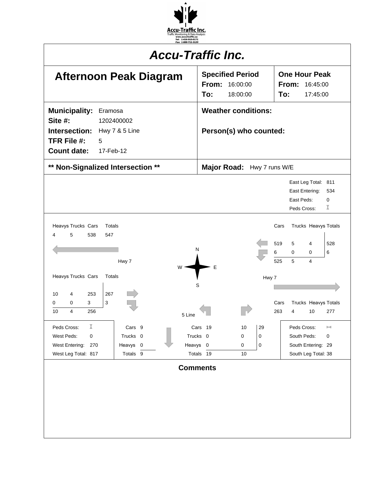

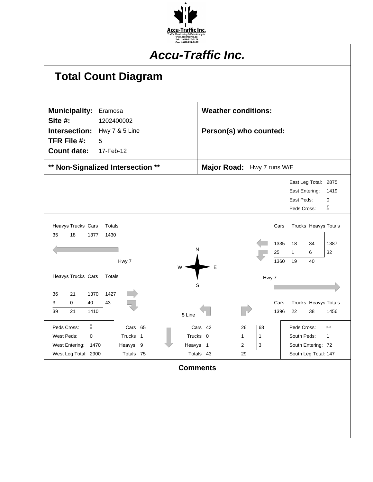

# **Total Count Diagram**

| <b>Municipality:</b>              | Eramosa   |                |                |                 |                | <b>Weather conditions:</b> |              |       |      |                |                      |              |
|-----------------------------------|-----------|----------------|----------------|-----------------|----------------|----------------------------|--------------|-------|------|----------------|----------------------|--------------|
| Site #:                           |           | 1202400002     |                |                 |                |                            |              |       |      |                |                      |              |
| Intersection:                     |           | Hwy 7 & 5 Line |                |                 |                | Person(s) who counted:     |              |       |      |                |                      |              |
| TFR File #:                       | 5         |                |                |                 |                |                            |              |       |      |                |                      |              |
| <b>Count date:</b>                | 17-Feb-12 |                |                |                 |                |                            |              |       |      |                |                      |              |
|                                   |           |                |                |                 |                |                            |              |       |      |                |                      |              |
| ** Non-Signalized Intersection ** |           |                |                |                 |                | Major Road: Hwy 7 runs W/E |              |       |      |                |                      |              |
|                                   |           |                |                |                 |                |                            |              |       |      |                | East Leg Total:      | 2875         |
|                                   |           |                |                |                 |                |                            |              |       |      | East Entering: |                      | 1419         |
|                                   |           |                |                |                 |                |                            |              |       |      | East Peds:     |                      | 0            |
|                                   |           |                |                |                 |                |                            |              |       |      | Peds Cross:    |                      | Χ            |
| Heavys Trucks Cars                | Totals    |                |                |                 |                |                            |              |       | Cars |                | Trucks Heavys Totals |              |
| 18<br>1377<br>35                  | 1430      |                |                |                 |                |                            |              |       |      |                |                      |              |
|                                   |           |                |                |                 |                |                            |              |       | 1335 | 18             | 34                   | 1387         |
|                                   |           |                |                | N               |                |                            |              |       | 25   | $\mathbf{1}$   | 6                    | 32           |
|                                   |           | Hwy 7          |                |                 |                |                            |              |       | 1360 | 19             | 40                   |              |
|                                   |           |                |                | W               | E              |                            |              |       |      |                |                      |              |
| Heavys Trucks Cars                | Totals    |                |                |                 |                |                            |              | Hwy 7 |      |                |                      |              |
| 21<br>1370<br>36                  | 1427      |                |                | S               |                |                            |              |       |      |                |                      |              |
| 3<br>0<br>40                      | 43        |                |                |                 |                |                            |              |       | Cars |                | Trucks Heavys Totals |              |
| 21<br>1410<br>39                  |           |                |                |                 |                |                            |              |       | 1396 | 22             | 38                   | 1456         |
|                                   |           |                |                | 5 Line          |                |                            |              |       |      |                |                      |              |
| Χ.<br>Peds Cross:                 |           | Cars 65        |                |                 | Cars 42        |                            | 26           | 68    |      | Peds Cross:    |                      | $\bowtie$    |
| West Peds:<br>$\Omega$            |           | <b>Trucks</b>  | $\overline{1}$ | Trucks 0        |                |                            | $\mathbf{1}$ | 1     |      | South Peds:    |                      | $\mathbf{1}$ |
| West Entering: 1470               |           | Heavys         | 9              | Heavys          | $\overline{1}$ |                            | 2            | 3     |      |                | South Entering: 72   |              |
| West Leg Total: 2900              |           | Totals 75      |                | Totals 43       |                |                            | 29           |       |      |                | South Leg Total: 147 |              |
|                                   |           |                |                | <b>Comments</b> |                |                            |              |       |      |                |                      |              |
|                                   |           |                |                |                 |                |                            |              |       |      |                |                      |              |
|                                   |           |                |                |                 |                |                            |              |       |      |                |                      |              |
|                                   |           |                |                |                 |                |                            |              |       |      |                |                      |              |
|                                   |           |                |                |                 |                |                            |              |       |      |                |                      |              |
|                                   |           |                |                |                 |                |                            |              |       |      |                |                      |              |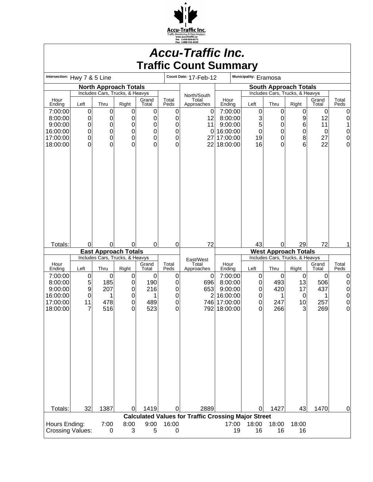

## *Accu-Traffic Inc.* **Traffic Count Summary**

| Intersection: Hwy 7 & 5 Line                                      |                                            |                                                                     |                                                          |                                    |                            | vu<br>Count Date: 17-Feb-12                                        |                                                                           | імі<br>Municipality: Eramosa         |                                              |                                                |                                              |                                                        |
|-------------------------------------------------------------------|--------------------------------------------|---------------------------------------------------------------------|----------------------------------------------------------|------------------------------------|----------------------------|--------------------------------------------------------------------|---------------------------------------------------------------------------|--------------------------------------|----------------------------------------------|------------------------------------------------|----------------------------------------------|--------------------------------------------------------|
|                                                                   |                                            |                                                                     | <b>North Approach Totals</b>                             |                                    |                            |                                                                    |                                                                           |                                      |                                              | <b>South Approach Totals</b>                   |                                              |                                                        |
|                                                                   |                                            |                                                                     | Includes Cars, Trucks, & Heavys                          |                                    |                            | North/South                                                        |                                                                           |                                      |                                              | Includes Cars, Trucks, & Heavys                |                                              |                                                        |
| Hour<br>Ending                                                    | Left                                       | Thru                                                                | Right                                                    | Grand<br>Total                     | Total<br>Peds              | Total<br>Approaches                                                | Hour<br>Ending                                                            | Left                                 | Thru                                         | Right                                          | Grand<br>Total                               | Total<br>Peds                                          |
| 7:00:00<br>8:00:00<br>9:00:00<br>16:00:00<br>17:00:00<br>18:00:00 | $\boldsymbol{0}$<br>0<br>0<br>0<br>0<br>0  | $\boldsymbol{0}$<br>$\pmb{0}$<br>$\pmb{0}$<br>0<br>$\mathbf 0$<br>0 | 0<br>0<br>$\mathbf 0$<br>$\mathbf 0$<br>$\mathbf 0$<br>0 | 0<br>0<br>0<br>0<br>0<br>0         | 0<br>0<br>0<br>0<br>0<br>0 | $\overline{0}$<br>12<br>11<br>0<br>27<br>22                        | 7:00:00<br>8:00:00<br>9:00:00<br>16:00:00<br>17:00:00<br>18:00:00         | $\pmb{0}$<br>3<br>5<br>0<br>19<br>16 | 0<br>0<br>0<br>0<br>0<br>0                   | $\mathbf 0$<br>9<br>6<br>$\mathbf 0$<br>8<br>6 | $\mathbf 0$<br>12<br>11<br>0<br>27<br>22     | 0<br>$\mathbf 0$<br>1<br>0<br>0<br>$\mathbf 0$         |
| Totals:                                                           | 0                                          | 0                                                                   | 0<br><b>East Approach Totals</b>                         | 0                                  | 0                          | 72                                                                 |                                                                           | 43                                   | 0                                            | 29<br><b>West Approach Totals</b>              | 72                                           | 1                                                      |
|                                                                   |                                            |                                                                     | Includes Cars, Trucks, & Heavys                          |                                    |                            | East/West                                                          |                                                                           |                                      |                                              | Includes Cars, Trucks, & Heavys                |                                              |                                                        |
| Hour<br>Ending                                                    | Left                                       | Thru                                                                | Right                                                    | Grand<br>Total                     | Total<br>Peds              | Total<br>Approaches                                                | Hour<br>Ending                                                            | Left                                 | Thru                                         | Right                                          | Grand<br>Total                               | Total<br>Peds                                          |
| 7:00:00<br>8:00:00<br>9:00:00<br>16:00:00<br>17:00:00<br>18:00:00 | $\boldsymbol{0}$<br>5<br>9<br>0<br>11<br>7 | $\boldsymbol{0}$<br>185<br>207<br>1<br>478<br>516                   | 0<br>0<br>0<br>0<br>$\mathbf 0$<br>0                     | 0<br>190<br>216<br>1<br>489<br>523 | 0<br>0<br>0<br>0<br>0<br>0 | $\overline{0}$<br>696<br>653<br>$\overline{c}$                     | 7:00:00<br>8:00:00<br>9:00:00<br>16:00:00<br>746 17:00:00<br>792 18:00:00 | $\pmb{0}$<br>0<br>0<br>0<br>0<br>0   | $\mathbf 0$<br>493<br>420<br>1<br>247<br>266 | $\pmb{0}$<br>13<br>17<br>0<br>10<br>3          | $\mathbf 0$<br>506<br>437<br>1<br>257<br>269 | $\mathbf 0$<br>$\mathbf 0$<br>$\pmb{0}$<br>0<br>0<br>0 |
| Totals:<br>Hours Ending:<br>Crossing Values:                      | 32                                         | 1387<br>7:00<br>0                                                   | 0<br>8:00<br>3                                           | 1419<br>9:00<br>5                  | 0<br>16:00<br>0            | 2889<br><b>Calculated Values for Traffic Crossing Major Street</b> | 17:00                                                                     | 0<br>18:00<br>19<br>16               | 1427<br>18:00<br>16                          | 43<br>18:00<br>16                              | 1470                                         | 0                                                      |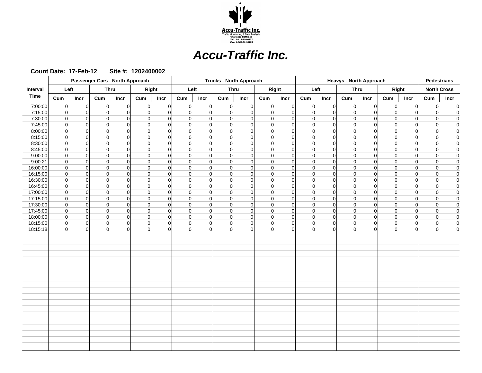

|                      |                                |                |                          | Passenger Cars - North Approach |                            |                |                       |                            | <b>Trucks - North Approach</b> |               |                         |                |                            |                | <b>Heavys - North Approach</b> |                |                          |                      |     | <b>Pedestrians</b>                                               |
|----------------------|--------------------------------|----------------|--------------------------|---------------------------------|----------------------------|----------------|-----------------------|----------------------------|--------------------------------|---------------|-------------------------|----------------|----------------------------|----------------|--------------------------------|----------------|--------------------------|----------------------|-----|------------------------------------------------------------------|
| Interval             | Left                           |                | <b>Thru</b>              |                                 |                            | Right          | Left                  |                            | <b>Thru</b>                    |               |                         | Right          |                            | Left           | <b>Thru</b>                    |                | Right                    |                      |     | <b>North Cross</b>                                               |
| <b>Time</b>          | $_{\text{Cum}}$<br><b>Incr</b> |                | Cum                      | Incr                            | Cum                        | <b>Incr</b>    | Cum                   | Incr                       | Cum                            | Incr          | Cum                     | Incr           | Cum                        | Incr           | Cum                            | Incr           | Cum                      | Incr                 | Cum | <b>Incr</b>                                                      |
| 7:00:00              | $\mathsf 0$                    | $\overline{0}$ | $\mathsf 0$              | 0                               | $\pmb{0}$                  | $\overline{0}$ | $\mathsf 0$           | 0                          | $\mathbf 0$                    | $\mathbf 0$   | $\mathsf 0$             | 0              | $\pmb{0}$                  | $\overline{0}$ | $\mathsf{O}\xspace$            | 0              | $\mathbf 0$              | $\overline{0}$       |     | $\mathbf 0$<br>$\mathbf 0$                                       |
| 7:15:00              | $\mathbf 0$                    | 0              | $\mathbf 0$              | $\mathbf 0$                     | $\mathbf 0$                | 0              | $\mathbf 0$           | $\Omega$                   | $\mathbf 0$                    | $\Omega$      | $\mathbf 0$             | $\Omega$       | $\mathbf 0$                | $\Omega$       | $\mathbf 0$                    | 0              | $\mathbf 0$              | $\Omega$             |     | $\mathbf 0$<br>0                                                 |
| 7:30:00              | $\mathbf 0$                    | $\Omega$       | $\mathbf 0$              | $\Omega$                        | $\mathbf 0$                | $\Omega$       | $\mathbf 0$           | $\Omega$                   | $\mathbf 0$                    | $\Omega$      | $\mathbf 0$             | $\Omega$       | $\mathbf 0$                | $\Omega$       | $\mathbf 0$                    | $\Omega$       | $\mathbf 0$              | $\Omega$             |     | $\mathbf 0$<br>$\mathbf 0$                                       |
| 7:45:00              | $\mathbf 0$                    | $\Omega$       | $\mathbf 0$              | $\Omega$                        | $\mathbf 0$                | $\Omega$       | $\mathbf 0$           | $\Omega$                   | $\mathbf 0$                    | $\Omega$      | $\mathbf 0$             | $\Omega$       | $\mathbf 0$                | $\Omega$       | $\mathbf 0$                    | $\Omega$       | $\mathbf 0$              | $\Omega$             |     | $\mathbf 0$<br>$\pmb{0}$                                         |
| 8:00:00              | $\mathbf 0$                    | 0              | $\mathbf 0$              | $\Omega$                        | $\mathbf 0$                | $\Omega$       | $\mathbf 0$           | $\Omega$                   | $\mathbf 0$                    | $\Omega$      | $\mathbf 0$             | $\Omega$       | $\mathbf 0$                | $\Omega$       | $\Omega$                       | $\Omega$       | $\mathbf 0$              | $\Omega$             |     | $\mathbf 0$<br>$\pmb{0}$                                         |
| 8:15:00              | $\mathbf 0$                    | $\Omega$       | $\mathbf 0$              | $\Omega$                        | $\mathbf 0$                | $\Omega$       | $\mathbf 0$           | $\Omega$                   | $\mathbf 0$                    | $\Omega$      | $\mathbf 0$             | $\Omega$       | $\mathbf 0$                | $\Omega$       | $\mathbf 0$                    | 0              | $\mathbf 0$              | $\Omega$             |     | $\mathbf 0$<br>$\mathbf 0$                                       |
| 8:30:00              | $\mathbf 0$                    | 0              | $\mathbf 0$              | $\overline{0}$                  | $\mathbf 0$                | 0              | $\mathbf 0$           | $\overline{0}$             | $\mathbf 0$                    | $\Omega$      | $\mathbf 0$             | $\overline{0}$ | $\mathbf 0$                | $\Omega$       | $\mathbf 0$                    | $\Omega$       | $\mathbf 0$              | $\Omega$             |     | $\Omega$<br>0                                                    |
| 8:45:00              | $\mathbf 0$                    | $\Omega$       | $\mathbf 0$              | $\mathbf 0$                     | $\mathbf 0$                | $\Omega$       | $\mathbf 0$           | $\mathbf 0$                | $\mathbf 0$                    | $\Omega$      | $\mathbf 0$             | $\Omega$       | $\mathbf 0$                | $\Omega$       | $\mathbf 0$                    | $\Omega$       | $\mathbf 0$              | $\Omega$             |     | $\mathbf 0$<br>$\pmb{0}$                                         |
| 9:00:00              | $\pmb{0}$                      | 0              | $\mathbf 0$              | $\mathbf 0$                     | $\mathbf 0$                | $\Omega$       | $\mathbf 0$           | $\Omega$                   | $\pmb{0}$                      | $\Omega$      | $\pmb{0}$               | $\Omega$       | $\mathbf 0$                | $\Omega$       | $\mathbf 0$                    | $\Omega$       | $\mathbf 0$              | $\Omega$             |     | $\pmb{0}$<br>$\mathbf 0$                                         |
| 9:00:21              | $\mathbf 0$                    | 0              | $\mathbf 0$              | 0                               | $\mathbf 0$                | $\Omega$       | $\mathbf 0$           | 0                          | $\mathbf 0$                    | $\Omega$      | $\Omega$                | $\Omega$       | $\mathbf 0$                | $\Omega$       | $\Omega$                       | $\Omega$       | $\Omega$                 | ∩                    |     | $\mathbf 0$<br>0                                                 |
| 16:00:00             | $\mathbf 0$                    | $\Omega$       | $\mathbf 0$              | $\Omega$                        | $\mathbf 0$                | $\Omega$       | $\mathbf 0$           | $\mathbf 0$                | $\mathbf 0$                    | $\Omega$      | $\Omega$                | $\Omega$       | $\mathbf 0$                | $\Omega$       | $\Omega$                       | $\Omega$       | $\mathbf 0$              | $\Omega$             |     | $\pmb{0}$<br>$\Omega$                                            |
| 16:15:00             | $\pmb{0}$                      | $\Omega$       | 0                        | $\overline{0}$                  | $\overline{0}$             | $\Omega$       | $\mathbf 0$           | $\overline{0}$             | $\pmb{0}$                      | $\Omega$      | $\mathbf 0$             | $\Omega$       | $\pmb{0}$                  | $\Omega$       | $\mathbf 0$                    | $\Omega$       | $\pmb{0}$                | $\Omega$             |     | $\pmb{0}$<br>$\mathbf 0$                                         |
| 16:30:00             | $\mathbf 0$                    | 0              | $\mathbf 0$              | $\Omega$                        | $\Omega$                   | $\Omega$       | $\Omega$              | $\Omega$                   | $\Omega$                       | $\Omega$      | $\Omega$                | $\Omega$       | $\Omega$                   | $\Omega$       | $\Omega$                       | $\Omega$       | $\Omega$                 | $\Omega$             |     | $\Omega$<br>$\pmb{0}$                                            |
| 16:45:00             | $\mathbf 0$                    | $\Omega$       | $\mathbf 0$              | $\Omega$                        | $\Omega$                   | $\Omega$       | $\mathbf 0$           | $\Omega$                   | $\Omega$                       | $\Omega$      | $\Omega$                | $\Omega$       | $\Omega$                   | $\Omega$       | $\Omega$                       | $\Omega$       | $\Omega$                 | $\Omega$             |     | $\Omega$<br>$\pmb{0}$                                            |
| 17:00:00             | $\mathbf 0$                    | $\Omega$       | $\mathbf 0$              | $\Omega$                        | $\mathbf 0$                | $\Omega$       | $\mathbf 0$           | $\Omega$                   | $\mathbf 0$                    | ∩             | $\Omega$                | $\Omega$       | $\mathbf 0$                | $\Omega$       | $\mathbf 0$                    | $\Omega$       | $\mathbf 0$              | $\Omega$             |     | $\pmb{0}$<br>$\mathbf 0$                                         |
| 17:15:00             | $\mathbf 0$                    | $\Omega$       | $\Omega$                 | $\Omega$                        | $\Omega$                   | $\Omega$       | $\Omega$              | $\Omega$                   | $\Omega$                       | $\Omega$      | $\Omega$                | $\Omega$       | $\Omega$                   | $\Omega$       | $\Omega$                       | $\Omega$       | $\mathbf 0$              | $\Omega$             |     | $\Omega$<br>0                                                    |
| 17:30:00             | $\mathsf 0$                    | 0              | $\mathbf 0$              | $\overline{0}$                  | $\pmb{0}$                  | 0              | $\mathbf 0$           | $\overline{0}$             | $\pmb{0}$                      | $\Omega$      | $\mathbf 0$             | 0              | $\pmb{0}$                  | $\Omega$       | $\mathbf 0$                    | 0              | $\mathbf 0$              | $\Omega$             |     | $\mathbf 0$<br>$\pmb{0}$                                         |
| 17:45:00             | $\mathbf 0$                    | $\Omega$       | $\mathbf 0$              | $\Omega$                        | $\mathbf 0$                | $\Omega$       | $\mathbf 0$           | $\mathbf 0$                | $\mathbf 0$                    | $\Omega$      | $\Omega$                | $\Omega$       | $\mathbf 0$                | $\Omega$       | $\Omega$                       | $\Omega$       | $\mathbf 0$              | $\Omega$             |     | $\pmb{0}$<br>$\mathbf 0$                                         |
| 18:00:00             | $\mathbf 0$                    | $\Omega$       | $\mathbf 0$              | $\Omega$                        | $\mathbf 0$                | $\Omega$       | $\Omega$              | $\overline{0}$             | $\mathbf 0$                    | $\Omega$      | $\Omega$                | $\Omega$       | $\mathbf 0$                | $\Omega$       | $\Omega$<br>$\mathbf 0$        | $\Omega$       | $\mathbf 0$              | $\Omega$             |     | $\pmb{0}$<br>$\Omega$                                            |
| 18:15:00<br>18:15:18 | $\mathsf 0$<br>$\mathbf 0$     | 0<br>$\Omega$  | $\pmb{0}$<br>$\mathbf 0$ | $\overline{0}$<br>$\Omega$      | $\mathbf 0$<br>$\mathbf 0$ | 0<br>$\Omega$  | $\pmb{0}$<br>$\Omega$ | $\overline{0}$<br>$\Omega$ | $\mathbf 0$<br>$\mathbf{0}$    | 0<br>$\Omega$ | $\mathbf 0$<br>$\Omega$ | 0 <br>$\Omega$ | $\mathsf 0$<br>$\mathbf 0$ | 0<br>$\Omega$  | $\Omega$                       | 0 <br>$\Omega$ | $\pmb{0}$<br>$\mathbf 0$ | $\Omega$<br>$\Omega$ |     | $\mathsf{O}\xspace$<br>$\mathbf 0$<br>$\mathbf 0$<br>$\mathbf 0$ |
|                      |                                |                |                          |                                 |                            |                |                       |                            |                                |               |                         |                |                            |                |                                |                |                          |                      |     |                                                                  |
|                      |                                |                |                          |                                 |                            |                |                       |                            |                                |               |                         |                |                            |                |                                |                |                          |                      |     |                                                                  |
|                      |                                |                |                          |                                 |                            |                |                       |                            |                                |               |                         |                |                            |                |                                |                |                          |                      |     |                                                                  |
|                      |                                |                |                          |                                 |                            |                |                       |                            |                                |               |                         |                |                            |                |                                |                |                          |                      |     |                                                                  |
|                      |                                |                |                          |                                 |                            |                |                       |                            |                                |               |                         |                |                            |                |                                |                |                          |                      |     |                                                                  |
|                      |                                |                |                          |                                 |                            |                |                       |                            |                                |               |                         |                |                            |                |                                |                |                          |                      |     |                                                                  |
|                      |                                |                |                          |                                 |                            |                |                       |                            |                                |               |                         |                |                            |                |                                |                |                          |                      |     |                                                                  |
|                      |                                |                |                          |                                 |                            |                |                       |                            |                                |               |                         |                |                            |                |                                |                |                          |                      |     |                                                                  |
|                      |                                |                |                          |                                 |                            |                |                       |                            |                                |               |                         |                |                            |                |                                |                |                          |                      |     |                                                                  |
|                      |                                |                |                          |                                 |                            |                |                       |                            |                                |               |                         |                |                            |                |                                |                |                          |                      |     |                                                                  |
|                      |                                |                |                          |                                 |                            |                |                       |                            |                                |               |                         |                |                            |                |                                |                |                          |                      |     |                                                                  |
|                      |                                |                |                          |                                 |                            |                |                       |                            |                                |               |                         |                |                            |                |                                |                |                          |                      |     |                                                                  |
|                      |                                |                |                          |                                 |                            |                |                       |                            |                                |               |                         |                |                            |                |                                |                |                          |                      |     |                                                                  |
|                      |                                |                |                          |                                 |                            |                |                       |                            |                                |               |                         |                |                            |                |                                |                |                          |                      |     |                                                                  |
|                      |                                |                |                          |                                 |                            |                |                       |                            |                                |               |                         |                |                            |                |                                |                |                          |                      |     |                                                                  |
|                      |                                |                |                          |                                 |                            |                |                       |                            |                                |               |                         |                |                            |                |                                |                |                          |                      |     |                                                                  |
|                      |                                |                |                          |                                 |                            |                |                       |                            |                                |               |                         |                |                            |                |                                |                |                          |                      |     |                                                                  |
|                      |                                |                |                          |                                 |                            |                |                       |                            |                                |               |                         |                |                            |                |                                |                |                          |                      |     |                                                                  |
|                      |                                |                |                          |                                 |                            |                |                       |                            |                                |               |                         |                |                            |                |                                |                |                          |                      |     |                                                                  |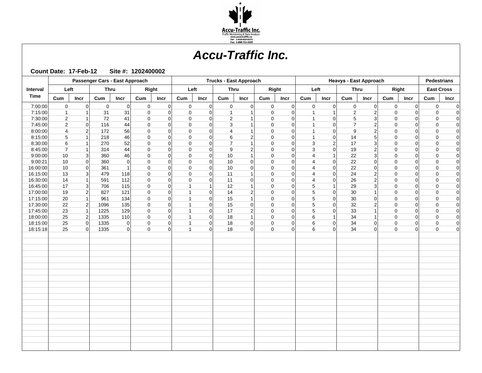

| Left<br>Left<br>Right<br>Left<br><b>Thru</b><br>Right<br><b>Thru</b><br><b>Thru</b><br>Right<br><b>East Cross</b><br>Interval<br><b>Time</b><br>Incr<br>Cum<br><b>Incr</b><br>Cum<br>Incr<br>Cum<br><b>Incr</b><br>Cum<br>Cum<br>Incr<br>Cum<br>Incr<br>Cum<br>Incr<br>Cum<br>Incr<br>Cum<br>$_{\text{Cum}}$<br>Incr<br><b>Incr</b><br>$\mathsf 0$<br>$\mathsf{O}\xspace$<br>$\mathsf 0$<br> 0 <br> 0 <br>$\overline{0}$<br>7:00:00<br>$\overline{0}$<br>$\pmb{0}$<br> 0 <br>$\mathbf 0$<br>$\pmb{0}$<br>$\mathsf 0$<br>$\pmb{0}$<br>$\overline{0}$<br>$\mathbf 0$<br>$\mathsf 0$<br>$\mathbf 0$<br>$\mathbf 0$<br>$\overline{0}$<br>$\overline{0}$<br>31<br>$\overline{2}$<br>7:15:00<br>31<br>$\mathbf 0$<br>$\mathbf 0$<br>$\mathbf 0$<br>$\overline{2}$<br>$\mathbf 0$<br>$\mathbf 0$<br>$\mathbf{1}$<br>$\mathbf{1}$<br>$\Omega$<br>$\overline{1}$<br>0<br>0<br>$\Omega$<br>$\Omega$<br>1<br>7:30:00<br>72<br>41<br>$\overline{2}$<br>$\mathbf 0$<br>$\mathbf 0$<br>2<br>5<br>$\lvert 3 \rvert$<br>$\mathbf 0$<br>$\mathbf{1}$<br>$\Omega$<br>$\mathbf 0$<br>$\Omega$<br>$\Omega$<br>$\Omega$<br>$\mathbf 0$<br>$\Omega$<br>$\mathbf{1}$<br>$\Omega$<br>7:45:00<br>$\overline{2}$<br>116<br>44<br>3<br>$\overline{7}$<br>$\pmb{0}$<br>$\mathbf 0$<br>$\mathbf 0$<br>$\mathbf 0$<br>$\mathbf 0$<br>$\overline{0}$<br>$\Omega$<br>$\Omega$<br>$\overline{1}$<br>$\overline{2}$<br>0<br>$\Omega$<br>$\Omega$<br>$\Omega$<br>-1<br>9<br>8:00:00<br>$\overline{4}$<br>172<br>56<br>$\mathbf 0$<br>$\mathbf 0$<br>$\overline{4}$<br>$\Omega$<br>2 <sup>1</sup><br>$\mathbf 0$<br>$\mathbf 0$<br>$\pmb{0}$<br>$\overline{2}$<br>$\overline{1}$<br>$\Omega$<br>$\Omega$<br>$\Omega$<br>$\Omega$<br>$\Omega$<br>8:15:00<br>$5\phantom{.0}$<br>46<br>5 <sup>1</sup><br>218<br>$\mathbf 0$<br>6<br>14<br>$\mathbf 0$<br>$\mathbf 0$<br>$\Omega$<br>$\mathfrak{p}$<br>$\mathbf 0$<br>$\Omega$<br>$\overline{1}$<br>$\mathbf 0$<br>$\mathbf 0$<br>$\mathbf{1}$<br>$\Omega$<br>$\Omega$<br>$\Omega$<br>8:30:00<br>6<br>52<br>$\mathbf 0$<br>$\overline{7}$<br>3<br>17<br>270<br>$\mathbf 0$<br>$\mathbf 0$<br> 0 <br>2<br>3 <br>$\mathbf 0$<br>$\mathbf 0$<br>0<br>$\mathbf{1}$<br>$\overline{0}$<br>0<br>$\Omega$<br>3<br>19<br>8:45:00<br>$\overline{7}$<br>314<br>44<br>$\mathbf 0$<br>$\mathbf 0$<br>9<br>$\mathbf 0$<br>$\overline{2}$<br>$\mathbf 0$<br>$\mathbf 0$<br>$\pmb{0}$<br>$\mathbf 0$<br>$\overline{2}$<br>$\Omega$<br>$\Omega$<br>$\mathbf{1}$<br>$\Omega$<br>$\Omega$<br>9:00:00<br>22<br>10<br>360<br>46<br>$\pmb{0}$<br>10<br>$\overline{3}$<br>$\mathsf 0$<br>3 <br>$\mathbf 0$<br>$\mathbf 0$<br>$\mathbf 0$<br>$\mathbf 0$<br>$\Omega$<br>$\overline{0}$<br>$\Omega$<br>$\overline{4}$<br>$\Omega$<br>9:00:21<br>10<br>10<br>22<br>360<br>$\mathbf 0$<br>$\mathbf 0$<br>$\mathbf 0$<br>$\Omega$<br> 0 <br>$\Omega$<br>$\mathbf 0$<br>0<br>$\Omega$<br>$\Omega$<br>$\overline{0}$<br>$\overline{4}$<br>$\Omega$<br>$\Omega$<br>$\overline{0}$<br>$\Omega$<br>16:00:00<br>10<br>10<br>22<br>$\mathbf 0$<br>$\mathbf 0$<br>$\Omega$<br>$\mathbf 0$<br>$\pmb{0}$<br>$\mathbf 0$<br>361<br>$\Omega$<br>$\overline{4}$<br>$\Omega$<br>$\Omega$<br>$\mathbf{1}$<br>$\Omega$<br>$\overline{0}$<br>$\Omega$<br>$\Omega$<br>$\Omega$<br>13<br>16:15:00<br>479<br>118<br>$\pmb{0}$<br>$\mathbf 0$<br>11<br>24<br>$\overline{2}$<br>$\mathbf 0$<br>$\mathsf 0$<br>$\overline{3}$<br>$\mathbf 0$<br>$\mathbf 0$<br>$\Omega$<br>$\overline{0}$<br> 0 <br>$\overline{4}$<br>$\Omega$<br>$\Omega$<br>16:30:00<br>14<br>591<br>112<br>$\mathbf 0$<br>$\Omega$<br>11<br>26<br>$\overline{2}$<br>$\Omega$<br>$\pmb{0}$<br>$\Omega$<br>$\Omega$<br>$\overline{4}$<br>$\Omega$<br>$\mathbf{1}$<br>$\Omega$<br>0<br>$\Omega$<br>$\Omega$<br>$\Omega$<br>12<br>29<br>16:45:00<br>17<br>706<br>115<br>$\mathbf 0$<br>$\Omega$<br>5<br>$\Omega$<br>$\Omega$<br>$\pmb{0}$<br>$\overline{3}$<br>$\mathbf{1}$<br>$\Omega$<br>3 <br>$\Omega$<br>$\Omega$<br>1<br>-1<br>17:00:00<br>19<br>121<br>$\mathbf 0$<br>14<br>$\mathbf 5$<br>30<br>$\mathbf 0$<br>$\pmb{0}$<br>2 <br>827<br>$\mathbf{1}$<br>$\Omega$<br>$\overline{2}$<br>$\mathbf 0$<br>$\Omega$<br>$\Omega$<br>$\mathbf 0$<br>$\Omega$<br>$\overline{\mathbf{1}}$<br>$\Omega$<br>17:15:00<br>20<br>961<br>134<br>$\mathbf 0$<br>15<br>5<br>30<br>$\mathbf{1}$<br>$\mathbf{1}$<br>$\overline{0}$<br>$\Omega$<br>$\Omega$<br>$\Omega$<br> 0 <br>$\Omega$<br>$\Omega$<br>0<br>$\Omega$<br>$\Omega$<br>15<br>5<br>17:30:00<br>22<br>135<br>$\mathsf 0$<br>32<br>$\overline{2}$<br>1096<br>$\mathbf{1}$<br>$\mathbf 0$<br>$\overline{2}$<br>$\mathbf 0$<br>$\mathbf 0$<br>$\pmb{0}$<br> 0 <br>$\mathbf 0$<br> 0 <br>$\overline{0}$<br>0<br>$\Omega$<br>17:45:00<br>23<br>129<br>$\pmb{0}$<br>$\mathbf{1}$<br>17<br>$\Omega$<br>5<br>33<br>$\mathbf 0$<br>$\mathbf 0$<br>$\overline{1}$<br>1225<br>$\overline{0}$<br>$\Omega$<br>$\mathbf 0$<br>$\Omega$<br>2<br>$\Omega$<br>$\mathbf{1}$<br>$\Omega$<br>18:00:00<br>25<br>$\overline{2}$<br>1335<br>110<br>$\mathbf 0$<br>18<br>$\Omega$<br>6<br>34<br>$\mathbf 0$<br>$\pmb{0}$<br>$\mathbf{1}$<br> 0 <br>$\Omega$<br>$\mathbf{1}$<br>$\Omega$<br>$\Omega$<br>$\Omega$<br>$\mathbf{1}$<br>18:15:00<br>25<br>$\mathsf 0$<br>18<br>$\,6$<br>34<br>$\mathsf{O}\xspace$<br>$\mathsf 0$<br>1335<br>$\mathbf 0$<br> 0 <br>$\mathbf 0$<br>0<br>$\overline{0}$<br>$\mathbf{1}$<br> 0 <br>$\mathbf 0$<br> 0 <br>$\overline{0}$<br>$\Omega$<br>0<br>$\mathsf 0$<br>18:15:18<br>25<br> 0 <br>$\mathbf 0$<br>$\mathbf{1}$<br>18<br>$\Omega$<br>$\Omega$<br>6<br>34<br>$\Omega$<br>$\mathbf 0$<br>$\mathbf 0$<br>$\Omega$<br>1335<br>$\Omega$<br>$\Omega$<br>$\Omega$<br>$\Omega$<br>$\Omega$ | Passenger Cars - East Approach |  |  |  |  |  |  | <b>Trucks - East Approach</b> |  |  | <b>Heavys - East Approach</b> |  |  | <b>Pedestrians</b> |
|-----------------------------------------------------------------------------------------------------------------------------------------------------------------------------------------------------------------------------------------------------------------------------------------------------------------------------------------------------------------------------------------------------------------------------------------------------------------------------------------------------------------------------------------------------------------------------------------------------------------------------------------------------------------------------------------------------------------------------------------------------------------------------------------------------------------------------------------------------------------------------------------------------------------------------------------------------------------------------------------------------------------------------------------------------------------------------------------------------------------------------------------------------------------------------------------------------------------------------------------------------------------------------------------------------------------------------------------------------------------------------------------------------------------------------------------------------------------------------------------------------------------------------------------------------------------------------------------------------------------------------------------------------------------------------------------------------------------------------------------------------------------------------------------------------------------------------------------------------------------------------------------------------------------------------------------------------------------------------------------------------------------------------------------------------------------------------------------------------------------------------------------------------------------------------------------------------------------------------------------------------------------------------------------------------------------------------------------------------------------------------------------------------------------------------------------------------------------------------------------------------------------------------------------------------------------------------------------------------------------------------------------------------------------------------------------------------------------------------------------------------------------------------------------------------------------------------------------------------------------------------------------------------------------------------------------------------------------------------------------------------------------------------------------------------------------------------------------------------------------------------------------------------------------------------------------------------------------------------------------------------------------------------------------------------------------------------------------------------------------------------------------------------------------------------------------------------------------------------------------------------------------------------------------------------------------------------------------------------------------------------------------------------------------------------------------------------------------------------------------------------------------------------------------------------------------------------------------------------------------------------------------------------------------------------------------------------------------------------------------------------------------------------------------------------------------------------------------------------------------------------------------------------------------------------------------------------------------------------------------------------------------------------------------------------------------------------------------------------------------------------------------------------------------------------------------------------------------------------------------------------------------------------------------------------------------------------------------------------------------------------------------------------------------------------------------------------------------------------------------------------------------------------------------------------------------------------------------------------------------------------------------------------------------------------------------------------------------------------------------------------------------------------------------------------------------------------------------------------------------------------------------------------------------------------------------------------------------------------------------------------------------------------------------------------------------------------------------------------------------------------------------------------------------------------------------------------------------------------------------------------------------------------------------------------------------------------------------------------------------------------------------------------------------------|--------------------------------|--|--|--|--|--|--|-------------------------------|--|--|-------------------------------|--|--|--------------------|
|                                                                                                                                                                                                                                                                                                                                                                                                                                                                                                                                                                                                                                                                                                                                                                                                                                                                                                                                                                                                                                                                                                                                                                                                                                                                                                                                                                                                                                                                                                                                                                                                                                                                                                                                                                                                                                                                                                                                                                                                                                                                                                                                                                                                                                                                                                                                                                                                                                                                                                                                                                                                                                                                                                                                                                                                                                                                                                                                                                                                                                                                                                                                                                                                                                                                                                                                                                                                                                                                                                                                                                                                                                                                                                                                                                                                                                                                                                                                                                                                                                                                                                                                                                                                                                                                                                                                                                                                                                                                                                                                                                                                                                                                                                                                                                                                                                                                                                                                                                                                                                                                                                                                                                                                                                                                                                                                                                                                                                                                                                                                                                                                                                                                       |                                |  |  |  |  |  |  |                               |  |  |                               |  |  |                    |
|                                                                                                                                                                                                                                                                                                                                                                                                                                                                                                                                                                                                                                                                                                                                                                                                                                                                                                                                                                                                                                                                                                                                                                                                                                                                                                                                                                                                                                                                                                                                                                                                                                                                                                                                                                                                                                                                                                                                                                                                                                                                                                                                                                                                                                                                                                                                                                                                                                                                                                                                                                                                                                                                                                                                                                                                                                                                                                                                                                                                                                                                                                                                                                                                                                                                                                                                                                                                                                                                                                                                                                                                                                                                                                                                                                                                                                                                                                                                                                                                                                                                                                                                                                                                                                                                                                                                                                                                                                                                                                                                                                                                                                                                                                                                                                                                                                                                                                                                                                                                                                                                                                                                                                                                                                                                                                                                                                                                                                                                                                                                                                                                                                                                       |                                |  |  |  |  |  |  |                               |  |  |                               |  |  |                    |
|                                                                                                                                                                                                                                                                                                                                                                                                                                                                                                                                                                                                                                                                                                                                                                                                                                                                                                                                                                                                                                                                                                                                                                                                                                                                                                                                                                                                                                                                                                                                                                                                                                                                                                                                                                                                                                                                                                                                                                                                                                                                                                                                                                                                                                                                                                                                                                                                                                                                                                                                                                                                                                                                                                                                                                                                                                                                                                                                                                                                                                                                                                                                                                                                                                                                                                                                                                                                                                                                                                                                                                                                                                                                                                                                                                                                                                                                                                                                                                                                                                                                                                                                                                                                                                                                                                                                                                                                                                                                                                                                                                                                                                                                                                                                                                                                                                                                                                                                                                                                                                                                                                                                                                                                                                                                                                                                                                                                                                                                                                                                                                                                                                                                       |                                |  |  |  |  |  |  |                               |  |  |                               |  |  |                    |
|                                                                                                                                                                                                                                                                                                                                                                                                                                                                                                                                                                                                                                                                                                                                                                                                                                                                                                                                                                                                                                                                                                                                                                                                                                                                                                                                                                                                                                                                                                                                                                                                                                                                                                                                                                                                                                                                                                                                                                                                                                                                                                                                                                                                                                                                                                                                                                                                                                                                                                                                                                                                                                                                                                                                                                                                                                                                                                                                                                                                                                                                                                                                                                                                                                                                                                                                                                                                                                                                                                                                                                                                                                                                                                                                                                                                                                                                                                                                                                                                                                                                                                                                                                                                                                                                                                                                                                                                                                                                                                                                                                                                                                                                                                                                                                                                                                                                                                                                                                                                                                                                                                                                                                                                                                                                                                                                                                                                                                                                                                                                                                                                                                                                       |                                |  |  |  |  |  |  |                               |  |  |                               |  |  |                    |
|                                                                                                                                                                                                                                                                                                                                                                                                                                                                                                                                                                                                                                                                                                                                                                                                                                                                                                                                                                                                                                                                                                                                                                                                                                                                                                                                                                                                                                                                                                                                                                                                                                                                                                                                                                                                                                                                                                                                                                                                                                                                                                                                                                                                                                                                                                                                                                                                                                                                                                                                                                                                                                                                                                                                                                                                                                                                                                                                                                                                                                                                                                                                                                                                                                                                                                                                                                                                                                                                                                                                                                                                                                                                                                                                                                                                                                                                                                                                                                                                                                                                                                                                                                                                                                                                                                                                                                                                                                                                                                                                                                                                                                                                                                                                                                                                                                                                                                                                                                                                                                                                                                                                                                                                                                                                                                                                                                                                                                                                                                                                                                                                                                                                       |                                |  |  |  |  |  |  |                               |  |  |                               |  |  |                    |
|                                                                                                                                                                                                                                                                                                                                                                                                                                                                                                                                                                                                                                                                                                                                                                                                                                                                                                                                                                                                                                                                                                                                                                                                                                                                                                                                                                                                                                                                                                                                                                                                                                                                                                                                                                                                                                                                                                                                                                                                                                                                                                                                                                                                                                                                                                                                                                                                                                                                                                                                                                                                                                                                                                                                                                                                                                                                                                                                                                                                                                                                                                                                                                                                                                                                                                                                                                                                                                                                                                                                                                                                                                                                                                                                                                                                                                                                                                                                                                                                                                                                                                                                                                                                                                                                                                                                                                                                                                                                                                                                                                                                                                                                                                                                                                                                                                                                                                                                                                                                                                                                                                                                                                                                                                                                                                                                                                                                                                                                                                                                                                                                                                                                       |                                |  |  |  |  |  |  |                               |  |  |                               |  |  |                    |
|                                                                                                                                                                                                                                                                                                                                                                                                                                                                                                                                                                                                                                                                                                                                                                                                                                                                                                                                                                                                                                                                                                                                                                                                                                                                                                                                                                                                                                                                                                                                                                                                                                                                                                                                                                                                                                                                                                                                                                                                                                                                                                                                                                                                                                                                                                                                                                                                                                                                                                                                                                                                                                                                                                                                                                                                                                                                                                                                                                                                                                                                                                                                                                                                                                                                                                                                                                                                                                                                                                                                                                                                                                                                                                                                                                                                                                                                                                                                                                                                                                                                                                                                                                                                                                                                                                                                                                                                                                                                                                                                                                                                                                                                                                                                                                                                                                                                                                                                                                                                                                                                                                                                                                                                                                                                                                                                                                                                                                                                                                                                                                                                                                                                       |                                |  |  |  |  |  |  |                               |  |  |                               |  |  |                    |
|                                                                                                                                                                                                                                                                                                                                                                                                                                                                                                                                                                                                                                                                                                                                                                                                                                                                                                                                                                                                                                                                                                                                                                                                                                                                                                                                                                                                                                                                                                                                                                                                                                                                                                                                                                                                                                                                                                                                                                                                                                                                                                                                                                                                                                                                                                                                                                                                                                                                                                                                                                                                                                                                                                                                                                                                                                                                                                                                                                                                                                                                                                                                                                                                                                                                                                                                                                                                                                                                                                                                                                                                                                                                                                                                                                                                                                                                                                                                                                                                                                                                                                                                                                                                                                                                                                                                                                                                                                                                                                                                                                                                                                                                                                                                                                                                                                                                                                                                                                                                                                                                                                                                                                                                                                                                                                                                                                                                                                                                                                                                                                                                                                                                       |                                |  |  |  |  |  |  |                               |  |  |                               |  |  |                    |
|                                                                                                                                                                                                                                                                                                                                                                                                                                                                                                                                                                                                                                                                                                                                                                                                                                                                                                                                                                                                                                                                                                                                                                                                                                                                                                                                                                                                                                                                                                                                                                                                                                                                                                                                                                                                                                                                                                                                                                                                                                                                                                                                                                                                                                                                                                                                                                                                                                                                                                                                                                                                                                                                                                                                                                                                                                                                                                                                                                                                                                                                                                                                                                                                                                                                                                                                                                                                                                                                                                                                                                                                                                                                                                                                                                                                                                                                                                                                                                                                                                                                                                                                                                                                                                                                                                                                                                                                                                                                                                                                                                                                                                                                                                                                                                                                                                                                                                                                                                                                                                                                                                                                                                                                                                                                                                                                                                                                                                                                                                                                                                                                                                                                       |                                |  |  |  |  |  |  |                               |  |  |                               |  |  |                    |
|                                                                                                                                                                                                                                                                                                                                                                                                                                                                                                                                                                                                                                                                                                                                                                                                                                                                                                                                                                                                                                                                                                                                                                                                                                                                                                                                                                                                                                                                                                                                                                                                                                                                                                                                                                                                                                                                                                                                                                                                                                                                                                                                                                                                                                                                                                                                                                                                                                                                                                                                                                                                                                                                                                                                                                                                                                                                                                                                                                                                                                                                                                                                                                                                                                                                                                                                                                                                                                                                                                                                                                                                                                                                                                                                                                                                                                                                                                                                                                                                                                                                                                                                                                                                                                                                                                                                                                                                                                                                                                                                                                                                                                                                                                                                                                                                                                                                                                                                                                                                                                                                                                                                                                                                                                                                                                                                                                                                                                                                                                                                                                                                                                                                       |                                |  |  |  |  |  |  |                               |  |  |                               |  |  |                    |
|                                                                                                                                                                                                                                                                                                                                                                                                                                                                                                                                                                                                                                                                                                                                                                                                                                                                                                                                                                                                                                                                                                                                                                                                                                                                                                                                                                                                                                                                                                                                                                                                                                                                                                                                                                                                                                                                                                                                                                                                                                                                                                                                                                                                                                                                                                                                                                                                                                                                                                                                                                                                                                                                                                                                                                                                                                                                                                                                                                                                                                                                                                                                                                                                                                                                                                                                                                                                                                                                                                                                                                                                                                                                                                                                                                                                                                                                                                                                                                                                                                                                                                                                                                                                                                                                                                                                                                                                                                                                                                                                                                                                                                                                                                                                                                                                                                                                                                                                                                                                                                                                                                                                                                                                                                                                                                                                                                                                                                                                                                                                                                                                                                                                       |                                |  |  |  |  |  |  |                               |  |  |                               |  |  |                    |
|                                                                                                                                                                                                                                                                                                                                                                                                                                                                                                                                                                                                                                                                                                                                                                                                                                                                                                                                                                                                                                                                                                                                                                                                                                                                                                                                                                                                                                                                                                                                                                                                                                                                                                                                                                                                                                                                                                                                                                                                                                                                                                                                                                                                                                                                                                                                                                                                                                                                                                                                                                                                                                                                                                                                                                                                                                                                                                                                                                                                                                                                                                                                                                                                                                                                                                                                                                                                                                                                                                                                                                                                                                                                                                                                                                                                                                                                                                                                                                                                                                                                                                                                                                                                                                                                                                                                                                                                                                                                                                                                                                                                                                                                                                                                                                                                                                                                                                                                                                                                                                                                                                                                                                                                                                                                                                                                                                                                                                                                                                                                                                                                                                                                       |                                |  |  |  |  |  |  |                               |  |  |                               |  |  |                    |
|                                                                                                                                                                                                                                                                                                                                                                                                                                                                                                                                                                                                                                                                                                                                                                                                                                                                                                                                                                                                                                                                                                                                                                                                                                                                                                                                                                                                                                                                                                                                                                                                                                                                                                                                                                                                                                                                                                                                                                                                                                                                                                                                                                                                                                                                                                                                                                                                                                                                                                                                                                                                                                                                                                                                                                                                                                                                                                                                                                                                                                                                                                                                                                                                                                                                                                                                                                                                                                                                                                                                                                                                                                                                                                                                                                                                                                                                                                                                                                                                                                                                                                                                                                                                                                                                                                                                                                                                                                                                                                                                                                                                                                                                                                                                                                                                                                                                                                                                                                                                                                                                                                                                                                                                                                                                                                                                                                                                                                                                                                                                                                                                                                                                       |                                |  |  |  |  |  |  |                               |  |  |                               |  |  |                    |
|                                                                                                                                                                                                                                                                                                                                                                                                                                                                                                                                                                                                                                                                                                                                                                                                                                                                                                                                                                                                                                                                                                                                                                                                                                                                                                                                                                                                                                                                                                                                                                                                                                                                                                                                                                                                                                                                                                                                                                                                                                                                                                                                                                                                                                                                                                                                                                                                                                                                                                                                                                                                                                                                                                                                                                                                                                                                                                                                                                                                                                                                                                                                                                                                                                                                                                                                                                                                                                                                                                                                                                                                                                                                                                                                                                                                                                                                                                                                                                                                                                                                                                                                                                                                                                                                                                                                                                                                                                                                                                                                                                                                                                                                                                                                                                                                                                                                                                                                                                                                                                                                                                                                                                                                                                                                                                                                                                                                                                                                                                                                                                                                                                                                       |                                |  |  |  |  |  |  |                               |  |  |                               |  |  |                    |
|                                                                                                                                                                                                                                                                                                                                                                                                                                                                                                                                                                                                                                                                                                                                                                                                                                                                                                                                                                                                                                                                                                                                                                                                                                                                                                                                                                                                                                                                                                                                                                                                                                                                                                                                                                                                                                                                                                                                                                                                                                                                                                                                                                                                                                                                                                                                                                                                                                                                                                                                                                                                                                                                                                                                                                                                                                                                                                                                                                                                                                                                                                                                                                                                                                                                                                                                                                                                                                                                                                                                                                                                                                                                                                                                                                                                                                                                                                                                                                                                                                                                                                                                                                                                                                                                                                                                                                                                                                                                                                                                                                                                                                                                                                                                                                                                                                                                                                                                                                                                                                                                                                                                                                                                                                                                                                                                                                                                                                                                                                                                                                                                                                                                       |                                |  |  |  |  |  |  |                               |  |  |                               |  |  |                    |
|                                                                                                                                                                                                                                                                                                                                                                                                                                                                                                                                                                                                                                                                                                                                                                                                                                                                                                                                                                                                                                                                                                                                                                                                                                                                                                                                                                                                                                                                                                                                                                                                                                                                                                                                                                                                                                                                                                                                                                                                                                                                                                                                                                                                                                                                                                                                                                                                                                                                                                                                                                                                                                                                                                                                                                                                                                                                                                                                                                                                                                                                                                                                                                                                                                                                                                                                                                                                                                                                                                                                                                                                                                                                                                                                                                                                                                                                                                                                                                                                                                                                                                                                                                                                                                                                                                                                                                                                                                                                                                                                                                                                                                                                                                                                                                                                                                                                                                                                                                                                                                                                                                                                                                                                                                                                                                                                                                                                                                                                                                                                                                                                                                                                       |                                |  |  |  |  |  |  |                               |  |  |                               |  |  |                    |
|                                                                                                                                                                                                                                                                                                                                                                                                                                                                                                                                                                                                                                                                                                                                                                                                                                                                                                                                                                                                                                                                                                                                                                                                                                                                                                                                                                                                                                                                                                                                                                                                                                                                                                                                                                                                                                                                                                                                                                                                                                                                                                                                                                                                                                                                                                                                                                                                                                                                                                                                                                                                                                                                                                                                                                                                                                                                                                                                                                                                                                                                                                                                                                                                                                                                                                                                                                                                                                                                                                                                                                                                                                                                                                                                                                                                                                                                                                                                                                                                                                                                                                                                                                                                                                                                                                                                                                                                                                                                                                                                                                                                                                                                                                                                                                                                                                                                                                                                                                                                                                                                                                                                                                                                                                                                                                                                                                                                                                                                                                                                                                                                                                                                       |                                |  |  |  |  |  |  |                               |  |  |                               |  |  |                    |
|                                                                                                                                                                                                                                                                                                                                                                                                                                                                                                                                                                                                                                                                                                                                                                                                                                                                                                                                                                                                                                                                                                                                                                                                                                                                                                                                                                                                                                                                                                                                                                                                                                                                                                                                                                                                                                                                                                                                                                                                                                                                                                                                                                                                                                                                                                                                                                                                                                                                                                                                                                                                                                                                                                                                                                                                                                                                                                                                                                                                                                                                                                                                                                                                                                                                                                                                                                                                                                                                                                                                                                                                                                                                                                                                                                                                                                                                                                                                                                                                                                                                                                                                                                                                                                                                                                                                                                                                                                                                                                                                                                                                                                                                                                                                                                                                                                                                                                                                                                                                                                                                                                                                                                                                                                                                                                                                                                                                                                                                                                                                                                                                                                                                       |                                |  |  |  |  |  |  |                               |  |  |                               |  |  |                    |
|                                                                                                                                                                                                                                                                                                                                                                                                                                                                                                                                                                                                                                                                                                                                                                                                                                                                                                                                                                                                                                                                                                                                                                                                                                                                                                                                                                                                                                                                                                                                                                                                                                                                                                                                                                                                                                                                                                                                                                                                                                                                                                                                                                                                                                                                                                                                                                                                                                                                                                                                                                                                                                                                                                                                                                                                                                                                                                                                                                                                                                                                                                                                                                                                                                                                                                                                                                                                                                                                                                                                                                                                                                                                                                                                                                                                                                                                                                                                                                                                                                                                                                                                                                                                                                                                                                                                                                                                                                                                                                                                                                                                                                                                                                                                                                                                                                                                                                                                                                                                                                                                                                                                                                                                                                                                                                                                                                                                                                                                                                                                                                                                                                                                       |                                |  |  |  |  |  |  |                               |  |  |                               |  |  |                    |
|                                                                                                                                                                                                                                                                                                                                                                                                                                                                                                                                                                                                                                                                                                                                                                                                                                                                                                                                                                                                                                                                                                                                                                                                                                                                                                                                                                                                                                                                                                                                                                                                                                                                                                                                                                                                                                                                                                                                                                                                                                                                                                                                                                                                                                                                                                                                                                                                                                                                                                                                                                                                                                                                                                                                                                                                                                                                                                                                                                                                                                                                                                                                                                                                                                                                                                                                                                                                                                                                                                                                                                                                                                                                                                                                                                                                                                                                                                                                                                                                                                                                                                                                                                                                                                                                                                                                                                                                                                                                                                                                                                                                                                                                                                                                                                                                                                                                                                                                                                                                                                                                                                                                                                                                                                                                                                                                                                                                                                                                                                                                                                                                                                                                       |                                |  |  |  |  |  |  |                               |  |  |                               |  |  |                    |
|                                                                                                                                                                                                                                                                                                                                                                                                                                                                                                                                                                                                                                                                                                                                                                                                                                                                                                                                                                                                                                                                                                                                                                                                                                                                                                                                                                                                                                                                                                                                                                                                                                                                                                                                                                                                                                                                                                                                                                                                                                                                                                                                                                                                                                                                                                                                                                                                                                                                                                                                                                                                                                                                                                                                                                                                                                                                                                                                                                                                                                                                                                                                                                                                                                                                                                                                                                                                                                                                                                                                                                                                                                                                                                                                                                                                                                                                                                                                                                                                                                                                                                                                                                                                                                                                                                                                                                                                                                                                                                                                                                                                                                                                                                                                                                                                                                                                                                                                                                                                                                                                                                                                                                                                                                                                                                                                                                                                                                                                                                                                                                                                                                                                       |                                |  |  |  |  |  |  |                               |  |  |                               |  |  |                    |
|                                                                                                                                                                                                                                                                                                                                                                                                                                                                                                                                                                                                                                                                                                                                                                                                                                                                                                                                                                                                                                                                                                                                                                                                                                                                                                                                                                                                                                                                                                                                                                                                                                                                                                                                                                                                                                                                                                                                                                                                                                                                                                                                                                                                                                                                                                                                                                                                                                                                                                                                                                                                                                                                                                                                                                                                                                                                                                                                                                                                                                                                                                                                                                                                                                                                                                                                                                                                                                                                                                                                                                                                                                                                                                                                                                                                                                                                                                                                                                                                                                                                                                                                                                                                                                                                                                                                                                                                                                                                                                                                                                                                                                                                                                                                                                                                                                                                                                                                                                                                                                                                                                                                                                                                                                                                                                                                                                                                                                                                                                                                                                                                                                                                       |                                |  |  |  |  |  |  |                               |  |  |                               |  |  |                    |
|                                                                                                                                                                                                                                                                                                                                                                                                                                                                                                                                                                                                                                                                                                                                                                                                                                                                                                                                                                                                                                                                                                                                                                                                                                                                                                                                                                                                                                                                                                                                                                                                                                                                                                                                                                                                                                                                                                                                                                                                                                                                                                                                                                                                                                                                                                                                                                                                                                                                                                                                                                                                                                                                                                                                                                                                                                                                                                                                                                                                                                                                                                                                                                                                                                                                                                                                                                                                                                                                                                                                                                                                                                                                                                                                                                                                                                                                                                                                                                                                                                                                                                                                                                                                                                                                                                                                                                                                                                                                                                                                                                                                                                                                                                                                                                                                                                                                                                                                                                                                                                                                                                                                                                                                                                                                                                                                                                                                                                                                                                                                                                                                                                                                       |                                |  |  |  |  |  |  |                               |  |  |                               |  |  |                    |
|                                                                                                                                                                                                                                                                                                                                                                                                                                                                                                                                                                                                                                                                                                                                                                                                                                                                                                                                                                                                                                                                                                                                                                                                                                                                                                                                                                                                                                                                                                                                                                                                                                                                                                                                                                                                                                                                                                                                                                                                                                                                                                                                                                                                                                                                                                                                                                                                                                                                                                                                                                                                                                                                                                                                                                                                                                                                                                                                                                                                                                                                                                                                                                                                                                                                                                                                                                                                                                                                                                                                                                                                                                                                                                                                                                                                                                                                                                                                                                                                                                                                                                                                                                                                                                                                                                                                                                                                                                                                                                                                                                                                                                                                                                                                                                                                                                                                                                                                                                                                                                                                                                                                                                                                                                                                                                                                                                                                                                                                                                                                                                                                                                                                       |                                |  |  |  |  |  |  |                               |  |  |                               |  |  |                    |
|                                                                                                                                                                                                                                                                                                                                                                                                                                                                                                                                                                                                                                                                                                                                                                                                                                                                                                                                                                                                                                                                                                                                                                                                                                                                                                                                                                                                                                                                                                                                                                                                                                                                                                                                                                                                                                                                                                                                                                                                                                                                                                                                                                                                                                                                                                                                                                                                                                                                                                                                                                                                                                                                                                                                                                                                                                                                                                                                                                                                                                                                                                                                                                                                                                                                                                                                                                                                                                                                                                                                                                                                                                                                                                                                                                                                                                                                                                                                                                                                                                                                                                                                                                                                                                                                                                                                                                                                                                                                                                                                                                                                                                                                                                                                                                                                                                                                                                                                                                                                                                                                                                                                                                                                                                                                                                                                                                                                                                                                                                                                                                                                                                                                       |                                |  |  |  |  |  |  |                               |  |  |                               |  |  |                    |
|                                                                                                                                                                                                                                                                                                                                                                                                                                                                                                                                                                                                                                                                                                                                                                                                                                                                                                                                                                                                                                                                                                                                                                                                                                                                                                                                                                                                                                                                                                                                                                                                                                                                                                                                                                                                                                                                                                                                                                                                                                                                                                                                                                                                                                                                                                                                                                                                                                                                                                                                                                                                                                                                                                                                                                                                                                                                                                                                                                                                                                                                                                                                                                                                                                                                                                                                                                                                                                                                                                                                                                                                                                                                                                                                                                                                                                                                                                                                                                                                                                                                                                                                                                                                                                                                                                                                                                                                                                                                                                                                                                                                                                                                                                                                                                                                                                                                                                                                                                                                                                                                                                                                                                                                                                                                                                                                                                                                                                                                                                                                                                                                                                                                       |                                |  |  |  |  |  |  |                               |  |  |                               |  |  |                    |
|                                                                                                                                                                                                                                                                                                                                                                                                                                                                                                                                                                                                                                                                                                                                                                                                                                                                                                                                                                                                                                                                                                                                                                                                                                                                                                                                                                                                                                                                                                                                                                                                                                                                                                                                                                                                                                                                                                                                                                                                                                                                                                                                                                                                                                                                                                                                                                                                                                                                                                                                                                                                                                                                                                                                                                                                                                                                                                                                                                                                                                                                                                                                                                                                                                                                                                                                                                                                                                                                                                                                                                                                                                                                                                                                                                                                                                                                                                                                                                                                                                                                                                                                                                                                                                                                                                                                                                                                                                                                                                                                                                                                                                                                                                                                                                                                                                                                                                                                                                                                                                                                                                                                                                                                                                                                                                                                                                                                                                                                                                                                                                                                                                                                       |                                |  |  |  |  |  |  |                               |  |  |                               |  |  |                    |
|                                                                                                                                                                                                                                                                                                                                                                                                                                                                                                                                                                                                                                                                                                                                                                                                                                                                                                                                                                                                                                                                                                                                                                                                                                                                                                                                                                                                                                                                                                                                                                                                                                                                                                                                                                                                                                                                                                                                                                                                                                                                                                                                                                                                                                                                                                                                                                                                                                                                                                                                                                                                                                                                                                                                                                                                                                                                                                                                                                                                                                                                                                                                                                                                                                                                                                                                                                                                                                                                                                                                                                                                                                                                                                                                                                                                                                                                                                                                                                                                                                                                                                                                                                                                                                                                                                                                                                                                                                                                                                                                                                                                                                                                                                                                                                                                                                                                                                                                                                                                                                                                                                                                                                                                                                                                                                                                                                                                                                                                                                                                                                                                                                                                       |                                |  |  |  |  |  |  |                               |  |  |                               |  |  |                    |
|                                                                                                                                                                                                                                                                                                                                                                                                                                                                                                                                                                                                                                                                                                                                                                                                                                                                                                                                                                                                                                                                                                                                                                                                                                                                                                                                                                                                                                                                                                                                                                                                                                                                                                                                                                                                                                                                                                                                                                                                                                                                                                                                                                                                                                                                                                                                                                                                                                                                                                                                                                                                                                                                                                                                                                                                                                                                                                                                                                                                                                                                                                                                                                                                                                                                                                                                                                                                                                                                                                                                                                                                                                                                                                                                                                                                                                                                                                                                                                                                                                                                                                                                                                                                                                                                                                                                                                                                                                                                                                                                                                                                                                                                                                                                                                                                                                                                                                                                                                                                                                                                                                                                                                                                                                                                                                                                                                                                                                                                                                                                                                                                                                                                       |                                |  |  |  |  |  |  |                               |  |  |                               |  |  |                    |
|                                                                                                                                                                                                                                                                                                                                                                                                                                                                                                                                                                                                                                                                                                                                                                                                                                                                                                                                                                                                                                                                                                                                                                                                                                                                                                                                                                                                                                                                                                                                                                                                                                                                                                                                                                                                                                                                                                                                                                                                                                                                                                                                                                                                                                                                                                                                                                                                                                                                                                                                                                                                                                                                                                                                                                                                                                                                                                                                                                                                                                                                                                                                                                                                                                                                                                                                                                                                                                                                                                                                                                                                                                                                                                                                                                                                                                                                                                                                                                                                                                                                                                                                                                                                                                                                                                                                                                                                                                                                                                                                                                                                                                                                                                                                                                                                                                                                                                                                                                                                                                                                                                                                                                                                                                                                                                                                                                                                                                                                                                                                                                                                                                                                       |                                |  |  |  |  |  |  |                               |  |  |                               |  |  |                    |
|                                                                                                                                                                                                                                                                                                                                                                                                                                                                                                                                                                                                                                                                                                                                                                                                                                                                                                                                                                                                                                                                                                                                                                                                                                                                                                                                                                                                                                                                                                                                                                                                                                                                                                                                                                                                                                                                                                                                                                                                                                                                                                                                                                                                                                                                                                                                                                                                                                                                                                                                                                                                                                                                                                                                                                                                                                                                                                                                                                                                                                                                                                                                                                                                                                                                                                                                                                                                                                                                                                                                                                                                                                                                                                                                                                                                                                                                                                                                                                                                                                                                                                                                                                                                                                                                                                                                                                                                                                                                                                                                                                                                                                                                                                                                                                                                                                                                                                                                                                                                                                                                                                                                                                                                                                                                                                                                                                                                                                                                                                                                                                                                                                                                       |                                |  |  |  |  |  |  |                               |  |  |                               |  |  |                    |
|                                                                                                                                                                                                                                                                                                                                                                                                                                                                                                                                                                                                                                                                                                                                                                                                                                                                                                                                                                                                                                                                                                                                                                                                                                                                                                                                                                                                                                                                                                                                                                                                                                                                                                                                                                                                                                                                                                                                                                                                                                                                                                                                                                                                                                                                                                                                                                                                                                                                                                                                                                                                                                                                                                                                                                                                                                                                                                                                                                                                                                                                                                                                                                                                                                                                                                                                                                                                                                                                                                                                                                                                                                                                                                                                                                                                                                                                                                                                                                                                                                                                                                                                                                                                                                                                                                                                                                                                                                                                                                                                                                                                                                                                                                                                                                                                                                                                                                                                                                                                                                                                                                                                                                                                                                                                                                                                                                                                                                                                                                                                                                                                                                                                       |                                |  |  |  |  |  |  |                               |  |  |                               |  |  |                    |
|                                                                                                                                                                                                                                                                                                                                                                                                                                                                                                                                                                                                                                                                                                                                                                                                                                                                                                                                                                                                                                                                                                                                                                                                                                                                                                                                                                                                                                                                                                                                                                                                                                                                                                                                                                                                                                                                                                                                                                                                                                                                                                                                                                                                                                                                                                                                                                                                                                                                                                                                                                                                                                                                                                                                                                                                                                                                                                                                                                                                                                                                                                                                                                                                                                                                                                                                                                                                                                                                                                                                                                                                                                                                                                                                                                                                                                                                                                                                                                                                                                                                                                                                                                                                                                                                                                                                                                                                                                                                                                                                                                                                                                                                                                                                                                                                                                                                                                                                                                                                                                                                                                                                                                                                                                                                                                                                                                                                                                                                                                                                                                                                                                                                       |                                |  |  |  |  |  |  |                               |  |  |                               |  |  |                    |
|                                                                                                                                                                                                                                                                                                                                                                                                                                                                                                                                                                                                                                                                                                                                                                                                                                                                                                                                                                                                                                                                                                                                                                                                                                                                                                                                                                                                                                                                                                                                                                                                                                                                                                                                                                                                                                                                                                                                                                                                                                                                                                                                                                                                                                                                                                                                                                                                                                                                                                                                                                                                                                                                                                                                                                                                                                                                                                                                                                                                                                                                                                                                                                                                                                                                                                                                                                                                                                                                                                                                                                                                                                                                                                                                                                                                                                                                                                                                                                                                                                                                                                                                                                                                                                                                                                                                                                                                                                                                                                                                                                                                                                                                                                                                                                                                                                                                                                                                                                                                                                                                                                                                                                                                                                                                                                                                                                                                                                                                                                                                                                                                                                                                       |                                |  |  |  |  |  |  |                               |  |  |                               |  |  |                    |
|                                                                                                                                                                                                                                                                                                                                                                                                                                                                                                                                                                                                                                                                                                                                                                                                                                                                                                                                                                                                                                                                                                                                                                                                                                                                                                                                                                                                                                                                                                                                                                                                                                                                                                                                                                                                                                                                                                                                                                                                                                                                                                                                                                                                                                                                                                                                                                                                                                                                                                                                                                                                                                                                                                                                                                                                                                                                                                                                                                                                                                                                                                                                                                                                                                                                                                                                                                                                                                                                                                                                                                                                                                                                                                                                                                                                                                                                                                                                                                                                                                                                                                                                                                                                                                                                                                                                                                                                                                                                                                                                                                                                                                                                                                                                                                                                                                                                                                                                                                                                                                                                                                                                                                                                                                                                                                                                                                                                                                                                                                                                                                                                                                                                       |                                |  |  |  |  |  |  |                               |  |  |                               |  |  |                    |
|                                                                                                                                                                                                                                                                                                                                                                                                                                                                                                                                                                                                                                                                                                                                                                                                                                                                                                                                                                                                                                                                                                                                                                                                                                                                                                                                                                                                                                                                                                                                                                                                                                                                                                                                                                                                                                                                                                                                                                                                                                                                                                                                                                                                                                                                                                                                                                                                                                                                                                                                                                                                                                                                                                                                                                                                                                                                                                                                                                                                                                                                                                                                                                                                                                                                                                                                                                                                                                                                                                                                                                                                                                                                                                                                                                                                                                                                                                                                                                                                                                                                                                                                                                                                                                                                                                                                                                                                                                                                                                                                                                                                                                                                                                                                                                                                                                                                                                                                                                                                                                                                                                                                                                                                                                                                                                                                                                                                                                                                                                                                                                                                                                                                       |                                |  |  |  |  |  |  |                               |  |  |                               |  |  |                    |
|                                                                                                                                                                                                                                                                                                                                                                                                                                                                                                                                                                                                                                                                                                                                                                                                                                                                                                                                                                                                                                                                                                                                                                                                                                                                                                                                                                                                                                                                                                                                                                                                                                                                                                                                                                                                                                                                                                                                                                                                                                                                                                                                                                                                                                                                                                                                                                                                                                                                                                                                                                                                                                                                                                                                                                                                                                                                                                                                                                                                                                                                                                                                                                                                                                                                                                                                                                                                                                                                                                                                                                                                                                                                                                                                                                                                                                                                                                                                                                                                                                                                                                                                                                                                                                                                                                                                                                                                                                                                                                                                                                                                                                                                                                                                                                                                                                                                                                                                                                                                                                                                                                                                                                                                                                                                                                                                                                                                                                                                                                                                                                                                                                                                       |                                |  |  |  |  |  |  |                               |  |  |                               |  |  |                    |
|                                                                                                                                                                                                                                                                                                                                                                                                                                                                                                                                                                                                                                                                                                                                                                                                                                                                                                                                                                                                                                                                                                                                                                                                                                                                                                                                                                                                                                                                                                                                                                                                                                                                                                                                                                                                                                                                                                                                                                                                                                                                                                                                                                                                                                                                                                                                                                                                                                                                                                                                                                                                                                                                                                                                                                                                                                                                                                                                                                                                                                                                                                                                                                                                                                                                                                                                                                                                                                                                                                                                                                                                                                                                                                                                                                                                                                                                                                                                                                                                                                                                                                                                                                                                                                                                                                                                                                                                                                                                                                                                                                                                                                                                                                                                                                                                                                                                                                                                                                                                                                                                                                                                                                                                                                                                                                                                                                                                                                                                                                                                                                                                                                                                       |                                |  |  |  |  |  |  |                               |  |  |                               |  |  |                    |
|                                                                                                                                                                                                                                                                                                                                                                                                                                                                                                                                                                                                                                                                                                                                                                                                                                                                                                                                                                                                                                                                                                                                                                                                                                                                                                                                                                                                                                                                                                                                                                                                                                                                                                                                                                                                                                                                                                                                                                                                                                                                                                                                                                                                                                                                                                                                                                                                                                                                                                                                                                                                                                                                                                                                                                                                                                                                                                                                                                                                                                                                                                                                                                                                                                                                                                                                                                                                                                                                                                                                                                                                                                                                                                                                                                                                                                                                                                                                                                                                                                                                                                                                                                                                                                                                                                                                                                                                                                                                                                                                                                                                                                                                                                                                                                                                                                                                                                                                                                                                                                                                                                                                                                                                                                                                                                                                                                                                                                                                                                                                                                                                                                                                       |                                |  |  |  |  |  |  |                               |  |  |                               |  |  |                    |
|                                                                                                                                                                                                                                                                                                                                                                                                                                                                                                                                                                                                                                                                                                                                                                                                                                                                                                                                                                                                                                                                                                                                                                                                                                                                                                                                                                                                                                                                                                                                                                                                                                                                                                                                                                                                                                                                                                                                                                                                                                                                                                                                                                                                                                                                                                                                                                                                                                                                                                                                                                                                                                                                                                                                                                                                                                                                                                                                                                                                                                                                                                                                                                                                                                                                                                                                                                                                                                                                                                                                                                                                                                                                                                                                                                                                                                                                                                                                                                                                                                                                                                                                                                                                                                                                                                                                                                                                                                                                                                                                                                                                                                                                                                                                                                                                                                                                                                                                                                                                                                                                                                                                                                                                                                                                                                                                                                                                                                                                                                                                                                                                                                                                       |                                |  |  |  |  |  |  |                               |  |  |                               |  |  |                    |
|                                                                                                                                                                                                                                                                                                                                                                                                                                                                                                                                                                                                                                                                                                                                                                                                                                                                                                                                                                                                                                                                                                                                                                                                                                                                                                                                                                                                                                                                                                                                                                                                                                                                                                                                                                                                                                                                                                                                                                                                                                                                                                                                                                                                                                                                                                                                                                                                                                                                                                                                                                                                                                                                                                                                                                                                                                                                                                                                                                                                                                                                                                                                                                                                                                                                                                                                                                                                                                                                                                                                                                                                                                                                                                                                                                                                                                                                                                                                                                                                                                                                                                                                                                                                                                                                                                                                                                                                                                                                                                                                                                                                                                                                                                                                                                                                                                                                                                                                                                                                                                                                                                                                                                                                                                                                                                                                                                                                                                                                                                                                                                                                                                                                       |                                |  |  |  |  |  |  |                               |  |  |                               |  |  |                    |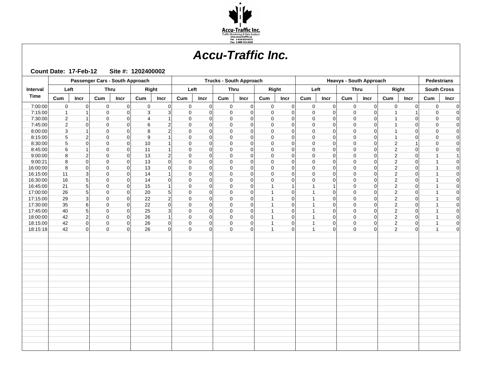

|                      |                |                      |                            | Passenger Cars - South Approach |                |                               |                            |                            | <b>Trucks - South Approach</b> |               |                                |                |                                  |                      | <b>Heavys - South Approach</b> |                |                                  |                      |     | <b>Pedestrians</b>                       |
|----------------------|----------------|----------------------|----------------------------|---------------------------------|----------------|-------------------------------|----------------------------|----------------------------|--------------------------------|---------------|--------------------------------|----------------|----------------------------------|----------------------|--------------------------------|----------------|----------------------------------|----------------------|-----|------------------------------------------|
| Interval             | Left           |                      |                            | <b>Thru</b>                     |                | Right                         | Left                       |                            | <b>Thru</b>                    |               | Right                          |                | Left                             |                      | <b>Thru</b>                    |                |                                  | Right                |     | <b>South Cross</b>                       |
| <b>Time</b>          | Cum            | Incr                 | Cum                        | Incr                            | Cum            | <b>Incr</b>                   | Cum                        | Incr                       | Cum                            | Incr          | Cum                            | Incr           | Cum                              | Incr                 | Cum                            | Incr           | Cum                              | Incr                 | Cum | <b>Incr</b>                              |
| 7:00:00              | $\mathsf 0$    | $\overline{0}$       | $\mathbf 0$                | 0                               | $\pmb{0}$      | $\pmb{0}$                     | $\mathsf 0$                | 0                          | $\mathbf 0$                    | $\mathbf 0$   | $\mathsf 0$                    | 0              | $\pmb{0}$                        | 0                    | $\pmb{0}$                      | 0              | $\mathbf 0$                      | $\overline{0}$       |     | $\mathsf{O}\xspace$<br>$\pmb{0}$         |
| 7:15:00              | $\mathbf{1}$   | 1                    | $\mathbf 0$                | $\Omega$                        | 3              | 3                             | $\mathbf 0$                | $\Omega$                   | $\mathbf 0$                    | $\Omega$      | $\mathbf 0$                    | $\Omega$       | $\mathbf 0$                      | $\Omega$             | $\mathbf 0$                    | $\Omega$       | $\overline{1}$                   |                      |     | $\mathbf 0$<br>$\mathbf 0$               |
| 7:30:00              | $\overline{2}$ |                      | $\mathbf 0$                | $\Omega$                        | $\overline{4}$ |                               | $\mathbf 0$                | $\Omega$                   | $\mathbf 0$                    | $\Omega$      | $\mathbf 0$                    | $\Omega$       | $\mathbf 0$                      | $\Omega$             | $\mathbf 0$                    | $\Omega$       | $\overline{1}$                   | $\Omega$             |     | $\mathbf 0$<br>$\mathbf 0$               |
| 7:45:00              | $\mathbf 2$    | $\Omega$             | $\mathbf 0$                | $\overline{0}$                  | 6              | $\overline{2}$                | $\mathbf 0$                | $\overline{0}$             | $\mathbf 0$                    | $\Omega$      | $\mathbf 0$                    | $\overline{0}$ | $\mathbf 0$                      | $\Omega$             | $\mathbf 0$                    | $\Omega$       |                                  | $\Omega$             |     | $\mathbf 0$<br>$\pmb{0}$                 |
| 8:00:00              | 3              |                      | $\mathbf 0$                | $\Omega$                        | 8              | 2                             | $\Omega$                   | $\Omega$                   | $\Omega$                       | ∩             | $\Omega$                       | $\Omega$       | $\mathbf 0$                      | $\Omega$             | $\Omega$                       | $\Omega$       | $\overline{1}$                   | ∩                    |     | $\pmb{0}$<br>$\mathbf 0$                 |
| 8:15:00              | 5              | $\overline{2}$       | 0                          | $\Omega$                        | 9              |                               | $\Omega$                   | $\Omega$                   | $\mathbf 0$                    | $\Omega$      | $\Omega$                       | $\Omega$       | $\mathbf 0$                      | $\Omega$             | $\Omega$                       | $\Omega$       | $\overline{1}$                   | ∩                    |     | $\mathbf 0$<br>$\Omega$                  |
| 8:30:00              | 5              | 0                    | $\mathbf 0$                | $\overline{0}$                  | 10             |                               | $\Omega$                   | $\Omega$                   | $\mathbf 0$                    | $\Omega$      | $\Omega$                       | $\Omega$       | $\mathbf 0$                      | $\Omega$             | $\mathbf 0$                    | $\Omega$       | $\overline{c}$                   |                      |     | $\Omega$<br>0                            |
| 8:45:00              | $\,6\,$        |                      | $\mathbf 0$                | $\overline{0}$                  | 11             |                               | $\mathbf 0$                | $\Omega$                   | $\mathbf 0$                    | $\Omega$      | $\mathbf 0$                    | $\Omega$       | $\mathbf 0$                      | $\Omega$             | $\mathbf 0$                    | $\Omega$       | $\overline{2}$                   | $\Omega$             |     | $\pmb{0}$<br>$\mathbf 0$                 |
| 9:00:00              | $\bf 8$        | $\overline{2}$       | 0                          | $\mathbf 0$                     | 13             | $\overline{2}$                | $\mathbf 0$                | $\mathbf 0$                | $\mathbf 0$                    | $\Omega$      | $\mathbf 0$                    | $\Omega$       | $\mathbf 0$                      | $\Omega$             | $\mathbf 0$                    | 0              | $\overline{2}$                   | $\Omega$             |     | $\mathbf{1}$                             |
| 9:00:21              | 8              | 0                    | $\mathbf 0$                | 0                               | 13             | 0                             | $\mathbf 0$                | $\mathbf 0$                | $\mathbf 0$                    | $\Omega$      | $\Omega$                       | $\Omega$       | $\mathbf 0$                      | $\Omega$             | $\mathbf 0$                    | $\Omega$       | $\mathbf 2$                      | $\Omega$             |     | $\pmb{0}$<br>1                           |
| 16:00:00             | 8              | $\Omega$             | $\mathbf 0$                | $\overline{0}$                  | 13             | $\Omega$                      | $\mathbf 0$                | $\Omega$                   | $\mathbf 0$                    | $\Omega$      | $\mathbf 0$                    | $\Omega$       | $\mathbf 0$                      | $\Omega$             | $\Omega$                       | $\Omega$       | $\overline{2}$                   | $\Omega$             |     | $\pmb{0}$<br>$\overline{1}$              |
| 16:15:00             | 11             | 3                    | $\mathbf 0$                | $\overline{0}$                  | 14             |                               | $\mathbf 0$                | $\mathbf 0$                | $\mathbf 0$                    | $\Omega$      | $\Omega$                       | $\Omega$       | $\Omega$                         | $\Omega$             | $\Omega$                       | $\Omega$       | $\overline{2}$                   | $\Omega$             |     | $\mathsf 0$                              |
| 16:30:00             | 16             | 5 <sup>1</sup>       | $\mathbf 0$                | $\Omega$                        | 14             | 0                             | $\mathbf 0$                | $\Omega$                   | $\mathbf 0$                    | $\Omega$      | $\Omega$                       | $\Omega$       | $\mathbf 0$                      | $\Omega$             | $\mathbf 0$                    | $\Omega$       | 2                                | $\Omega$             |     | $\pmb{0}$<br>1                           |
| 16:45:00             | 21             | 5                    | $\mathbf 0$                | $\Omega$                        | 15             |                               | $\mathbf 0$                | $\Omega$                   | $\mathbf 0$                    | $\Omega$      | $\overline{1}$                 | $\overline{1}$ | $\overline{1}$                   |                      | $\Omega$                       | $\Omega$       | $\overline{2}$                   | $\Omega$             |     | $\mathbf 0$                              |
| 17:00:00             | 26             | 5                    | $\mathbf 0$                | $\Omega$                        | 20             | 5                             | $\mathbf 0$                | $\Omega$                   | $\mathbf 0$                    |               | $\mathbf{1}$<br>$\overline{1}$ | $\Omega$       | $\overline{1}$<br>$\overline{1}$ | $\Omega$             | $\Omega$                       | $\Omega$       | $\overline{2}$                   | ∩                    |     | $\pmb{0}$<br>1                           |
| 17:15:00             | 29             | $\overline{3}$       | $\mathbf 0$                | $\Omega$                        | 22             | $\overline{2}$                | $\mathbf 0$                | $\Omega$                   | $\mathbf 0$                    | $\Omega$      | $\overline{1}$                 | $\Omega$       | $\overline{1}$                   | $\Omega$             | $\mathbf 0$                    | 0              | $\mathbf 2$                      | $\Omega$<br>$\Omega$ |     | 0<br>$\overline{1}$                      |
| 17:30:00             | 35             | 6 <sup>1</sup>       | $\mathbf 0$                | $\overline{0}$<br>$\Omega$      | 22             | $\mathbf 0$                   | $\mathbf 0$                | $\overline{0}$<br>$\Omega$ | $\pmb{0}$                      | $\Omega$      | $\overline{1}$                 | 0 <br>$\Omega$ | $\overline{1}$                   | $\Omega$<br>$\Omega$ | $\mathbf 0$<br>$\Omega$        | 0 <br>$\Omega$ | $\overline{2}$                   | ∩                    |     | $\mathsf 0$                              |
| 17:45:00<br>18:00:00 | 40<br>42       | 5                    | $\mathbf 0$<br>$\mathbf 0$ |                                 | 25<br>26       | $\overline{3}$<br>$\mathbf 1$ | $\mathbf 0$<br>$\mathbf 0$ |                            | $\mathbf 0$<br>$\mathbf 0$     | $\Omega$      | $\mathbf{1}$                   | $\Omega$       | $\overline{1}$                   |                      | $\Omega$                       | 0              | $\overline{2}$                   |                      |     | $\pmb{0}$<br>$\mathbf{1}$<br>$\mathbf 0$ |
| 18:15:00             | 42             | 2 <br>$\overline{0}$ | $\pmb{0}$                  | $\Omega$<br> 0                  | 26             | $\mathbf 0$                   | $\pmb{0}$                  | $\Omega$<br>$\overline{0}$ | $\pmb{0}$                      | $\Omega$      | $\overline{1}$                 | 0              | $\overline{1}$                   | $\Omega$<br>0        | $\mathbf 0$                    | 0              | $\overline{2}$<br>$\overline{2}$ | $\Omega$<br>$\Omega$ |     | $\mathsf 0$<br>$\mathbf{1}$              |
| 18:15:18             | 42             | $\Omega$             | $\mathbf 0$                | $\Omega$                        | 26             | $\Omega$                      | $\Omega$                   | $\Omega$                   | $\mathbf 0$                    | 0<br>$\Omega$ | $\mathbf{1}$                   | $\Omega$       | $\mathbf{1}$                     | $\Omega$             | $\Omega$                       | $\Omega$       | $\overline{2}$                   | $\Omega$             |     | $\pmb{0}$<br>$\overline{1}$              |
|                      |                |                      |                            |                                 |                |                               |                            |                            |                                |               |                                |                |                                  |                      |                                |                |                                  |                      |     |                                          |
|                      |                |                      |                            |                                 |                |                               |                            |                            |                                |               |                                |                |                                  |                      |                                |                |                                  |                      |     |                                          |
|                      |                |                      |                            |                                 |                |                               |                            |                            |                                |               |                                |                |                                  |                      |                                |                |                                  |                      |     |                                          |
|                      |                |                      |                            |                                 |                |                               |                            |                            |                                |               |                                |                |                                  |                      |                                |                |                                  |                      |     |                                          |
|                      |                |                      |                            |                                 |                |                               |                            |                            |                                |               |                                |                |                                  |                      |                                |                |                                  |                      |     |                                          |
|                      |                |                      |                            |                                 |                |                               |                            |                            |                                |               |                                |                |                                  |                      |                                |                |                                  |                      |     |                                          |
|                      |                |                      |                            |                                 |                |                               |                            |                            |                                |               |                                |                |                                  |                      |                                |                |                                  |                      |     |                                          |
|                      |                |                      |                            |                                 |                |                               |                            |                            |                                |               |                                |                |                                  |                      |                                |                |                                  |                      |     |                                          |
|                      |                |                      |                            |                                 |                |                               |                            |                            |                                |               |                                |                |                                  |                      |                                |                |                                  |                      |     |                                          |
|                      |                |                      |                            |                                 |                |                               |                            |                            |                                |               |                                |                |                                  |                      |                                |                |                                  |                      |     |                                          |
|                      |                |                      |                            |                                 |                |                               |                            |                            |                                |               |                                |                |                                  |                      |                                |                |                                  |                      |     |                                          |
|                      |                |                      |                            |                                 |                |                               |                            |                            |                                |               |                                |                |                                  |                      |                                |                |                                  |                      |     |                                          |
|                      |                |                      |                            |                                 |                |                               |                            |                            |                                |               |                                |                |                                  |                      |                                |                |                                  |                      |     |                                          |
|                      |                |                      |                            |                                 |                |                               |                            |                            |                                |               |                                |                |                                  |                      |                                |                |                                  |                      |     |                                          |
|                      |                |                      |                            |                                 |                |                               |                            |                            |                                |               |                                |                |                                  |                      |                                |                |                                  |                      |     |                                          |
|                      |                |                      |                            |                                 |                |                               |                            |                            |                                |               |                                |                |                                  |                      |                                |                |                                  |                      |     |                                          |
|                      |                |                      |                            |                                 |                |                               |                            |                            |                                |               |                                |                |                                  |                      |                                |                |                                  |                      |     |                                          |
|                      |                |                      |                            |                                 |                |                               |                            |                            |                                |               |                                |                |                                  |                      |                                |                |                                  |                      |     |                                          |
|                      |                |                      |                            |                                 |                |                               |                            |                            |                                |               |                                |                |                                  |                      |                                |                |                                  |                      |     |                                          |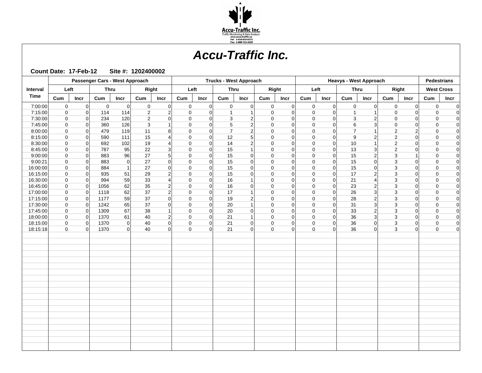

|                      | Passenger Cars - West Approach |                         |              |                |                |                                  |                            |                      | <b>Trucks - West Approach</b> |                |                            |             |                  |                            | <b>Heavys - West Approach</b> |                      |                   |                      |     | <b>Pedestrians</b>                             |
|----------------------|--------------------------------|-------------------------|--------------|----------------|----------------|----------------------------------|----------------------------|----------------------|-------------------------------|----------------|----------------------------|-------------|------------------|----------------------------|-------------------------------|----------------------|-------------------|----------------------|-----|------------------------------------------------|
| Interval             | Left                           |                         | <b>Thru</b>  |                | Right          |                                  | Left                       |                      | <b>Thru</b>                   |                |                            | Right       |                  | Left                       | <b>Thru</b>                   |                      |                   | Right                |     | <b>West Cross</b>                              |
| <b>Time</b>          | $_{\text{Cum}}$                | Incr                    | Cum          | Incr           | Cum            | <b>Incr</b>                      | Cum                        | Incr                 | Cum                           | Incr           | Cum                        | <b>Incr</b> | Cum              | Incr                       | Cum                           | Incr                 | Cum               | Incr                 | Cum | Incr                                           |
| 7:00:00              | $\mathbf 0$                    | 0                       | $\mathbf 0$  | 0              | $\mathsf 0$    | 0                                | $\mathsf 0$                | 0                    | $\mathbf 0$                   | $\mathbf 0$    | $\mathbf 0$                | 0           | $\mathbf 0$      | 0                          | $\mathbf 0$                   | 0                    | $\mathbf 0$       | $\Omega$             |     | $\mathsf{O}\xspace$<br>$\mathbf 0$             |
| 7:15:00              | $\mathbf 0$                    | 0                       | 114          | 114            | $\overline{2}$ | 2                                | $\mathbf 0$                | $\Omega$             | $\mathbf{1}$                  |                | $\mathbf 0$                | $\Omega$    | $\mathbf 0$      | $\Omega$                   | $\mathbf{1}$                  |                      | $\mathbf 0$       | $\Omega$             |     | $\mathbf 0$<br>0                               |
| 7:30:00              | 0                              | $\Omega$                | 234          | 120            | $\overline{2}$ | $\Omega$                         | $\mathbf 0$                | $\Omega$             | 3                             | 2              | $\mathbf 0$                | $\Omega$    | $\mathbf 0$      | $\Omega$                   | 3                             | $\overline{2}$       | $\mathbf 0$       | $\Omega$             |     | $\mathbf 0$<br>$\mathbf 0$                     |
| 7:45:00              | $\mathbf 0$                    | $\Omega$                | 360          | 126            | 3              |                                  | $\mathbf 0$                | $\overline{0}$       | 5                             | $\overline{2}$ | $\mathbf 0$                | 0           | $\mathbf 0$      | $\Omega$                   | 6                             | $\lvert 3 \rvert$    | $\mathbf 0$       | $\Omega$             |     | $\mathbf 0$<br>$\pmb{0}$                       |
| 8:00:00              | $\mathbf 0$                    | 0                       | 479          | 119            | 11             | 8                                | $\mathbf 0$                | $\mathbf 0$          | $\overline{7}$                | $\overline{2}$ | $\Omega$                   | $\Omega$    | $\mathbf 0$      | $\Omega$                   | $\overline{7}$                | -1                   | $\overline{2}$    | $\overline{2}$       |     | $\mathbf 0$<br>0                               |
| 8:15:00              | $\mathbf 0$                    | $\Omega$                | 590          | 111            | 15             | 4                                | $\mathbf 0$                | $\Omega$             | 12                            | 5              | $\mathbf 0$                | $\Omega$    | $\mathbf 0$      | $\Omega$                   | 9                             | $\overline{2}$       | $\overline{2}$    | $\Omega$             |     | $\mathbf 0$<br>$\mathbf 0$                     |
| 8:30:00              | $\mathbf 0$                    | 0                       | 692          | 102            | 19             | 4                                | $\mathbf 0$                | $\overline{0}$       | 14                            | 2              | $\mathbf 0$                | 0           | $\mathbf 0$      | $\overline{0}$             | $10$                          | $\mathbf{1}$         | $\overline{2}$    | $\Omega$             |     | $\mathbf 0$<br>$\pmb{0}$                       |
| 8:45:00              | $\mathbf 0$                    | 0                       | 787          | 95             | 22             | $\mathbf{3}$                     | 0                          | $\overline{0}$       | 15                            |                | $\mathbf 0$                | 0           | $\mathbf 0$      | $\overline{0}$             | 13                            | 3                    | $\overline{2}$    | $\Omega$             |     | $\mathbf 0$<br>$\pmb{0}$                       |
| 9:00:00              | $\mathbf 0$                    | $\Omega$                | 883          | 96             | 27             | 5 <sup>1</sup>                   | $\mathbf 0$                | $\Omega$             | 15                            | $\Omega$       | $\Omega$                   | $\Omega$    | $\mathbf 0$      | $\Omega$                   | 15                            | $\overline{2}$       | $\mathbf{3}$      |                      |     | $\mathbf 0$<br>$\mathbf 0$                     |
| 9:00:21              | $\mathbf 0$                    | 0                       | 883          | $\overline{0}$ | 27             | $\mathbf 0$                      | $\mathbf 0$                | $\overline{0}$       | 15                            | $\mathbf 0$    | $\mathbf 0$                | 0           | $\mathbf 0$      | $\overline{0}$             | 15                            | 0                    | $\mathbf{3}$      | $\Omega$             |     | $\mathbf 0$<br>$\pmb{0}$                       |
| 16:00:00             | $\mathbf 0$                    | 0                       | 884          | $\mathbf{1}$   | 27             | 0                                | 0                          | $\overline{0}$       | 15                            | $\Omega$       | $\mathbf 0$                | 0           | 0                | $\Omega$                   | 15                            | 0                    | $\mathbf{3}$      | $\Omega$             |     | $\pmb{0}$<br>$\mathbf 0$                       |
| 16:15:00             | $\mathbf 0$                    | $\Omega$                | 935          | 51             | 29             | $\overline{2}$                   | $\Omega$                   | $\Omega$             | 15                            | $\Omega$       | $\Omega$                   | $\Omega$    | $\mathbf 0$      | $\Omega$                   | 17                            | 2 <sup>1</sup>       | $\mathbf{3}$      | $\Omega$             |     | $\mathbf 0$<br>$\Omega$                        |
| 16:30:00             | $\overline{0}$                 | 0                       | 994          | 59             | 33             | $\overline{4}$                   | $\mathbf 0$                | $\overline{0}$       | 16                            |                | $\mathbf 0$                | 0           | $\mathbf 0$      | $\overline{0}$             | 21                            | 4                    | $\mathbf{3}$      | $\Omega$             |     | $\mathbf 0$<br>$\pmb{0}$                       |
| 16:45:00             | $\mathbf 0$                    | 0                       | 1056         | 62             | 35             | $\overline{2}$                   | $\mathbf 0$                | $\overline{0}$       | 16                            | 0              | $\mathbf 0$                | $\Omega$    | $\mathbf 0$      | $\Omega$                   | 23                            | $\overline{2}$       | 3                 | $\Omega$             |     | $\mathbf 0$<br>$\pmb{0}$                       |
| 17:00:00             | $\mathbf 0$                    | $\Omega$                | 1118         | 62             | 37             | $\overline{2}$                   | $\Omega$                   | $\Omega$             | 17                            |                | $\Omega$                   | $\Omega$    | $\Omega$         | $\Omega$                   | 26                            | $\lvert 3 \rvert$    | 3                 | $\Omega$             |     | $\Omega$<br>$\mathbf 0$                        |
| 17:15:00             | $\mathbf 0$                    | $\mathbf 0$             | 1177         | 59             | 37             | 0                                | $\mathbf 0$                | $\overline{0}$       | 19                            | 2              | $\mathbf 0$                | 0           | $\mathbf 0$      | $\overline{0}$             | 28                            | 2                    | 3                 | $\Omega$             |     | $\mathbf 0$<br>0                               |
| 17:30:00             | $\mathbf 0$                    | $\mathbf 0$<br>$\Omega$ | 1242         | 65<br>67       | 37<br>38       | $\overline{0}$<br>$\overline{1}$ | $\mathbf 0$<br>$\Omega$    | $\overline{0}$       | 20                            |                | $\mathbf 0$<br>$\Omega$    | 0           | $\mathbf 0$      | $\Omega$<br>$\Omega$       | 31<br>33                      | $\lvert 3 \rvert$    | $\sqrt{3}$        | $\Omega$<br>$\Omega$ |     | $\mathbf 0$<br>$\mathbf 0$<br>$\Omega$         |
| 17:45:00             | $\mathbf 0$                    |                         | 1309         |                |                |                                  |                            | $\Omega$             | 20                            | $\Omega$       |                            | $\Omega$    | $\mathbf 0$      |                            | 36                            | 2 <sup>1</sup>       | 3                 |                      |     | $\mathbf 0$                                    |
| 18:00:00<br>18:15:00 | 0<br>$\mathbf 0$               | $\mathbf 0$             | 1370<br>1370 | 61<br> 0       | 40<br>40       | $\overline{2}$                   | $\mathbf 0$<br>$\mathbf 0$ | 0                    | 21<br>21                      | -1             | $\mathbf 0$<br>$\mathbf 0$ | 0 <br> 0    | 0<br>$\mathbf 0$ | 0                          | 36                            | 3 <sup>1</sup><br> 0 | 3<br>$\mathbf{3}$ | $\Omega$<br>$\Omega$ |     | $\mathbf 0$<br>0<br>$\mathbf 0$<br>$\mathbf 0$ |
| 18:15:18             | $\mathbf 0$                    | 0<br>$\mathbf 0$        | 1370         | 0              | 40             | 0<br>$\Omega$                    | $\mathbf 0$                | 0 <br>$\overline{0}$ | 21                            | 0<br>$\Omega$  | $\mathbf 0$                | 0           | $\mathbf 0$      | $\overline{0}$<br>$\Omega$ | 36                            | $\Omega$             | 3                 | $\Omega$             |     | $\pmb{0}$<br>$\mathbf 0$                       |
|                      |                                |                         |              |                |                |                                  |                            |                      |                               |                |                            |             |                  |                            |                               |                      |                   |                      |     |                                                |
|                      |                                |                         |              |                |                |                                  |                            |                      |                               |                |                            |             |                  |                            |                               |                      |                   |                      |     |                                                |
|                      |                                |                         |              |                |                |                                  |                            |                      |                               |                |                            |             |                  |                            |                               |                      |                   |                      |     |                                                |
|                      |                                |                         |              |                |                |                                  |                            |                      |                               |                |                            |             |                  |                            |                               |                      |                   |                      |     |                                                |
|                      |                                |                         |              |                |                |                                  |                            |                      |                               |                |                            |             |                  |                            |                               |                      |                   |                      |     |                                                |
|                      |                                |                         |              |                |                |                                  |                            |                      |                               |                |                            |             |                  |                            |                               |                      |                   |                      |     |                                                |
|                      |                                |                         |              |                |                |                                  |                            |                      |                               |                |                            |             |                  |                            |                               |                      |                   |                      |     |                                                |
|                      |                                |                         |              |                |                |                                  |                            |                      |                               |                |                            |             |                  |                            |                               |                      |                   |                      |     |                                                |
|                      |                                |                         |              |                |                |                                  |                            |                      |                               |                |                            |             |                  |                            |                               |                      |                   |                      |     |                                                |
|                      |                                |                         |              |                |                |                                  |                            |                      |                               |                |                            |             |                  |                            |                               |                      |                   |                      |     |                                                |
|                      |                                |                         |              |                |                |                                  |                            |                      |                               |                |                            |             |                  |                            |                               |                      |                   |                      |     |                                                |
|                      |                                |                         |              |                |                |                                  |                            |                      |                               |                |                            |             |                  |                            |                               |                      |                   |                      |     |                                                |
|                      |                                |                         |              |                |                |                                  |                            |                      |                               |                |                            |             |                  |                            |                               |                      |                   |                      |     |                                                |
|                      |                                |                         |              |                |                |                                  |                            |                      |                               |                |                            |             |                  |                            |                               |                      |                   |                      |     |                                                |
|                      |                                |                         |              |                |                |                                  |                            |                      |                               |                |                            |             |                  |                            |                               |                      |                   |                      |     |                                                |
|                      |                                |                         |              |                |                |                                  |                            |                      |                               |                |                            |             |                  |                            |                               |                      |                   |                      |     |                                                |
|                      |                                |                         |              |                |                |                                  |                            |                      |                               |                |                            |             |                  |                            |                               |                      |                   |                      |     |                                                |
|                      |                                |                         |              |                |                |                                  |                            |                      |                               |                |                            |             |                  |                            |                               |                      |                   |                      |     |                                                |
|                      |                                |                         |              |                |                |                                  |                            |                      |                               |                |                            |             |                  |                            |                               |                      |                   |                      |     |                                                |
|                      |                                |                         |              |                |                |                                  |                            |                      |                               |                |                            |             |                  |                            |                               |                      |                   |                      |     |                                                |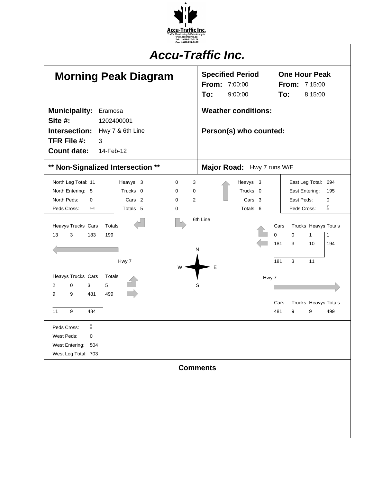

| <b>Accu-Traffic Inc.</b>                                                                                                                                                                                                                                                                                                                                                      |                                                                                                                                                                                                                                                                                                                                                   |
|-------------------------------------------------------------------------------------------------------------------------------------------------------------------------------------------------------------------------------------------------------------------------------------------------------------------------------------------------------------------------------|---------------------------------------------------------------------------------------------------------------------------------------------------------------------------------------------------------------------------------------------------------------------------------------------------------------------------------------------------|
| <b>Morning Peak Diagram</b>                                                                                                                                                                                                                                                                                                                                                   | <b>Specified Period</b><br><b>One Hour Peak</b><br>7:00:00<br>From:<br>From:<br>7:15:00<br>To:<br>9:00:00<br>To:<br>8:15:00                                                                                                                                                                                                                       |
| <b>Municipality:</b><br>Eramosa<br>Site #:<br>1202400001<br>Intersection:<br>Hwy 7 & 6th Line<br>TFR File #:<br>3<br><b>Count date:</b><br>14-Feb-12                                                                                                                                                                                                                          | <b>Weather conditions:</b><br>Person(s) who counted:                                                                                                                                                                                                                                                                                              |
| ** Non-Signalized Intersection **                                                                                                                                                                                                                                                                                                                                             | Major Road: Hwy 7 runs W/E                                                                                                                                                                                                                                                                                                                        |
| North Leg Total: 11<br>Heavys 3<br>3<br>0<br>Trucks 0<br>North Entering: 5<br>0<br>0<br>North Peds:<br>2<br>Cars <sub>2</sub><br>$\Omega$<br>0<br>Totals 5<br>$\Omega$<br>Peds Cross:<br>⊠<br>Heavys Trucks Cars<br><b>Totals</b><br>3<br>183<br>199<br>13<br>Hwy 7<br>W<br>Heavys Trucks Cars<br>Totals<br>$\Omega$<br>3<br>5<br>2<br>9<br>481<br>499<br>9<br>9<br>11<br>484 | Heavys 3<br>East Leg Total: 694<br>Trucks 0<br>East Entering:<br>195<br>Cars 3<br>East Peds:<br>0<br>X<br>Totals 6<br>Peds Cross:<br>6th Line<br>Trucks Heavys Totals<br>Cars<br>0<br>$\mathbf 0$<br>1<br>$\mathbf{1}$<br>181<br>10<br>194<br>3<br>N<br>3<br>11<br>181<br>E<br>Hwy 7<br>S<br>Trucks Heavys Totals<br>Cars<br>481<br>9<br>9<br>499 |
| Χ<br>Peds Cross:<br>West Peds:<br>$\Omega$<br>West Entering:<br>504<br>West Leg Total: 703<br><b>Comments</b>                                                                                                                                                                                                                                                                 |                                                                                                                                                                                                                                                                                                                                                   |
|                                                                                                                                                                                                                                                                                                                                                                               |                                                                                                                                                                                                                                                                                                                                                   |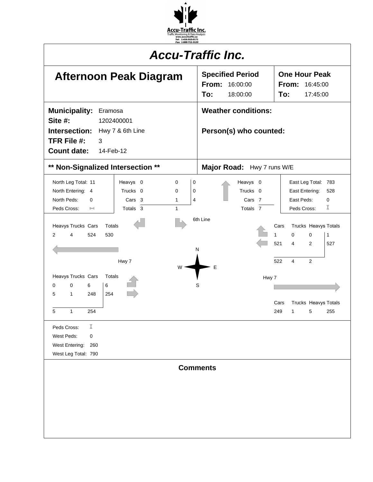

|                                                                                                                                                                                                                                                                                                                                                                                                                                                                                             | <b>Accu-Traffic Inc.</b>                                                                                                                                                                                                                                                                                                                                                |
|---------------------------------------------------------------------------------------------------------------------------------------------------------------------------------------------------------------------------------------------------------------------------------------------------------------------------------------------------------------------------------------------------------------------------------------------------------------------------------------------|-------------------------------------------------------------------------------------------------------------------------------------------------------------------------------------------------------------------------------------------------------------------------------------------------------------------------------------------------------------------------|
| <b>Afternoon Peak Diagram</b>                                                                                                                                                                                                                                                                                                                                                                                                                                                               | <b>Specified Period</b><br><b>One Hour Peak</b><br>From:<br>16:00:00<br>From:<br>16:45:00<br>To:<br>18:00:00<br>To:<br>17:45:00                                                                                                                                                                                                                                         |
| <b>Municipality:</b><br>Eramosa<br>Site #:<br>1202400001<br>Intersection:<br>Hwy 7 & 6th Line<br>TFR File #:<br>3<br><b>Count date:</b><br>14-Feb-12                                                                                                                                                                                                                                                                                                                                        | <b>Weather conditions:</b><br>Person(s) who counted:                                                                                                                                                                                                                                                                                                                    |
| ** Non-Signalized Intersection **                                                                                                                                                                                                                                                                                                                                                                                                                                                           | Major Road: Hwy 7 runs W/E                                                                                                                                                                                                                                                                                                                                              |
| North Leg Total: 11<br>Heavys 0<br>0<br>0<br>Trucks 0<br>North Entering: 4<br>0<br>0<br>North Peds:<br>4<br>Cars 3<br>$\mathbf{1}$<br>$\Omega$<br>Totals 3<br>Peds Cross:<br>$\mathbf{1}$<br>$\bowtie$<br>Heavys Trucks Cars<br>Totals<br>524<br>2<br>4<br>530<br>Hwy 7<br>Heavys Trucks Cars<br>Totals<br>$\mathbf 0$<br>6<br>6<br>0<br>254<br>248<br>5<br>$\mathbf{1}$<br>5<br>$\mathbf{1}$<br>254<br>Χ<br>Peds Cross:<br>West Peds:<br>0<br>West Entering:<br>260<br>West Leg Total: 790 | Heavys 0<br>East Leg Total: 783<br>Trucks 0<br>East Entering:<br>528<br>East Peds:<br>Cars 7<br>0<br>Χ<br>Totals 7<br>Peds Cross:<br>6th Line<br>Trucks Heavys Totals<br>Cars<br>$\mathbf{1}$<br>$\mathbf 0$<br>0<br>$\mathbf{1}$<br>521<br>4<br>2<br>527<br>N<br>$\overline{4}$<br>2<br>522<br>Е<br>Hwy 7<br>S<br>Trucks Heavys Totals<br>Cars<br>5<br>249<br>1<br>255 |
|                                                                                                                                                                                                                                                                                                                                                                                                                                                                                             | <b>Comments</b>                                                                                                                                                                                                                                                                                                                                                         |
|                                                                                                                                                                                                                                                                                                                                                                                                                                                                                             |                                                                                                                                                                                                                                                                                                                                                                         |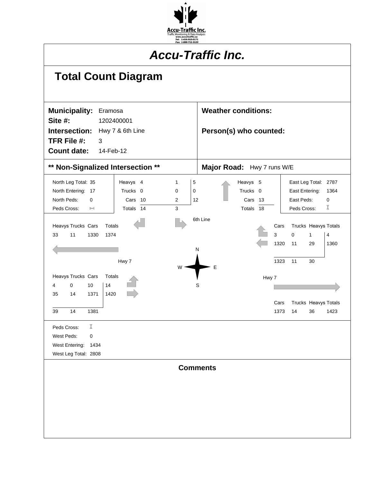

# **Total Count Diagram**

| <b>Municipality:</b><br>Site #:<br>Intersection:<br>TFR File #:<br>3<br><b>Count date:</b>                            | Eramosa<br>1202400001<br>Hwy 7 & 6th Line<br>14-Feb-12        |                                             |                 | <b>Weather conditions:</b><br>Person(s) who counted:                    |                                                                                                               |
|-----------------------------------------------------------------------------------------------------------------------|---------------------------------------------------------------|---------------------------------------------|-----------------|-------------------------------------------------------------------------|---------------------------------------------------------------------------------------------------------------|
| ** Non-Signalized Intersection **                                                                                     |                                                               |                                             |                 | Major Road: Hwy 7 runs W/E                                              |                                                                                                               |
| North Leg Total: 35<br>North Entering: 17<br>North Peds:<br>$\Omega$<br>Peds Cross:<br>⊳⊲<br>Heavys Trucks Cars       | Heavys 4<br>Trucks 0<br>Cars 10<br>Totals 14<br><b>Totals</b> | 5<br>$\mathbf{1}$<br>0<br>0<br>12<br>2<br>3 | 6th Line        | Heavys 5<br>Trucks 0<br>$\textsf{Cars}$<br>13<br>Totals<br>- 18<br>Cars | East Leg Total: 2787<br>East Entering:<br>1364<br>East Peds:<br>0<br>X<br>Peds Cross:<br>Trucks Heavys Totals |
| 33<br>11<br>1330                                                                                                      | 1374<br>Hwy 7                                                 | N<br>W                                      | E               | 3                                                                       | $\mathbf 0$<br>$\overline{4}$<br>1<br>1320<br>11<br>1360<br>29<br>1323<br>11<br>30                            |
| Heavys Trucks Cars<br>14<br>$\mathbf 0$<br>10<br>4<br>35<br>14<br>1371<br>14<br>1381<br>39                            | Totals<br>1420                                                |                                             | S               | Hwy 7<br>Cars                                                           | Trucks Heavys Totals<br>1373<br>14<br>36<br>1423                                                              |
| $\overline{\mathbb{X}}$<br>Peds Cross:<br>West Peds:<br>$\mathbf 0$<br>West Entering:<br>1434<br>West Leg Total: 2808 |                                                               |                                             |                 |                                                                         |                                                                                                               |
|                                                                                                                       |                                                               |                                             | <b>Comments</b> |                                                                         |                                                                                                               |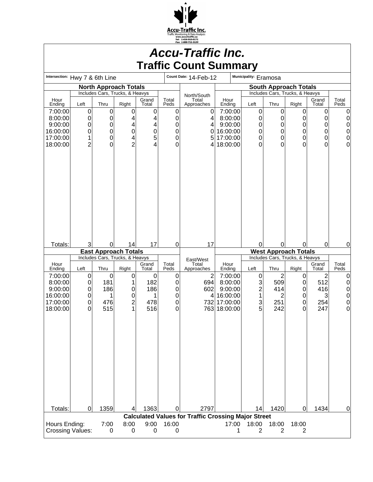

## *Accu-Traffic Inc.* **Traffic Count Summary**

| Intersection: Hwy 7 & 6th Line |                  |                         |                                   |                |               | vu<br>Count Date: 14-Feb-12                                |                              |       | імі<br>Municipality: Eramosa |            |                                                                 |                |                          |
|--------------------------------|------------------|-------------------------|-----------------------------------|----------------|---------------|------------------------------------------------------------|------------------------------|-------|------------------------------|------------|-----------------------------------------------------------------|----------------|--------------------------|
|                                |                  |                         | <b>North Approach Totals</b>      |                |               |                                                            |                              |       |                              |            |                                                                 |                |                          |
|                                |                  |                         | Includes Cars, Trucks, & Heavys   |                |               | North/South                                                |                              |       |                              |            | <b>South Approach Totals</b><br>Includes Cars, Trucks, & Heavys |                |                          |
| Hour<br>Ending                 | Left             | Thru                    | Right                             | Grand<br>Total | Total<br>Peds | Total<br>Approaches                                        | Hour<br>Ending               |       | Left                         | Thru       | Right                                                           | Grand<br>Total | Total<br>Peds            |
| 7:00:00                        | $\boldsymbol{0}$ | $\boldsymbol{0}$        | 0                                 | 0              | 0             | 0                                                          | 7:00:00                      |       | $\pmb{0}$                    | 0          | $\mathbf 0$                                                     | 0              | 0                        |
| 8:00:00<br>9:00:00             | 0<br>0           | $\pmb{0}$<br>$\pmb{0}$  | 4<br>4                            | 4<br>4         | 0<br>0        | 4<br>4                                                     | 8:00:00<br>9:00:00           |       | 0<br>0                       | 0<br>0     | $\mathbf 0$<br>$\mathbf 0$                                      | 0<br>0         | $\mathbf 0$<br>$\pmb{0}$ |
| 16:00:00                       | 0                | 0                       | 0                                 | 0              | 0             | 0                                                          | 16:00:00                     |       | 0                            | 0          | $\mathbf 0$                                                     | 0              | 0                        |
| 17:00:00                       | 1                | $\mathbf 0$             | 4                                 | 5              | 0             | 5                                                          | 17:00:00                     |       | 0                            | 0          | $\mathbf 0$                                                     | 0              | 0                        |
| 18:00:00                       | $\overline{2}$   | 0                       | $\overline{2}$                    | 4              | 0             | 4                                                          | 18:00:00                     |       | 0                            | 0          | $\overline{0}$                                                  | 0              | $\mathbf 0$              |
|                                |                  |                         |                                   |                |               |                                                            |                              |       |                              |            |                                                                 |                |                          |
|                                |                  |                         |                                   |                |               |                                                            |                              |       |                              |            |                                                                 |                |                          |
|                                |                  |                         |                                   |                |               |                                                            |                              |       |                              |            |                                                                 |                |                          |
|                                |                  |                         |                                   |                |               |                                                            |                              |       |                              |            |                                                                 |                |                          |
|                                |                  |                         |                                   |                |               |                                                            |                              |       |                              |            |                                                                 |                |                          |
|                                |                  |                         |                                   |                |               |                                                            |                              |       |                              |            |                                                                 |                |                          |
|                                |                  |                         |                                   |                |               |                                                            |                              |       |                              |            |                                                                 |                |                          |
|                                |                  |                         |                                   |                |               |                                                            |                              |       |                              |            |                                                                 |                |                          |
|                                |                  |                         |                                   |                |               |                                                            |                              |       |                              |            |                                                                 |                |                          |
|                                |                  |                         |                                   |                |               |                                                            |                              |       |                              |            |                                                                 |                |                          |
| Totals:                        | 3                | 0                       | 14<br><b>East Approach Totals</b> | 17             | 0             | 17                                                         |                              |       | 0                            | 0          | 0<br><b>West Approach Totals</b>                                | $\mathbf 0$    | 0                        |
|                                |                  |                         | Includes Cars, Trucks, & Heavys   |                |               | East/West                                                  |                              |       |                              |            | Includes Cars, Trucks, & Heavys                                 |                |                          |
| Hour<br>Ending                 | Left             | Thru                    | Right                             | Grand<br>Total | Total<br>Peds | Total<br>Approaches                                        | Hour<br>Ending               |       | Left                         | Thru       | Right                                                           | Grand<br>Total | Total<br>Peds            |
| 7:00:00                        | $\mathbf 0$      | $\boldsymbol{0}$<br>181 | 0                                 | 0<br>182       | 0             | 2                                                          | 7:00:00                      |       | $\boldsymbol{0}$             | 2          | $\mathbf 0$                                                     | 2              | $\mathbf 0$              |
| 8:00:00<br>9:00:00             | 0<br>0           | 186                     | 1<br>0                            | 186            | 0<br>0        | 694<br>602                                                 | 8:00:00<br>9:00:00           |       | 3<br>$\overline{c}$          | 509<br>414 | $\mathbf 0$<br>$\mathbf 0$                                      | 512<br>416     | $\mathbf 0$<br>$\pmb{0}$ |
| 16:00:00                       | 0                | 1                       | 0                                 | 1              | 0             | 4                                                          | 16:00:00                     |       | 1                            | 2          | 0                                                               | 3              | 0                        |
| 17:00:00                       | 0<br>0           | 476<br>515              | $\overline{c}$<br>1               | 478<br>516     | 0<br>0        |                                                            | 732 17:00:00<br>763 18:00:00 |       | 3<br>5                       | 251<br>242 | $\mathbf 0$<br>$\overline{0}$                                   | 254<br>247     | 0                        |
| 18:00:00                       |                  |                         |                                   |                |               |                                                            |                              |       |                              |            |                                                                 |                | 0                        |
|                                |                  |                         |                                   |                |               |                                                            |                              |       |                              |            |                                                                 |                |                          |
|                                |                  |                         |                                   |                |               |                                                            |                              |       |                              |            |                                                                 |                |                          |
|                                |                  |                         |                                   |                |               |                                                            |                              |       |                              |            |                                                                 |                |                          |
|                                |                  |                         |                                   |                |               |                                                            |                              |       |                              |            |                                                                 |                |                          |
|                                |                  |                         |                                   |                |               |                                                            |                              |       |                              |            |                                                                 |                |                          |
|                                |                  |                         |                                   |                |               |                                                            |                              |       |                              |            |                                                                 |                |                          |
|                                |                  |                         |                                   |                |               |                                                            |                              |       |                              |            |                                                                 |                |                          |
|                                |                  |                         |                                   |                |               |                                                            |                              |       |                              |            |                                                                 |                |                          |
|                                |                  |                         |                                   |                |               |                                                            |                              |       |                              |            |                                                                 |                |                          |
| Totals:                        | 0                | 1359                    | 4                                 | 1363           | 0             | 2797                                                       |                              |       | 14                           | 1420       | 0                                                               | 1434           | 0                        |
|                                |                  |                         |                                   |                |               | <b>Calculated Values for Traffic Crossing Major Street</b> |                              |       |                              |            |                                                                 |                |                          |
| Hours Ending:                  |                  | 7:00                    | 8:00                              | 9:00           | 16:00         |                                                            |                              | 17:00 | 18:00                        | 18:00      | 18:00                                                           |                |                          |
| Crossing Values:               |                  | 0                       | 0                                 | 0              | 0             |                                                            |                              | 1     | 2                            | 2          | 2                                                               |                |                          |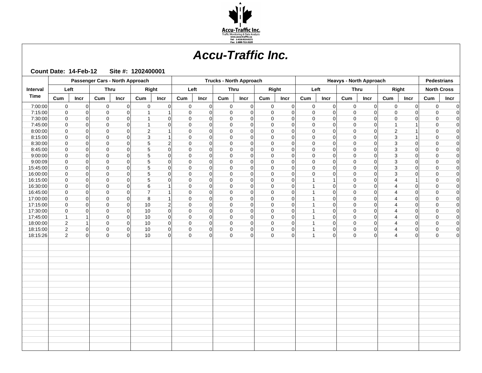

|             | Passenger Cars - North Approach |      |                |             |                |                |                |             |                | <b>Trucks - North Approach</b> |             |              |                |                |                |                     | <b>Heavys - North Approach</b> |                         |                |     | <b>Pedestrians</b>         |
|-------------|---------------------------------|------|----------------|-------------|----------------|----------------|----------------|-------------|----------------|--------------------------------|-------------|--------------|----------------|----------------|----------------|---------------------|--------------------------------|-------------------------|----------------|-----|----------------------------|
| Interval    |                                 | Left |                | Thru        |                |                | Right          | Left        |                | <b>Thru</b>                    |             |              | Right          |                | Left           |                     | <b>Thru</b>                    | Right                   |                |     | <b>North Cross</b>         |
| <b>Time</b> | $_{\text{Cum}}$                 | Incr |                | Cum         | Incr           | Cum            | <b>Incr</b>    | Cum         | Incr           | Cum                            | Incr        | Cum          | Incr           | Cum            | Incr           | Cum                 | Incr                           | $_{\text{Cum}}$         | Incr           | Cum | Incr                       |
| 7:00:00     | $\mathbf 0$                     |      | $\overline{0}$ | $\mathbf 0$ | $\overline{0}$ | $\mathbf 0$    | $\overline{0}$ | $\mathbf 0$ | $\overline{0}$ | $\mathbf 0$                    | $\mathbf 0$ | $\mathbf 0$  | 0              | $\mathbf 0$    | $\overline{0}$ | $\mathbf 0$         | 0                              | $\mathbf 0$             | $\Omega$       |     | $\mathbf 0$<br>$\mathbf 0$ |
| 7:15:00     | $\mathbf 0$                     |      | $\Omega$       | $\mathbf 0$ | $\Omega$       | $\mathbf{1}$   |                | $\mathbf 0$ | $\Omega$       | $\mathbf 0$                    | $\Omega$    | $\mathsf{O}$ | $\Omega$       | $\mathbf 0$    | $\Omega$       | $\mathsf{O}\xspace$ | $\Omega$                       | $\mathbf 0$             | $\Omega$       |     | $\mathbf 0$<br>0           |
| 7:30:00     | $\mathbf 0$                     |      | $\Omega$       | $\mathbf 0$ | $\Omega$       | 1              | $\Omega$       | $\mathbf 0$ | $\Omega$       | $\mathbf 0$                    | $\Omega$    | $\mathbf 0$  | $\Omega$       | $\mathbf 0$    | $\Omega$       | $\mathbf 0$         | $\Omega$                       | $\mathbf 0$             | ∩              |     | $\mathbf 0$<br>$\mathbf 0$ |
| 7:45:00     | $\mathbf 0$                     |      | $\Omega$       | $\Omega$    | $\Omega$       | $\mathbf{1}$   | $\Omega$       | $\Omega$    | $\Omega$       | $\Omega$                       | $\Omega$    | $\Omega$     | $\Omega$       | $\Omega$       | $\Omega$       | $\Omega$            | $\Omega$                       | $\overline{1}$          |                |     | $\Omega$<br>$\pmb{0}$      |
| 8:00:00     | $\mathbf 0$                     |      | $\Omega$       | $\mathbf 0$ | $\mathbf 0$    | $\overline{2}$ |                | $\mathbf 0$ | $\mathbf 0$    | $\mathbf 0$                    | ∩           | $\mathbf 0$  | 0              | $\mathbf 0$    | $\Omega$       | $\mathbf 0$         | 0                              | 2                       |                |     | $\pmb{0}$<br>$\mathbf 0$   |
| 8:15:00     | $\mathbf 0$                     |      | $\Omega$       | $\mathbf 0$ | $\Omega$       | 3              |                | $\Omega$    | $\Omega$       | $\Omega$                       | ∩           | $\Omega$     | $\Omega$       | $\mathbf 0$    | $\Omega$       | $\Omega$            | $\Omega$                       | 3                       |                |     | $\pmb{0}$<br>$\Omega$      |
| 8:30:00     | $\mathbf 0$                     |      | 0              | $\mathbf 0$ | $\mathbf 0$    | $\sqrt{5}$     | $\overline{2}$ | $\mathbf 0$ | $\overline{0}$ | $\pmb{0}$                      | $\Omega$    | $\mathbf 0$  | 0              | $\mathbf 0$    | $\Omega$       | $\mathbf 0$         | 0                              | $\sqrt{3}$              | $\overline{0}$ |     | $\mathbf 0$<br>$\pmb{0}$   |
| 8:45:00     | $\mathbf 0$                     |      | 0              | $\mathbf 0$ | $\mathbf 0$    | $\mathbf 5$    | $\Omega$       | $\mathbf 0$ | $\mathbf 0$    | $\pmb{0}$                      | $\Omega$    | $\pmb{0}$    | $\Omega$       | $\mathbf 0$    | $\Omega$       | $\mathbf 0$         | $\Omega$                       | $\sqrt{3}$              | $\Omega$       |     | $\mathbf 0$<br>$\pmb{0}$   |
| 9:00:00     | $\mathbf 0$                     |      | $\Omega$       | $\mathbf 0$ | $\Omega$       | 5              | $\Omega$       | $\Omega$    | $\Omega$       | $\Omega$                       | ∩           | $\Omega$     | $\Omega$       | $\Omega$       | $\Omega$       | $\Omega$            | $\Omega$                       | 3                       | $\Omega$       |     | $\mathbf 0$<br>$\Omega$    |
| 9:00:09     | $\mathbf 0$                     |      | 0              | $\mathbf 0$ | $\mathbf 0$    | $\mathbf 5$    | $\Omega$       | $\mathbf 0$ | $\overline{0}$ | $\pmb{0}$                      | $\Omega$    | $\mathbf 0$  | 0              | $\mathbf 0$    | $\Omega$       | $\mathbf 0$         | 0                              | 3                       | $\Omega$       |     | $\pmb{0}$<br>$\mathbf 0$   |
| 15:45:00    | $\mathbf 0$                     |      | 0              | $\mathbf 0$ | $\mathbf 0$    | $\sqrt{5}$     | $\Omega$       | $\mathbf 0$ | $\overline{0}$ | $\pmb{0}$                      | $\Omega$    | $\mathbf 0$  | 0              | $\mathbf 0$    | $\Omega$       | $\mathbf 0$         | 0                              | $\sqrt{3}$              | $\Omega$       |     | $\mathbf 0$<br>$\mathbf 0$ |
| 16:00:00    | $\mathbf 0$                     |      | $\Omega$       | $\mathbf 0$ | $\Omega$       | 5              | $\Omega$       | $\Omega$    | $\Omega$       | $\Omega$                       | ∩           | $\Omega$     | $\Omega$       | $\Omega$       | $\Omega$       | $\Omega$            | $\Omega$                       | 3                       | $\Omega$       |     | $\pmb{0}$<br>$\Omega$      |
| 16:15:00    | $\mathbf 0$                     |      | 0              | $\mathbf 0$ | $\overline{0}$ | 5              | $\Omega$       | $\mathbf 0$ | $\overline{0}$ | $\pmb{0}$                      | $\Omega$    | $\mathbf 0$  | 0              | $\overline{1}$ | 1              | $\mathbf 0$         | 0                              | $\overline{4}$          |                |     | $\mathbf 0$<br>$\pmb{0}$   |
| 16:30:00    | $\mathbf 0$                     |      | 0              | $\mathbf 0$ | $\overline{0}$ | 6              |                | $\mathbf 0$ | $\overline{0}$ | $\mathbf 0$                    | $\Omega$    | $\mathbf 0$  | $\Omega$       | $\overline{1}$ | $\Omega$       | $\mathbf 0$         | $\Omega$                       | $\overline{4}$          | $\Omega$       |     | $\mathbf 0$<br>$\mathbf 0$ |
| 16:45:00    | $\mathbf 0$                     |      | $\Omega$       | $\Omega$    | $\Omega$       | $\overline{7}$ |                | $\Omega$    | $\Omega$       | $\Omega$                       | ∩           | $\Omega$     | $\Omega$       | $\overline{1}$ | $\Omega$       | $\Omega$            | $\Omega$                       | $\overline{4}$          | $\Omega$       |     | $\pmb{0}$<br>$\Omega$      |
| 17:00:00    | $\pmb{0}$                       |      | 0              | $\mathbf 0$ | $\overline{0}$ | 8              |                | $\mathbf 0$ | $\overline{0}$ | $\mathbf 0$                    | $\Omega$    | $\mathbf 0$  | 0              | $\overline{1}$ | $\Omega$       | $\mathbf 0$         | 0                              | $\overline{4}$          | ∩              |     | $\mathbf 0$<br>0           |
| 17:15:00    | $\mathbf 0$                     |      | $\Omega$       | $\mathbf 0$ | $\overline{0}$ | 10             | $\overline{2}$ | $\mathbf 0$ | $\mathbf 0$    | $\mathbf 0$                    | $\Omega$    | $\mathbf 0$  | $\overline{0}$ | $\overline{1}$ | $\Omega$       | $\mathbf 0$         | 0                              | $\overline{\mathbf{A}}$ | $\Omega$       |     | $\mathsf 0$<br>$\mathbf 0$ |
| 17:30:00    | $\mathbf 0$                     |      | $\Omega$       | $\Omega$    | $\Omega$       | 10             | $\Omega$       | $\Omega$    | $\Omega$       | $\mathbf 0$                    | ∩           | $\Omega$     | $\Omega$       | $\overline{1}$ | $\Omega$       | $\Omega$            | $\Omega$                       | $\overline{4}$          | $\Omega$       |     | $\pmb{0}$<br>$\Omega$      |
| 17:45:00    | $\mathbf{1}$                    |      | 1              | $\mathbf 0$ | $\overline{0}$ | 10             | 0              | $\mathbf 0$ | $\overline{0}$ | $\pmb{0}$                      | $\Omega$    | $\mathbf 0$  | 0              | $\overline{1}$ | $\Omega$       | $\mathbf 0$         | 0                              | 4                       | $\Omega$       |     | $\mathbf 0$<br>0           |
| 18:00:00    | $\overline{2}$                  |      |                | $\mathbf 0$ | $\overline{0}$ | 10             | 0              | $\mathbf 0$ | $\mathbf 0$    | $\mathbf 0$                    | $\Omega$    | $\mathbf 0$  | $\overline{0}$ | $\overline{1}$ | $\Omega$       | $\Omega$            | $\Omega$                       | $\overline{\mathbf{A}}$ | $\Omega$       |     | $\mathbf 0$<br>$\mathbf 0$ |
| 18:15:00    | $\overline{2}$                  |      | 0              | $\mathbf 0$ | $\mathbf 0$    | 10             | $\Omega$       | $\mathbf 0$ | $\mathbf 0$    | $\pmb{0}$                      | $\Omega$    | $\pmb{0}$    | $\overline{0}$ | $\overline{1}$ | $\Omega$       | $\mathbf 0$         | $\mathbf 0$                    | $\overline{4}$          | $\Omega$       |     | $\mathbf 0$<br>$\pmb{0}$   |
| 18:15:26    | $\overline{2}$                  |      | $\Omega$       | $\Omega$    | $\overline{0}$ | 10             | $\Omega$       | $\Omega$    | $\Omega$       | $\mathbf 0$                    | $\Omega$    | $\Omega$     | $\Omega$       | $\overline{1}$ | $\Omega$       | $\Omega$            | $\Omega$                       | 4                       | $\Omega$       |     | $\mathbf 0$<br>$\pmb{0}$   |
|             |                                 |      |                |             |                |                |                |             |                |                                |             |              |                |                |                |                     |                                |                         |                |     |                            |
|             |                                 |      |                |             |                |                |                |             |                |                                |             |              |                |                |                |                     |                                |                         |                |     |                            |
|             |                                 |      |                |             |                |                |                |             |                |                                |             |              |                |                |                |                     |                                |                         |                |     |                            |
|             |                                 |      |                |             |                |                |                |             |                |                                |             |              |                |                |                |                     |                                |                         |                |     |                            |
|             |                                 |      |                |             |                |                |                |             |                |                                |             |              |                |                |                |                     |                                |                         |                |     |                            |
|             |                                 |      |                |             |                |                |                |             |                |                                |             |              |                |                |                |                     |                                |                         |                |     |                            |
|             |                                 |      |                |             |                |                |                |             |                |                                |             |              |                |                |                |                     |                                |                         |                |     |                            |
|             |                                 |      |                |             |                |                |                |             |                |                                |             |              |                |                |                |                     |                                |                         |                |     |                            |
|             |                                 |      |                |             |                |                |                |             |                |                                |             |              |                |                |                |                     |                                |                         |                |     |                            |
|             |                                 |      |                |             |                |                |                |             |                |                                |             |              |                |                |                |                     |                                |                         |                |     |                            |
|             |                                 |      |                |             |                |                |                |             |                |                                |             |              |                |                |                |                     |                                |                         |                |     |                            |
|             |                                 |      |                |             |                |                |                |             |                |                                |             |              |                |                |                |                     |                                |                         |                |     |                            |
|             |                                 |      |                |             |                |                |                |             |                |                                |             |              |                |                |                |                     |                                |                         |                |     |                            |
|             |                                 |      |                |             |                |                |                |             |                |                                |             |              |                |                |                |                     |                                |                         |                |     |                            |
|             |                                 |      |                |             |                |                |                |             |                |                                |             |              |                |                |                |                     |                                |                         |                |     |                            |
|             |                                 |      |                |             |                |                |                |             |                |                                |             |              |                |                |                |                     |                                |                         |                |     |                            |
|             |                                 |      |                |             |                |                |                |             |                |                                |             |              |                |                |                |                     |                                |                         |                |     |                            |
|             |                                 |      |                |             |                |                |                |             |                |                                |             |              |                |                |                |                     |                                |                         |                |     |                            |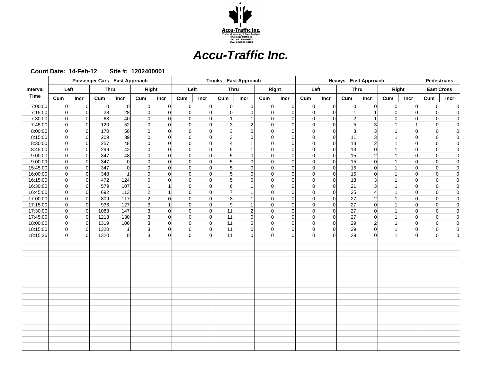

|                      |                            |                | Passenger Cars - East Approach |                                |                          |                      |                            |                      | <b>Trucks - East Approach</b> |                      |                         |                      |                            |                      | <b>Heavys - East Approach</b> |                |                |               |                         | <b>Pedestrians</b>     |
|----------------------|----------------------------|----------------|--------------------------------|--------------------------------|--------------------------|----------------------|----------------------------|----------------------|-------------------------------|----------------------|-------------------------|----------------------|----------------------------|----------------------|-------------------------------|----------------|----------------|---------------|-------------------------|------------------------|
| Interval             | Left                       |                | <b>Thru</b>                    |                                | Right                    |                      | Left                       |                      | Thru                          |                      | Right                   |                      | Left                       |                      | Thru                          |                | Right          |               |                         | <b>East Cross</b>      |
| <b>Time</b>          | Cum                        | <b>Incr</b>    | Cum                            | Incr                           | Cum                      | Incr                 | Cum                        | Incr                 | Cum                           | <b>Incr</b>          | Cum                     | Incr                 | Cum                        | <b>Incr</b>          | Cum                           | <b>Incr</b>    | Cum            | Incr          | Cum                     | <b>Incr</b>            |
| 7:00:00              | $\mathbf 0$                | $\overline{0}$ | $\mathbf 0$                    | $\overline{0}$                 | $\mathsf 0$              | $\overline{0}$       | $\mathsf{O}$               | 0                    | $\mathsf{O}\xspace$           | $\mathbf 0$          | $\mathsf{O}$            | 0                    | $\mathbf 0$                | 0                    | $\mathsf{O}\xspace$           | 0              | $\mathbf 0$    | $\Omega$      | $\mathsf{O}\xspace$     | $\pmb{0}$              |
| 7:15:00              | $\mathbf 0$                | $\Omega$       | 28                             | 28                             | $\mathbf 0$              | $\Omega$             | $\mathbf 0$                | $\Omega$             | $\mathbf 0$                   | $\Omega$             | $\mathbf 0$             | $\Omega$             | $\mathbf 0$                | $\Omega$             | $\mathbf{1}$                  |                | $\mathbf 0$    | $\Omega$      | $\mathbf 0$             | 0                      |
| 7:30:00              | $\mathsf 0$                | $\Omega$       | 68                             | 40                             | $\mathsf 0$              | $\Omega$             | $\mathsf{O}\xspace$        | $\overline{0}$       | $\mathbf{1}$                  |                      | $\mathbf 0$             | 0                    | $\mathbf 0$                | $\Omega$             | $\overline{c}$                |                | $\mathbf 0$    | O             | $\mathbf 0$             | $\mathsf 0$            |
| 7:45:00              | $\mathbf 0$                | $\Omega$       | 120                            | 52                             | $\mathbf 0$              | $\Omega$             | $\mathbf 0$                | $\Omega$             | 3                             | $\mathfrak{p}$       | $\Omega$                | $\Omega$             | $\mathbf 0$                |                      | 5                             | $\mathbf{3}$   |                |               | $\mathbf 0$             | $\pmb{0}$              |
| 8:00:00              | $\mathbf 0$                | $\Omega$       | 170                            | 50                             | $\mathbf 0$              | $\Omega$             | $\Omega$                   | $\Omega$             | 3                             | $\Omega$             | $\Omega$                | $\Omega$             | $\Omega$                   | $\Omega$             | 8                             | 3              | $\overline{ }$ | $\Omega$      | $\Omega$                | 0                      |
| 8:15:00              | $\mathbf 0$                | $\mathbf 0$    | 209                            | 39                             | $\pmb{0}$                | $\Omega$             | $\mathbf 0$                | $\overline{0}$       | 3                             | $\Omega$             | $\mathbf 0$             | 0                    | $\mathbf 0$                | $\Omega$             | 11                            | 3 <sup>2</sup> | $\overline{1}$ | $\Omega$      | $\mathbf 0$             | $\mathsf 0$            |
| 8:30:00              | $\mathbf 0$                | $\Omega$       | 257                            | 48                             | $\pmb{0}$                | $\Omega$             | $\mathbf 0$                | $\Omega$             | $\overline{\mathbf{4}}$       |                      | $\mathbf 0$             | $\Omega$             | $\mathbf 0$                | $\Omega$             | 13                            | $\overline{2}$ | $\overline{1}$ |               | $\Omega$                | 0                      |
| 8:45:00              | 0                          | $\Omega$       | 299                            | 42                             | $\pmb{0}$                | $\Omega$             | $\Omega$                   | $\Omega$             | 5                             |                      | $\Omega$                | $\Omega$             | $\pmb{0}$                  | $\Omega$             | 13                            | 0              | $\overline{1}$ | $\Omega$      | $\Omega$                | $\pmb{0}$              |
| 9:00:00              | $\mathbf 0$                | 0              | 347                            | 48                             | $\mathbf 0$              | $\Omega$             | $\mathbf 0$                | $\Omega$             | 5                             | $\Omega$             | $\mathbf 0$             | $\Omega$             | $\mathbf 0$                | $\Omega$             | 15                            | $\overline{2}$ | $\overline{ }$ | $\Omega$      | $\mathbf 0$             | $\pmb{0}$              |
| 9:00:09              | $\mathbf 0$                | $\Omega$       | 347                            | $\Omega$                       | $\mathbf 0$              | $\Omega$             | $\mathbf 0$                | $\Omega$             | 5                             |                      | $\mathbf 0$             | $\Omega$             | $\mathbf 0$                | $\Omega$             | 15                            | $\Omega$       | $\overline{1}$ |               | $\Omega$                | 0                      |
| 15:45:00             | 0                          | 0              | 347                            | $\overline{0}$<br>$\mathbf{1}$ | $\overline{0}$           | $\Omega$<br>$\Omega$ | $\mathbf 0$                | $\overline{0}$       | 5                             | $\Omega$<br>$\Omega$ | $\mathbf 0$             | 0                    | $\mathbf 0$                | $\Omega$             | 15<br>15                      | 0 <br>$\Omega$ | $\overline{1}$ | $\Omega$<br>∩ | $\mathbf 0$             | $\pmb{0}$              |
| 16:00:00<br>16:15:00 | $\mathbf 0$<br>$\mathbf 0$ | 0<br>$\Omega$  | 348<br>472                     | 124                            | $\mathbf 0$<br>$\pmb{0}$ | $\Omega$             | $\mathbf 0$<br>$\mathbf 0$ | $\Omega$<br>$\Omega$ | 5<br>5                        |                      | $\mathbf 0$<br>$\Omega$ | $\Omega$<br>$\Omega$ | $\mathbf 0$<br>$\mathbf 0$ | $\Omega$<br>$\Omega$ | 18                            | 3              |                |               | $\mathbf 0$<br>$\Omega$ | $\pmb{0}$              |
| 16:30:00             | $\mathbf 0$                | 0              | 579                            | 107                            | $\mathbf{1}$             |                      | $\mathbf 0$                | $\Omega$             | 6                             |                      | $\Omega$                | $\Omega$             | $\mathbf 0$                | $\overline{0}$       | 21                            | 3              | $\overline{1}$ | ∩             | $\mathbf 0$             | $\pmb{0}$<br>$\pmb{0}$ |
| 16:45:00             | $\mathbf 0$                | $\Omega$       | 692                            | 113                            | $\overline{2}$           |                      | $\mathbf 0$                | $\Omega$             | $\overline{7}$                |                      | $\mathbf 0$             | $\Omega$             | $\mathbf 0$                | $\Omega$             | 25                            | $\overline{4}$ | $\overline{ }$ | O             | $\Omega$                | $\mathbf 0$            |
| 17:00:00             | $\mathbf 0$                | 0              | 809                            | 117                            | $\overline{c}$           | $\Omega$             | $\mathbf 0$                | $\mathbf 0$          | 8                             |                      | $\mathbf 0$             | $\overline{0}$       | $\mathbf 0$                | 0                    | 27                            | $\overline{2}$ |                |               | $\mathbf 0$             | $\pmb{0}$              |
| 17:15:00             | $\mathbf 0$                | $\mathbf 0$    | 936                            | 127                            | 3                        |                      | $\mathbf 0$                | $\overline{0}$       | 9                             |                      | $\Omega$                | $\Omega$             | $\mathbf 0$                | $\Omega$             | 27                            | $\Omega$       | $\overline{1}$ | $\Omega$      | $\Omega$                | $\pmb{0}$              |
| 17:30:00             | $\mathsf 0$                | $\Omega$       | 1083                           | 147                            | 3                        | $\Omega$             | $\mathbf 0$                | 0                    | 11                            | 2                    | $\Omega$                | $\Omega$             | $\mathbf 0$                | $\Omega$             | 27                            | $\Omega$       | $\overline{1}$ | $\Omega$      | $\Omega$                | $\mathbf 0$            |
| 17:45:00             | $\mathbf 0$                | $\mathbf 0$    | 1213                           | 130                            | 3                        | $\Omega$             | $\mathbf 0$                | $\overline{0}$       | 11                            | $\Omega$             | $\Omega$                | 0                    | $\mathbf 0$                | $\overline{0}$       | 27                            | 0              | $\overline{1}$ | $\Omega$      | $\Omega$                | 0                      |
| 18:00:00             | $\mathbf 0$                | $\mathbf 0$    | 1319                           | 106                            | 3                        | $\Omega$             | $\mathbf 0$                | $\overline{0}$       | 11                            | $\Omega$             | $\mathbf 0$             | $\Omega$             | $\mathbf 0$                | $\Omega$             | 29                            | $\vert$ 2      | $\overline{1}$ | $\Omega$      | $\mathbf 0$             | $\mathbf 0$            |
| 18:15:00             | $\mathsf 0$                | $\mathbf 0$    | 1320                           | $\mathbf{1}$                   | 3                        | $\Omega$             | $\mathbf 0$                | 0                    | 11                            | $\Omega$             | $\pmb{0}$               | 0                    | $\pmb{0}$                  | $\Omega$             | 29                            | $\Omega$       | $\overline{1}$ | $\Omega$      | $\mathbf 0$             | $\mathsf{O}\xspace$    |
| 18:15:26             | $\mathbf{0}$               | $\Omega$       | 1320                           | 0                              | 3                        | $\Omega$             | $\Omega$                   | $\Omega$             | 11                            | $\Omega$             | $\Omega$                | $\Omega$             | $\Omega$                   | $\Omega$             | 29                            | $\Omega$       | $\overline{1}$ | $\Omega$      | $\Omega$                | $\pmb{0}$              |
|                      |                            |                |                                |                                |                          |                      |                            |                      |                               |                      |                         |                      |                            |                      |                               |                |                |               |                         |                        |
|                      |                            |                |                                |                                |                          |                      |                            |                      |                               |                      |                         |                      |                            |                      |                               |                |                |               |                         |                        |
|                      |                            |                |                                |                                |                          |                      |                            |                      |                               |                      |                         |                      |                            |                      |                               |                |                |               |                         |                        |
|                      |                            |                |                                |                                |                          |                      |                            |                      |                               |                      |                         |                      |                            |                      |                               |                |                |               |                         |                        |
|                      |                            |                |                                |                                |                          |                      |                            |                      |                               |                      |                         |                      |                            |                      |                               |                |                |               |                         |                        |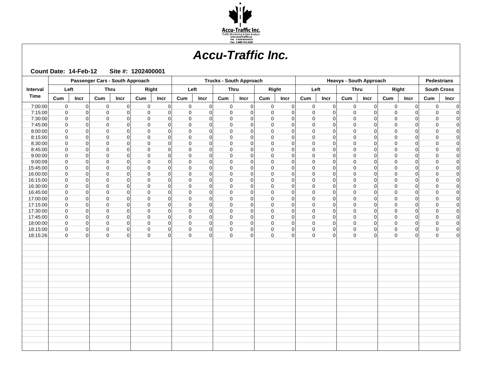

|                    | Passenger Cars - South Approach |                |                          |                         |                            |                |                            |                | <b>Trucks - South Approach</b> |                      |                         |                      |                             |                         | <b>Heavys - South Approach</b> |                |                             |                         |     | <b>Pedestrians</b>                   |
|--------------------|---------------------------------|----------------|--------------------------|-------------------------|----------------------------|----------------|----------------------------|----------------|--------------------------------|----------------------|-------------------------|----------------------|-----------------------------|-------------------------|--------------------------------|----------------|-----------------------------|-------------------------|-----|--------------------------------------|
| Interval           | Left                            |                |                          | <b>Thru</b>             |                            | Right          | Left                       |                | Thru                           |                      |                         | Right                |                             | Left                    | <b>Thru</b>                    |                | Right                       |                         |     | <b>South Cross</b>                   |
| <b>Time</b>        | Cum                             | <b>Incr</b>    | Cum                      | Incr                    | Cum                        | <b>Incr</b>    | Cum                        | Incr           | Cum                            | Incr                 | Cum                     | Incr                 | Cum                         | Incr                    | Cum                            | Incr           | Cum                         | <b>Incr</b>             | Cum | <b>Incr</b>                          |
| 7:00:00            | $\mathbf 0$                     | 0              | $\mathsf{O}\xspace$      | 0                       | $\mathbf 0$                | $\overline{0}$ | $\mathbf 0$                | 0              | $\mathbf 0$                    | $\overline{0}$       | $\mathbf 0$             | 0                    | $\mathbf 0$                 | $\overline{0}$          | $\mathsf 0$                    | 0              | $\mathbf 0$                 | $\overline{0}$          |     | $\mathbf 0$<br>$\mathbf 0$           |
| 7:15:00            | $\pmb{0}$                       | 0              | $\mathsf{O}\xspace$      | 0                       | $\mathbf 0$                | $\mathbf 0$    | $\mathbf 0$                | 0              | $\mathbf{0}$                   | $\Omega$             | $\mathsf{O}\xspace$     | $\overline{0}$       | $\mathsf{O}\xspace$         | $\overline{0}$          | $\mathsf{O}\xspace$            | 0              | $\mathsf{O}\xspace$         | $\overline{0}$          |     | $\mathsf{O}\xspace$<br>$\mathbf 0$   |
| 7:30:00            | $\mathbf 0$                     | $\Omega$       | $\mathbf 0$              | $\Omega$                | $\mathbf 0$                | $\Omega$       | $\mathbf 0$                | $\Omega$       | $\mathbf 0$                    | $\Omega$             | $\mathbf 0$             | $\Omega$             | $\mathbf 0$                 | $\Omega$                | $\mathbf 0$                    | 0              | $\mathbf 0$                 | 0                       |     | $\mathbf 0$<br>$\mathbf 0$           |
| 7:45:00            | $\mathbf 0$                     | $\Omega$       | $\Omega$                 | $\Omega$                | $\mathbf 0$                | $\Omega$       | $\mathbf 0$                | $\Omega$       | $\Omega$                       | $\Omega$             | $\Omega$                | $\Omega$             | $\mathbf 0$                 | $\Omega$                | $\mathbf 0$                    | $\Omega$       | $\mathbf 0$                 | $\Omega$                |     | $\mathbf 0$<br>0                     |
| 8:00:00            | $\mathbf{0}$                    | $\mathbf 0$    | $\mathbf{0}$             | $\mathbf 0$             | $\overline{0}$             | $\Omega$       | $\mathbf 0$                | 0              | $\mathbf 0$                    | $\Omega$             | $\mathbf 0$             | $\overline{0}$       | $\mathbf 0$                 | $\mathbf 0$             | $\mathbf 0$                    | 0              | $\pmb{0}$                   | 0                       |     | $\mathbf 0$<br>$\mathbf 0$           |
| 8:15:00            | $\mathbf 0$                     | $\Omega$       | $\mathbf 0$              | $\Omega$                | $\mathbf 0$                | $\Omega$       | $\mathbf 0$                | $\Omega$       | $\mathbf 0$<br>$\Omega$        | $\Omega$<br>$\Omega$ | $\mathbf 0$<br>$\Omega$ | $\Omega$<br>$\Omega$ | $\mathbf 0$<br>$\mathbf{0}$ | $\Omega$                | $\mathbf 0$                    | 0              | $\mathbf 0$<br>$\mathbf{0}$ | 0                       |     | $\mathbf 0$<br>0                     |
| 8:30:00<br>8:45:00 | $\mathbf 0$<br>$\pmb{0}$        | $\Omega$<br> 0 | $\mathbf 0$<br>$\pmb{0}$ | $\Omega$<br>$\mathbf 0$ | $\mathbf 0$<br>$\mathbf 0$ | $\Omega$<br>0  | $\mathbf 0$<br>$\mathbf 0$ | $\Omega$<br> 0 | $\mathbf 0$                    | $\Omega$             | $\mathbf 0$             | $\Omega$             | $\mathsf{O}\xspace$         | $\Omega$<br>$\mathbf 0$ | $\mathbf 0$<br>$\mathbf 0$     | 0 <br> 0       | $\pmb{0}$                   | $\Omega$<br>$\mathbf 0$ |     | $\mathbf 0$<br>0<br>0<br>$\mathbf 0$ |
| 9:00:00            | $\mathbf 0$                     | $\Omega$       | $\mathbf 0$              | $\Omega$                | $\mathbf 0$                | $\Omega$       | $\mathbf 0$                | $\Omega$       | $\mathbf 0$                    | $\Omega$             | $\mathbf 0$             | $\Omega$             | $\mathbf 0$                 | $\Omega$                | $\mathbf 0$                    | 0              | $\mathbf 0$                 | 0                       |     | $\mathbf 0$<br>0                     |
| 9:00:09            | $\mathbf 0$                     | $\Omega$       | $\Omega$                 | $\Omega$                | $\mathbf 0$                | $\Omega$       | $\Omega$                   | $\Omega$       | $\Omega$                       | $\Omega$             | $\Omega$                | $\Omega$             | $\mathbf 0$                 | $\Omega$                | $\Omega$                       | 0              | $\mathbf{0}$                | $\Omega$                |     | $\Omega$<br>0                        |
| 15:45:00           | $\pmb{0}$                       | $\mathbf 0$    | $\mathbf 0$              | $\mathbf 0$             | $\mathbf 0$                | $\Omega$       | $\mathbf 0$                | $\overline{0}$ | $\mathbf 0$                    | $\Omega$             | $\mathbf 0$             | $\overline{0}$       | $\mathsf{O}\xspace$         | $\mathbf 0$             | $\mathbf 0$                    | 0              | $\pmb{0}$                   | 0                       |     | $\mathbf 0$<br>$\mathbf 0$           |
| 16:00:00           | $\mathbf 0$                     | $\Omega$       | $\mathbf 0$              | $\Omega$                | $\mathbf 0$                | $\Omega$       | $\mathbf 0$                | $\Omega$       | $\mathbf 0$                    | $\Omega$             | $\mathbf 0$             | $\Omega$             | $\mathbf 0$                 | $\Omega$                | $\mathbf 0$                    | 0              | 0                           | 0                       |     | $\mathbf 0$<br>0                     |
| 16:15:00           | $\mathbf 0$                     | $\Omega$       | $\mathbf 0$              | $\Omega$                | $\mathbf 0$                | $\Omega$       | $\mathbf 0$                | $\Omega$       | $\Omega$                       | $\Omega$             | $\Omega$                | $\Omega$             | $\mathbf 0$                 | $\Omega$                | $\mathbf 0$                    | 0              | $\mathbf 0$                 | $\Omega$                |     | $\Omega$<br>0                        |
| 16:30:00           | 0                               | $\mathbf 0$    | $\mathsf{O}\xspace$      | $\mathbf 0$             | $\mathbf 0$                | $\Omega$       | $\mathbf 0$                | $\Omega$       | $\mathbf 0$                    | $\Omega$             | $\mathbf 0$             | $\Omega$             | $\mathsf{O}\xspace$         | $\mathbf 0$             | $\mathbf 0$                    | 0              | $\pmb{0}$                   | 0                       |     | $\mathbf 0$<br>0                     |
| 16:45:00           | $\mathbf 0$                     | $\Omega$       | $\mathbf 0$              | $\Omega$                | $\mathbf 0$                | $\Omega$       | $\mathbf 0$                | $\Omega$       | $\mathbf 0$                    | $\Omega$             | $\mathbf 0$             | $\Omega$             | $\mathbf 0$                 | $\mathbf 0$             | $\mathbf 0$                    | 0              | $\mathbf 0$                 | 0                       |     | $\mathbf 0$<br>0                     |
| 17:00:00           | $\mathbf 0$                     | $\Omega$       | $\Omega$                 | $\Omega$                | $\Omega$                   | $\Omega$       | $\Omega$                   | $\Omega$       | $\Omega$                       | $\Omega$             | $\Omega$                | $\overline{0}$       | $\mathbf 0$                 | $\Omega$                | $\Omega$                       | 0              | $\mathbf 0$                 | $\Omega$                |     | 0<br>$\mathbf 0$                     |
| 17:15:00           | 0                               | $\mathbf 0$    | $\mathbf 0$              | $\mathbf 0$             | $\mathbf 0$                | $\Omega$       | $\mathbf 0$                | $\overline{0}$ | $\mathbf 0$                    | $\Omega$             | $\mathbf 0$             | $\overline{0}$       | $\pmb{0}$                   | $\mathbf 0$             | $\mathbf 0$                    | 0              | $\pmb{0}$                   | 0                       |     | 0<br>$\pmb{0}$                       |
| 17:30:00           | $\mathbf 0$                     | $\Omega$       | $\mathbf 0$              | $\Omega$                | $\mathbf 0$                | $\Omega$       | $\mathbf 0$                | $\Omega$       | $\mathbf 0$                    | ∩                    | $\mathbf 0$             | $\Omega$             | $\mathbf 0$                 | $\Omega$                | $\mathbf 0$                    | 0              | $\mathbf 0$                 | 0                       |     | $\mathbf 0$<br>$\mathbf 0$           |
| 17:45:00           | $\mathbf 0$                     | $\Omega$       | $\Omega$                 | $\Omega$                | $\Omega$                   | $\Omega$       | $\Omega$                   | $\Omega$       | $\Omega$                       | $\Omega$             | $\Omega$                | $\Omega$             | $\mathbf 0$                 | $\overline{0}$          | $\Omega$                       | 0              | $\mathbf 0$                 | $\Omega$                |     | $\Omega$<br>$\mathbf 0$              |
| 18:00:00           | 0                               | 0              | $\mathbf 0$              | 0                       | $\mathbf 0$                | $\Omega$       | $\mathbf 0$                | 0              | $\mathbf 0$                    | $\Omega$             | $\mathbf 0$             | $\overline{0}$       | $\mathsf{O}\xspace$         | $\mathbf 0$             | $\mathbf 0$                    | 0              | $\mathsf{O}\xspace$         | $\overline{0}$          |     | 0<br>$\mathbf 0$                     |
| 18:15:00           | $\mathbf 0$                     | 0              | $\mathbf 0$              | 0                       | $\mathbf 0$                | $\Omega$       | $\mathbf 0$                | $\Omega$       | $\mathbf 0$                    | $\Omega$             | $\mathbf 0$             | $\overline{0}$       | $\mathbf 0$                 | $\mathbf 0$             | $\mathbf 0$                    | $\overline{0}$ | $\pmb{0}$                   | 0                       |     | $\mathbf 0$<br>0                     |
| 18:15:26           | $\Omega$                        | $\Omega$       | $\Omega$                 | $\Omega$                | $\Omega$                   | $\Omega$       | $\Omega$                   | $\Omega$       | $\Omega$                       | $\Omega$             | $\Omega$                | $\Omega$             | $\mathbf 0$                 | $\Omega$                | $\Omega$                       | $\Omega$       | $\mathbf{0}$                | $\overline{0}$          |     | $\Omega$<br>$\mathbf 0$              |
|                    |                                 |                |                          |                         |                            |                |                            |                |                                |                      |                         |                      |                             |                         |                                |                |                             |                         |     |                                      |
|                    |                                 |                |                          |                         |                            |                |                            |                |                                |                      |                         |                      |                             |                         |                                |                |                             |                         |     |                                      |
|                    |                                 |                |                          |                         |                            |                |                            |                |                                |                      |                         |                      |                             |                         |                                |                |                             |                         |     |                                      |
|                    |                                 |                |                          |                         |                            |                |                            |                |                                |                      |                         |                      |                             |                         |                                |                |                             |                         |     |                                      |
|                    |                                 |                |                          |                         |                            |                |                            |                |                                |                      |                         |                      |                             |                         |                                |                |                             |                         |     |                                      |
|                    |                                 |                |                          |                         |                            |                |                            |                |                                |                      |                         |                      |                             |                         |                                |                |                             |                         |     |                                      |
|                    |                                 |                |                          |                         |                            |                |                            |                |                                |                      |                         |                      |                             |                         |                                |                |                             |                         |     |                                      |
|                    |                                 |                |                          |                         |                            |                |                            |                |                                |                      |                         |                      |                             |                         |                                |                |                             |                         |     |                                      |
|                    |                                 |                |                          |                         |                            |                |                            |                |                                |                      |                         |                      |                             |                         |                                |                |                             |                         |     |                                      |
|                    |                                 |                |                          |                         |                            |                |                            |                |                                |                      |                         |                      |                             |                         |                                |                |                             |                         |     |                                      |
|                    |                                 |                |                          |                         |                            |                |                            |                |                                |                      |                         |                      |                             |                         |                                |                |                             |                         |     |                                      |
|                    |                                 |                |                          |                         |                            |                |                            |                |                                |                      |                         |                      |                             |                         |                                |                |                             |                         |     |                                      |
|                    |                                 |                |                          |                         |                            |                |                            |                |                                |                      |                         |                      |                             |                         |                                |                |                             |                         |     |                                      |
|                    |                                 |                |                          |                         |                            |                |                            |                |                                |                      |                         |                      |                             |                         |                                |                |                             |                         |     |                                      |
|                    |                                 |                |                          |                         |                            |                |                            |                |                                |                      |                         |                      |                             |                         |                                |                |                             |                         |     |                                      |
|                    |                                 |                |                          |                         |                            |                |                            |                |                                |                      |                         |                      |                             |                         |                                |                |                             |                         |     |                                      |
|                    |                                 |                |                          |                         |                            |                |                            |                |                                |                      |                         |                      |                             |                         |                                |                |                             |                         |     |                                      |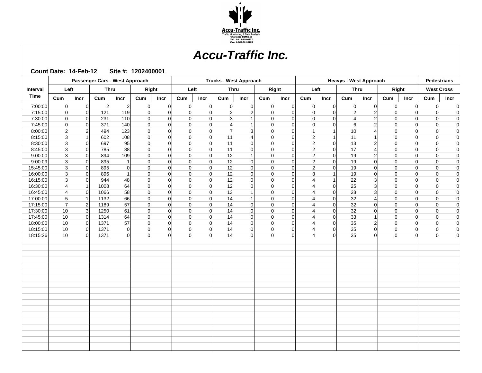

|                      | Passenger Cars - West Approach |                         | <b>Trucks - West Approach</b> |              |                         |                      |                            |                      | <b>Heavys - West Approach</b> |                      |                  |                                  |                         | <b>Pedestrians</b>   |                |                         |                  |                      |                            |                   |
|----------------------|--------------------------------|-------------------------|-------------------------------|--------------|-------------------------|----------------------|----------------------------|----------------------|-------------------------------|----------------------|------------------|----------------------------------|-------------------------|----------------------|----------------|-------------------------|------------------|----------------------|----------------------------|-------------------|
| Interval             | Left                           |                         | <b>Thru</b>                   |              | Right                   |                      | Left                       |                      | Thru                          |                      | Right            |                                  | Left                    |                      | Thru           |                         | Right            |                      |                            | <b>West Cross</b> |
| <b>Time</b>          | Cum                            | <b>Incr</b>             | Cum                           | Incr         | Cum                     | <b>Incr</b>          | Cum                        | Incr                 | Cum                           | Incr                 | Cum              | Incr                             | Cum                     | Incr                 | Cum            | Incr                    | Cum              | Incr                 | Cum                        | <b>Incr</b>       |
| 7:00:00              | $\mathbf 0$                    | $\overline{0}$          | $\overline{2}$                | 2            | $\mathsf 0$             | $\overline{0}$       | $\mathsf 0$                | 0                    | $\mathsf 0$                   | $\overline{0}$       | $\mathsf 0$      | $\overline{0}$                   | $\mathsf 0$             | $\overline{0}$       | $\mathbf 0$    | $\overline{0}$          | $\mathbf 0$      | $\mathbf 0$          | $\mathsf 0$                | $\overline{0}$    |
| 7:15:00              | $\mathbf 0$                    | $\overline{0}$          | 121                           | 119          | $\mathbf 0$             | $\Omega$             | $\mathbf 0$                | $\Omega$             | $\overline{2}$                | $\overline{2}$       | $\mathbf 0$      | $\Omega$                         | $\mathbf 0$             | $\Omega$             | $\overline{2}$ | $\overline{2}$          | $\Omega$         | $\Omega$             | $\mathbf 0$                | $\overline{0}$    |
| 7:30:00              | $\mathbf 0$                    | $\overline{0}$          | 231                           | 110          | $\mathbf 0$             | $\Omega$             | $\mathbf 0$                | $\Omega$             | 3                             |                      | 0                | $\Omega$                         | $\Omega$                | $\Omega$             | $\overline{4}$ | 2 <sup>2</sup>          | $\Omega$         |                      | $\mathbf 0$                | $\pmb{0}$         |
| 7:45:00              | $\mathbf 0$                    | $\Omega$                | 371                           | 140          | $\mathbf 0$             | $\Omega$             | $\mathbf 0$                | $\Omega$             | 4                             |                      | $\mathbf 0$      | $\Omega$                         | $\mathbf 0$             | $\Omega$             | 6              | $\overline{2}$          | $\mathbf 0$      | $\Omega$             | $\mathbf 0$                | $\overline{0}$    |
| 8:00:00              | $\mathbf{2}^{\prime}$          | $\overline{2}$          | 494                           | 123          | $\Omega$                | $\Omega$             | $\Omega$                   | $\Omega$             | $\overline{7}$                | 3                    | $\Omega$         | $\Omega$                         | $\overline{1}$          |                      | 10             | $\vert$                 | $\Omega$         | $\Omega$             | $\Omega$                   | $\overline{0}$    |
| 8:15:00              | 3                              | $\mathbf{1}$            | 602                           | 108          | $\mathbf 0$             | $\Omega$             | $\mathbf 0$                | 0                    | 11                            | 4                    | 0                | $\overline{0}$                   | $\overline{\mathbf{c}}$ |                      | 11             | $\mathbf{1}$            | 0                | $\Omega$             | $\mathbf 0$                | $\pmb{0}$         |
| 8:30:00              | 3                              | $\Omega$                | 697                           | 95           | $\mathbf 0$             | $\Omega$             | $\mathbf 0$                | $\Omega$             | 11                            | $\Omega$             | 0                | $\Omega$                         | $\mathbf 2$             | $\overline{0}$       | 13             | $\overline{2}$          | $\mathbf 0$      |                      | $\mathbf 0$                | $\overline{0}$    |
| 8:45:00              | 3                              | $\overline{0}$          | 785                           | 88           | $\mathbf 0$             | $\Omega$             | $\mathbf 0$                | $\Omega$             | 11                            | $\Omega$             | $\mathbf 0$      | $\Omega$                         | 2                       | $\Omega$             | 17             | $\vert$                 | 0                | $\Omega$             | $\Omega$                   | $\pmb{0}$         |
| 9:00:00              | 3                              | $\Omega$                | 894                           | 109          | 0                       | $\Omega$             | 0                          | $\overline{0}$       | 12                            |                      | $\mathbf 0$      | $\Omega$                         | $\overline{2}$          | $\Omega$             | 19             | 2 <sup>1</sup>          | $\mathbf 0$      | $\Omega$             | $\mathbf 0$                | $\overline{0}$    |
| 9:00:09              | 3                              | $\Omega$                | 895                           | $\mathbf{1}$ | $\mathbf 0$             | $\Omega$             | $\Omega$                   | $\Omega$             | 12                            | $\Omega$             | $\Omega$         | $\Omega$                         | $\overline{2}$          | $\Omega$             | 19             | $\Omega$                | $\mathbf 0$      |                      | $\Omega$                   | $\overline{0}$    |
| 15:45:00             | 3                              | 0                       | 895                           | $\mathbf 0$  | $\mathbf 0$             | $\Omega$             | $\mathbf 0$                | $\mathbf 0$          | 12                            | $\mathbf 0$          | $\mathbf 0$      | $\mathbf 0$                      | $\overline{2}$          | $\Omega$             | 19             | $\mathbf 0$             | 0                | $\Omega$             | $\mathbf 0$                | $\overline{0}$    |
| 16:00:00             | 3                              | $\Omega$                | 896                           | $\mathbf{1}$ | $\mathbf 0$             | $\Omega$             | $\mathbf 0$                | $\Omega$             | 12                            | $\Omega$             | $\mathbf 0$      | $\Omega$                         | 3                       |                      | 19             | $\Omega$                | $\mathbf 0$      | $\Omega$             | $\mathbf 0$                | $\overline{0}$    |
| 16:15:00             | 3                              | $\Omega$                | 944                           | 48           | $\mathbf 0$             | $\Omega$             | $\Omega$                   | $\Omega$             | 12                            | $\Omega$             | $\Omega$         | $\Omega$                         | $\overline{4}$          | $\mathbf 1$          | 22             | $\overline{3}$          | 0                | $\Omega$             | $\Omega$                   | $\overline{0}$    |
| 16:30:00             | $\overline{4}$                 | 1                       | 1008                          | 64           | $\mathbf 0$             | $\Omega$             | $\mathbf 0$                | $\overline{0}$       | 12                            | $\Omega$             | $\mathbf 0$      | $\mathbf 0$                      | 4                       | $\Omega$             | 25             | $\mathbf{3}$            | 0                | ∩                    | $\mathbf 0$                | $\overline{0}$    |
| 16:45:00             | $\overline{4}$                 | $\Omega$                | 1066                          | 58           | $\mathbf 0$             | $\Omega$             | 0                          | $\Omega$             | 13                            |                      | 0                | $\Omega$                         | 4                       | $\Omega$             | 28             | 3 <sup>1</sup>          | $\mathbf 0$      | $\Omega$             | $\Omega$                   | $\overline{0}$    |
| 17:00:00             | 5                              | $\mathbf{1}$            | 1132                          | 66           | $\mathbf 0$             | 0                    | $\mathbf 0$                | $\overline{0}$       | 14                            |                      | 0                | $\mathbf 0$                      | $\overline{4}$          | 0                    | 32             | 4                       | $\Omega$         | $\Omega$             | $\Omega$                   | $\boldsymbol{0}$  |
| 17:15:00             | $\overline{7}$                 | $\overline{2}$          | 1189                          | 57           | $\mathbf 0$             | $\Omega$             | $\mathbf 0$                | $\overline{0}$       | 14                            | $\Omega$             | $\mathbf 0$      | $\mathbf 0$                      | 4                       | $\Omega$             | 32             | $\mathbf 0$             | 0                | $\Omega$             | $\mathbf 0$                | $\overline{0}$    |
| 17:30:00             | 10                             | $\overline{3}$          | 1250                          | 61           | $\mathbf 0$             | $\Omega$             | $\Omega$                   | $\Omega$             | 14                            | $\Omega$             | $\Omega$         | $\Omega$                         | 4                       | $\Omega$             | 32             | $\Omega$                | $\Omega$         | $\Omega$             | $\Omega$                   | $\overline{0}$    |
| 17:45:00             | 10                             | $\mathbf 0$             | 1314                          | 64<br>57     | $\mathbf 0$             | 0                    | $\mathbf 0$                | $\overline{0}$       | 14<br>14                      | 0                    | $\mathbf 0$      | $\mathbf 0$                      | 4<br>$\overline{4}$     | 0                    | 33<br>35       | $\mathbf{1}$            | $\mathbf 0$      | $\Omega$             | $\Omega$                   | $\boldsymbol{0}$  |
| 18:00:00<br>18:15:00 | 10                             | $\mathbf 0$<br>$\Omega$ | 1371                          |              | $\mathbf 0$             | $\Omega$<br>$\Omega$ | $\mathbf 0$<br>$\mathbf 0$ | $\overline{0}$       |                               | $\Omega$             | $\mathbf 0$<br>0 | $\Omega$                         |                         | $\Omega$             | 35             | $\overline{2}$          | $\mathbf 0$      | $\Omega$<br>$\Omega$ | $\mathbf 0$<br>$\mathbf 0$ | $\overline{0}$    |
| 18:15:26             | 10<br>10                       | $\Omega$                | 1371                          | 0 <br> 0     | $\mathbf 0$<br>$\Omega$ | $\Omega$             | $\Omega$                   | $\overline{0}$<br> 0 | 14<br>14                      | $\Omega$<br>$\Omega$ | $\Omega$         | $\overline{0}$<br>$\overline{0}$ | 4<br>$\overline{4}$     | $\Omega$<br>$\Omega$ | 35             | $\mathbf 0$<br>$\Omega$ | 0<br>$\mathbf 0$ |                      | $\Omega$                   | $\overline{0}$    |
|                      |                                |                         | 1371                          |              |                         |                      |                            |                      |                               |                      |                  |                                  |                         |                      |                |                         |                  | $\Omega$             |                            | $\pmb{0}$         |
|                      |                                |                         |                               |              |                         |                      |                            |                      |                               |                      |                  |                                  |                         |                      |                |                         |                  |                      |                            |                   |
|                      |                                |                         |                               |              |                         |                      |                            |                      |                               |                      |                  |                                  |                         |                      |                |                         |                  |                      |                            |                   |
|                      |                                |                         |                               |              |                         |                      |                            |                      |                               |                      |                  |                                  |                         |                      |                |                         |                  |                      |                            |                   |
|                      |                                |                         |                               |              |                         |                      |                            |                      |                               |                      |                  |                                  |                         |                      |                |                         |                  |                      |                            |                   |
|                      |                                |                         |                               |              |                         |                      |                            |                      |                               |                      |                  |                                  |                         |                      |                |                         |                  |                      |                            |                   |
|                      |                                |                         |                               |              |                         |                      |                            |                      |                               |                      |                  |                                  |                         |                      |                |                         |                  |                      |                            |                   |
|                      |                                |                         |                               |              |                         |                      |                            |                      |                               |                      |                  |                                  |                         |                      |                |                         |                  |                      |                            |                   |
|                      |                                |                         |                               |              |                         |                      |                            |                      |                               |                      |                  |                                  |                         |                      |                |                         |                  |                      |                            |                   |
|                      |                                |                         |                               |              |                         |                      |                            |                      |                               |                      |                  |                                  |                         |                      |                |                         |                  |                      |                            |                   |
|                      |                                |                         |                               |              |                         |                      |                            |                      |                               |                      |                  |                                  |                         |                      |                |                         |                  |                      |                            |                   |
|                      |                                |                         |                               |              |                         |                      |                            |                      |                               |                      |                  |                                  |                         |                      |                |                         |                  |                      |                            |                   |
|                      |                                |                         |                               |              |                         |                      |                            |                      |                               |                      |                  |                                  |                         |                      |                |                         |                  |                      |                            |                   |
|                      |                                |                         |                               |              |                         |                      |                            |                      |                               |                      |                  |                                  |                         |                      |                |                         |                  |                      |                            |                   |
|                      |                                |                         |                               |              |                         |                      |                            |                      |                               |                      |                  |                                  |                         |                      |                |                         |                  |                      |                            |                   |
|                      |                                |                         |                               |              |                         |                      |                            |                      |                               |                      |                  |                                  |                         |                      |                |                         |                  |                      |                            |                   |
|                      |                                |                         |                               |              |                         |                      |                            |                      |                               |                      |                  |                                  |                         |                      |                |                         |                  |                      |                            |                   |
|                      |                                |                         |                               |              |                         |                      |                            |                      |                               |                      |                  |                                  |                         |                      |                |                         |                  |                      |                            |                   |
|                      |                                |                         |                               |              |                         |                      |                            |                      |                               |                      |                  |                                  |                         |                      |                |                         |                  |                      |                            |                   |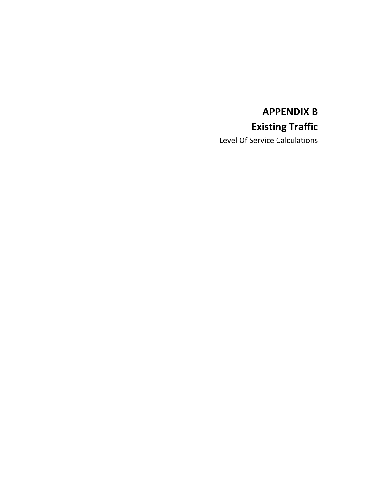# **APPENDIX B Existing Traffic**

Level Of Service Calculations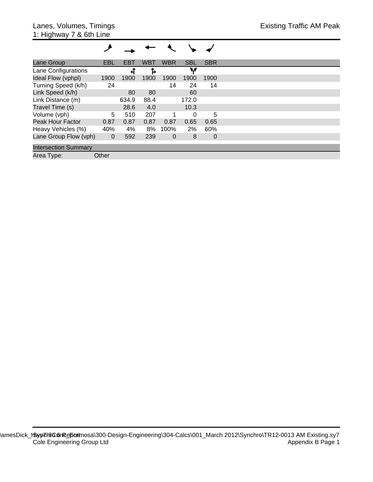| Lane Group                  | EBL            | EBT   | <b>WBT</b> | <b>WBR</b>     | <b>SBL</b> | <b>SBR</b> |  |
|-----------------------------|----------------|-------|------------|----------------|------------|------------|--|
| Lane Configurations         |                | स     | Ъ          |                | w          |            |  |
| Ideal Flow (vphpl)          | 1900           | 1900  | 1900       | 1900           | 1900       | 1900       |  |
| Turning Speed (k/h)         | 24             |       |            | 14             | 24         | 14         |  |
| Link Speed (k/h)            |                | 80    | 80         |                | 60         |            |  |
| Link Distance (m)           |                | 634.9 | 88.4       |                | 172.0      |            |  |
| Travel Time (s)             |                | 28.6  | 4.0        |                | 10.3       |            |  |
| Volume (vph)                | 5              | 510   | 207        |                | 0          | 5          |  |
| <b>Peak Hour Factor</b>     | 0.87           | 0.87  | 0.87       | 0.87           | 0.65       | 0.65       |  |
| Heavy Vehicles (%)          | 40%            | 4%    | 8%         | 100%           | 2%         | 60%        |  |
| Lane Group Flow (vph)       | $\overline{0}$ | 592   | 239        | $\overline{0}$ | 8          | $\Omega$   |  |
| <b>Intersection Summary</b> |                |       |            |                |            |            |  |
| Area Type:                  | Other          |       |            |                |            |            |  |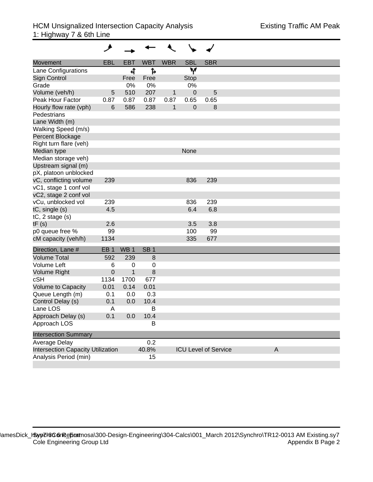| Movement                                    | EBL             | <b>EBT</b>      | <b>WBT</b>      | <b>WBR</b> | <b>SBL</b>  | <b>SBR</b>                  |              |  |
|---------------------------------------------|-----------------|-----------------|-----------------|------------|-------------|-----------------------------|--------------|--|
| Lane Configurations                         |                 | प               | 1               |            | W           |                             |              |  |
| Sign Control                                |                 | Free            | Free            |            | Stop        |                             |              |  |
| Grade                                       |                 | 0%              | 0%              |            | 0%          |                             |              |  |
| Volume (veh/h)                              | 5               | 510             | 207             | 1          | $\mathbf 0$ | 5                           |              |  |
| Peak Hour Factor                            | 0.87            | 0.87            | 0.87            | 0.87       | 0.65        | 0.65                        |              |  |
| Hourly flow rate (vph)                      | 6               | 586             | 238             | 1          | $\mathbf 0$ | 8                           |              |  |
| Pedestrians                                 |                 |                 |                 |            |             |                             |              |  |
| Lane Width (m)                              |                 |                 |                 |            |             |                             |              |  |
| Walking Speed (m/s)                         |                 |                 |                 |            |             |                             |              |  |
| Percent Blockage                            |                 |                 |                 |            |             |                             |              |  |
| Right turn flare (veh)                      |                 |                 |                 |            |             |                             |              |  |
| Median type                                 |                 |                 |                 |            | None        |                             |              |  |
| Median storage veh)                         |                 |                 |                 |            |             |                             |              |  |
| Upstream signal (m)                         |                 |                 |                 |            |             |                             |              |  |
| pX, platoon unblocked                       |                 |                 |                 |            |             |                             |              |  |
| vC, conflicting volume                      | 239             |                 |                 |            | 836         | 239                         |              |  |
| vC1, stage 1 conf vol                       |                 |                 |                 |            |             |                             |              |  |
| vC2, stage 2 conf vol<br>vCu, unblocked vol | 239             |                 |                 |            | 836         | 239                         |              |  |
|                                             | 4.5             |                 |                 |            | 6.4         | 6.8                         |              |  |
| tC, single (s)<br>$tC$ , 2 stage $(s)$      |                 |                 |                 |            |             |                             |              |  |
| tF(s)                                       | 2.6             |                 |                 |            | 3.5         | 3.8                         |              |  |
| p0 queue free %                             | 99              |                 |                 |            | 100         | 99                          |              |  |
| cM capacity (veh/h)                         | 1134            |                 |                 |            | 335         | 677                         |              |  |
|                                             |                 |                 |                 |            |             |                             |              |  |
| Direction, Lane #                           | EB <sub>1</sub> | WB <sub>1</sub> | SB <sub>1</sub> |            |             |                             |              |  |
| <b>Volume Total</b>                         | 592             | 239             | 8               |            |             |                             |              |  |
| Volume Left                                 | 6               | $\mathbf 0$     | $\mathbf 0$     |            |             |                             |              |  |
| <b>Volume Right</b>                         | $\mathbf 0$     | $\mathbf{1}$    | 8               |            |             |                             |              |  |
| cSH                                         | 1134            | 1700            | 677             |            |             |                             |              |  |
| <b>Volume to Capacity</b>                   | 0.01            | 0.14            | 0.01            |            |             |                             |              |  |
| Queue Length (m)                            | 0.1             | 0.0             | 0.3             |            |             |                             |              |  |
| Control Delay (s)                           | 0.1             | 0.0             | 10.4            |            |             |                             |              |  |
| Lane LOS                                    | A               |                 | В               |            |             |                             |              |  |
| Approach Delay (s)                          | 0.1             | 0.0             | 10.4            |            |             |                             |              |  |
| Approach LOS                                |                 |                 | B               |            |             |                             |              |  |
| <b>Intersection Summary</b>                 |                 |                 |                 |            |             |                             |              |  |
| Average Delay                               |                 |                 | 0.2             |            |             |                             |              |  |
| <b>Intersection Capacity Utilization</b>    |                 |                 | 40.8%           |            |             | <b>ICU Level of Service</b> | $\mathsf{A}$ |  |
| Analysis Period (min)                       |                 |                 | 15              |            |             |                             |              |  |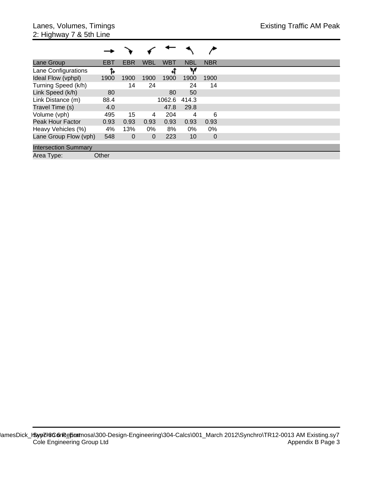| Lane Group                  | <b>EBT</b> | <b>EBR</b>  | <b>WBL</b>     | WBT    | <b>NBL</b> | <b>NBR</b> |
|-----------------------------|------------|-------------|----------------|--------|------------|------------|
| Lane Configurations         | Ъ          |             |                |        | w          |            |
| Ideal Flow (vphpl)          | 1900       | 1900        | 1900           | 1900   | 1900       | 1900       |
| Turning Speed (k/h)         |            | 14          | 24             |        | 24         | 14         |
| Link Speed (k/h)            | 80         |             |                | 80     | 50         |            |
| Link Distance (m)           | 88.4       |             |                | 1062.6 | 414.3      |            |
| Travel Time (s)             | 4.0        |             |                | 47.8   | 29.8       |            |
| Volume (vph)                | 495        | 15          | 4              | 204    | 4          | 6          |
| <b>Peak Hour Factor</b>     | 0.93       | 0.93        | 0.93           | 0.93   | 0.93       | 0.93       |
| Heavy Vehicles (%)          | 4%         | 13%         | $0\%$          | 8%     | $0\%$      | 0%         |
| Lane Group Flow (vph)       | 548        | $\mathbf 0$ | $\overline{0}$ | 223    | 10         | $\Omega$   |
| <b>Intersection Summary</b> |            |             |                |        |            |            |
| Area Type:                  | Other      |             |                |        |            |            |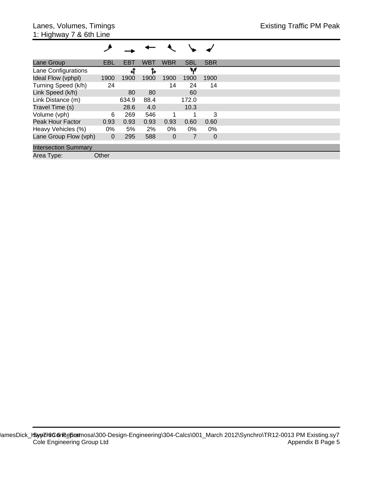| Lane Group                  | EBL            | <b>EBT</b> | <b>WBT</b> | <b>WBR</b>  | <b>SBL</b> | <b>SBR</b> |  |
|-----------------------------|----------------|------------|------------|-------------|------------|------------|--|
| Lane Configurations         |                | स          | Ъ          |             | w          |            |  |
| Ideal Flow (vphpl)          | 1900           | 1900       | 1900       | 1900        | 1900       | 1900       |  |
| Turning Speed (k/h)         | 24             |            |            | 14          | 24         | 14         |  |
| Link Speed (k/h)            |                | 80         | 80         |             | 60         |            |  |
| Link Distance (m)           |                | 634.9      | 88.4       |             | 172.0      |            |  |
| Travel Time (s)             |                | 28.6       | 4.0        |             | 10.3       |            |  |
| Volume (vph)                | 6              | 269        | 546        | 1           |            | 3          |  |
| <b>Peak Hour Factor</b>     | 0.93           | 0.93       | 0.93       | 0.93        | 0.60       | 0.60       |  |
| Heavy Vehicles (%)          | 0%             | 5%         | 2%         | $0\%$       | $0\%$      | 0%         |  |
| Lane Group Flow (vph)       | $\overline{0}$ | 295        | 588        | $\mathbf 0$ | 7          | $\Omega$   |  |
| <b>Intersection Summary</b> |                |            |            |             |            |            |  |
| Area Type:                  | Other          |            |            |             |            |            |  |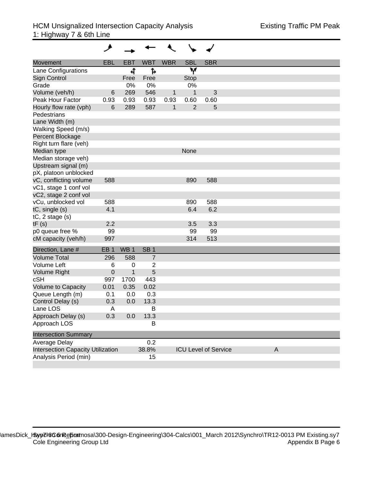| Movement                                        | EBL             | <b>EBT</b>      | <b>WBT</b>      | <b>WBR</b>   | <b>SBL</b>     | <b>SBR</b>                  |              |
|-------------------------------------------------|-----------------|-----------------|-----------------|--------------|----------------|-----------------------------|--------------|
| Lane Configurations                             |                 | ची              | 1               |              | W              |                             |              |
| <b>Sign Control</b>                             |                 | Free            | Free            |              | Stop           |                             |              |
| Grade                                           |                 | 0%              | 0%              |              | 0%             |                             |              |
| Volume (veh/h)                                  | 6               | 269             | 546             | 1            | 1              | 3                           |              |
| Peak Hour Factor                                | 0.93            | 0.93            | 0.93            | 0.93         | 0.60           | 0.60                        |              |
| Hourly flow rate (vph)                          | 6               | 289             | 587             | $\mathbf{1}$ | $\overline{2}$ | 5                           |              |
| Pedestrians                                     |                 |                 |                 |              |                |                             |              |
| Lane Width (m)                                  |                 |                 |                 |              |                |                             |              |
| Walking Speed (m/s)                             |                 |                 |                 |              |                |                             |              |
| Percent Blockage                                |                 |                 |                 |              |                |                             |              |
| Right turn flare (veh)                          |                 |                 |                 |              |                |                             |              |
| Median type                                     |                 |                 |                 |              | None           |                             |              |
| Median storage veh)                             |                 |                 |                 |              |                |                             |              |
| Upstream signal (m)                             |                 |                 |                 |              |                |                             |              |
| pX, platoon unblocked                           | 588             |                 |                 |              |                |                             |              |
| vC, conflicting volume<br>vC1, stage 1 conf vol |                 |                 |                 |              | 890            | 588                         |              |
| vC2, stage 2 conf vol                           |                 |                 |                 |              |                |                             |              |
| vCu, unblocked vol                              | 588             |                 |                 |              | 890            | 588                         |              |
| tC, single (s)                                  | 4.1             |                 |                 |              | 6.4            | 6.2                         |              |
| $tC$ , 2 stage $(s)$                            |                 |                 |                 |              |                |                             |              |
| tF(s)                                           | 2.2             |                 |                 |              | 3.5            | 3.3                         |              |
| p0 queue free %                                 | 99              |                 |                 |              | 99             | 99                          |              |
| cM capacity (veh/h)                             | 997             |                 |                 |              | 314            | 513                         |              |
| Direction, Lane #                               | EB <sub>1</sub> | WB <sub>1</sub> | SB <sub>1</sub> |              |                |                             |              |
| <b>Volume Total</b>                             | 296             | 588             | $\overline{7}$  |              |                |                             |              |
| Volume Left                                     | 6               | $\pmb{0}$       | $\overline{2}$  |              |                |                             |              |
| <b>Volume Right</b>                             | $\pmb{0}$       | 1               | 5               |              |                |                             |              |
| cSH                                             | 997             | 1700            | 443             |              |                |                             |              |
| <b>Volume to Capacity</b>                       | 0.01            | 0.35            | 0.02            |              |                |                             |              |
| Queue Length (m)                                | 0.1             | 0.0             | 0.3             |              |                |                             |              |
| Control Delay (s)                               | 0.3             | 0.0             | 13.3            |              |                |                             |              |
| Lane LOS                                        | A               |                 | B               |              |                |                             |              |
| Approach Delay (s)                              | 0.3             | 0.0             | 13.3            |              |                |                             |              |
| Approach LOS                                    |                 |                 | B               |              |                |                             |              |
| <b>Intersection Summary</b>                     |                 |                 |                 |              |                |                             |              |
| Average Delay                                   |                 |                 | 0.2             |              |                |                             |              |
| <b>Intersection Capacity Utilization</b>        |                 |                 | 38.8%           |              |                | <b>ICU Level of Service</b> | $\mathsf{A}$ |
| Analysis Period (min)                           |                 |                 | 15              |              |                |                             |              |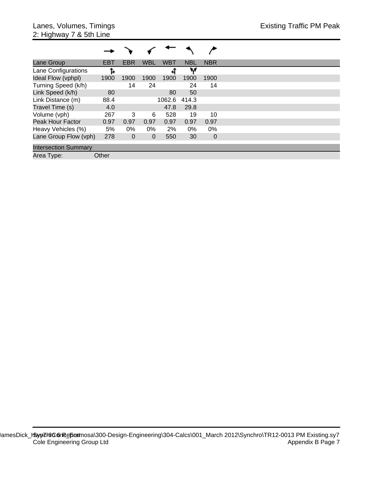| Lane Group                  | <b>EBT</b> | EBR            | <b>WBL</b> | <b>WBT</b> | <b>NBL</b> | <b>NBR</b>  |
|-----------------------------|------------|----------------|------------|------------|------------|-------------|
| Lane Configurations         | Ъ          |                |            |            | w          |             |
| Ideal Flow (vphpl)          | 1900       | 1900           | 1900       | 1900       | 1900       | 1900        |
| Turning Speed (k/h)         |            | 14             | 24         |            | 24         | 14          |
| Link Speed (k/h)            | 80         |                |            | 80         | 50         |             |
| Link Distance (m)           | 88.4       |                |            | 1062.6     | 414.3      |             |
| Travel Time (s)             | 4.0        |                |            | 47.8       | 29.8       |             |
| Volume (vph)                | 267        | 3              | 6          | 528        | 19         | 10          |
| <b>Peak Hour Factor</b>     | 0.97       | 0.97           | 0.97       | 0.97       | 0.97       | 0.97        |
| Heavy Vehicles (%)          | 5%         | $0\%$          | $0\%$      | 2%         | 0%         | $0\%$       |
| Lane Group Flow (vph)       | 278        | $\overline{0}$ | 0          | 550        | 30         | $\mathbf 0$ |
| <b>Intersection Summary</b> |            |                |            |            |            |             |
| Area Type:                  | Other      |                |            |            |            |             |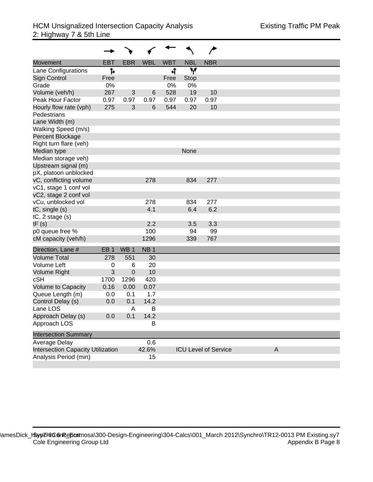| <b>Movement</b>                          | <b>EBT</b>      | <b>EBR</b>      | <b>WBL</b>      | <b>WBT</b> | <b>NBL</b>  | <b>NBR</b>                  |              |  |
|------------------------------------------|-----------------|-----------------|-----------------|------------|-------------|-----------------------------|--------------|--|
| Lane Configurations                      | ħ               |                 |                 | च          | W           |                             |              |  |
| Sign Control                             | Free            |                 |                 | Free       | <b>Stop</b> |                             |              |  |
| Grade                                    | 0%              |                 |                 | 0%         | 0%          |                             |              |  |
| Volume (veh/h)                           | 267             | $\mathfrak{S}$  | 6               | 528        | 19          | 10                          |              |  |
| Peak Hour Factor                         | 0.97            | 0.97            | 0.97            | 0.97       | 0.97        | 0.97                        |              |  |
| Hourly flow rate (vph)                   | 275             | 3               | 6               | 544        | 20          | 10                          |              |  |
| Pedestrians                              |                 |                 |                 |            |             |                             |              |  |
| Lane Width (m)                           |                 |                 |                 |            |             |                             |              |  |
| Walking Speed (m/s)                      |                 |                 |                 |            |             |                             |              |  |
| Percent Blockage                         |                 |                 |                 |            |             |                             |              |  |
| Right turn flare (veh)                   |                 |                 |                 |            |             |                             |              |  |
| Median type                              |                 |                 |                 |            | None        |                             |              |  |
| Median storage veh)                      |                 |                 |                 |            |             |                             |              |  |
| Upstream signal (m)                      |                 |                 |                 |            |             |                             |              |  |
| pX, platoon unblocked                    |                 |                 |                 |            |             |                             |              |  |
| vC, conflicting volume                   |                 |                 | 278             |            | 834         | 277                         |              |  |
| vC1, stage 1 conf vol                    |                 |                 |                 |            |             |                             |              |  |
| vC2, stage 2 conf vol                    |                 |                 |                 |            |             |                             |              |  |
| vCu, unblocked vol                       |                 |                 | 278             |            | 834         | 277                         |              |  |
| tC, single (s)                           |                 |                 | 4.1             |            | 6.4         | 6.2                         |              |  |
| $tC$ , 2 stage $(s)$                     |                 |                 |                 |            |             |                             |              |  |
| tF(s)                                    |                 |                 | 2.2             |            | 3.5         | 3.3                         |              |  |
| p0 queue free %                          |                 |                 | 100             |            | 94          | 99                          |              |  |
| cM capacity (veh/h)                      |                 |                 | 1296            |            | 339         | 767                         |              |  |
| Direction, Lane #                        | EB <sub>1</sub> | WB <sub>1</sub> | NB <sub>1</sub> |            |             |                             |              |  |
| <b>Volume Total</b>                      | 278             | 551             | 30              |            |             |                             |              |  |
| Volume Left                              | $\mathbf 0$     | 6               | 20              |            |             |                             |              |  |
| <b>Volume Right</b>                      | 3               | $\pmb{0}$       | 10              |            |             |                             |              |  |
| cSH                                      | 1700            | 1296            | 420             |            |             |                             |              |  |
| <b>Volume to Capacity</b>                | 0.16            | 0.00            | 0.07            |            |             |                             |              |  |
| Queue Length (m)                         | 0.0             | 0.1             | 1.7             |            |             |                             |              |  |
| Control Delay (s)                        | 0.0             | 0.1             | 14.2            |            |             |                             |              |  |
| Lane LOS                                 |                 | A               | B               |            |             |                             |              |  |
| Approach Delay (s)                       | 0.0             | 0.1             | 14.2            |            |             |                             |              |  |
| Approach LOS                             |                 |                 | B               |            |             |                             |              |  |
| <b>Intersection Summary</b>              |                 |                 |                 |            |             |                             |              |  |
| Average Delay                            |                 |                 | 0.6             |            |             |                             |              |  |
| <b>Intersection Capacity Utilization</b> |                 |                 | 42.6%           |            |             | <b>ICU Level of Service</b> | $\mathsf{A}$ |  |
| Analysis Period (min)                    |                 |                 | 15              |            |             |                             |              |  |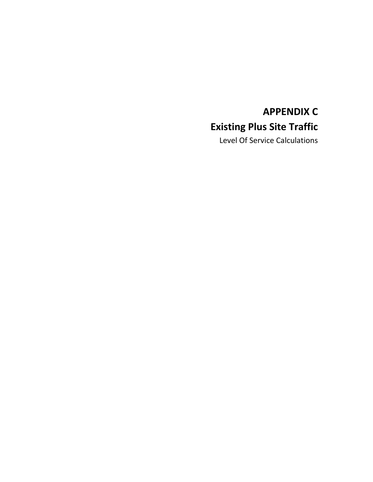## **APPENDIX C Existing Plus Site Traffic**

Level Of Service Calculations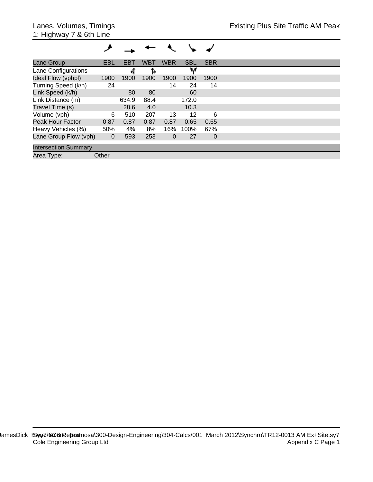| Lane Group                  | <b>EBL</b>     | <b>EBT</b> | <b>WBT</b> | <b>WBR</b>  | <b>SBL</b> | <b>SBR</b>     |  |
|-----------------------------|----------------|------------|------------|-------------|------------|----------------|--|
| Lane Configurations         |                | ๚          | Ъ          |             | w          |                |  |
| Ideal Flow (vphpl)          | 1900           | 1900       | 1900       | 1900        | 1900       | 1900           |  |
| Turning Speed (k/h)         | 24             |            |            | 14          | 24         | 14             |  |
| Link Speed (k/h)            |                | 80         | 80         |             | 60         |                |  |
| Link Distance (m)           |                | 634.9      | 88.4       |             | 172.0      |                |  |
| Travel Time (s)             |                | 28.6       | 4.0        |             | 10.3       |                |  |
| Volume (vph)                | 6              | 510        | 207        | 13          | 12         | 6              |  |
| Peak Hour Factor            | 0.87           | 0.87       | 0.87       | 0.87        | 0.65       | 0.65           |  |
| Heavy Vehicles (%)          | 50%            | 4%         | 8%         | 16%         | 100%       | 67%            |  |
| Lane Group Flow (vph)       | $\overline{0}$ | 593        | 253        | $\mathbf 0$ | 27         | $\overline{0}$ |  |
| <b>Intersection Summary</b> |                |            |            |             |            |                |  |
| Area Type:                  | Other          |            |            |             |            |                |  |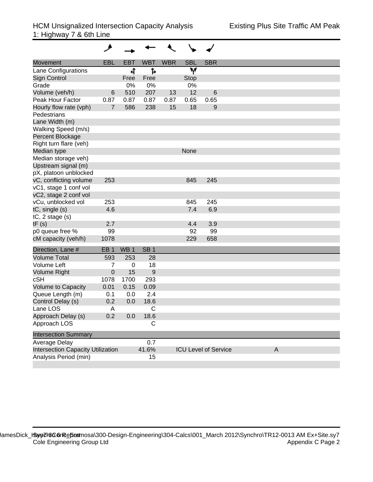| Movement                                 | <b>EBL</b>      | EBT        | WBT             | <b>WBR</b> | <b>SBL</b> | <b>SBR</b>                  |   |  |
|------------------------------------------|-----------------|------------|-----------------|------------|------------|-----------------------------|---|--|
| Lane Configurations                      |                 | ची         | ħ               |            | Υ          |                             |   |  |
| <b>Sign Control</b>                      |                 | Free       | Free            |            | Stop       |                             |   |  |
| Grade                                    |                 | 0%         | 0%              |            | 0%         |                             |   |  |
| Volume (veh/h)                           | 6               | 510        | 207             | 13         | 12         | 6                           |   |  |
| Peak Hour Factor                         | 0.87            | 0.87       | 0.87            | 0.87       | 0.65       | 0.65                        |   |  |
| Hourly flow rate (vph)                   | $\overline{7}$  | 586        | 238             | 15         | 18         | 9                           |   |  |
| Pedestrians                              |                 |            |                 |            |            |                             |   |  |
| Lane Width (m)                           |                 |            |                 |            |            |                             |   |  |
| Walking Speed (m/s)                      |                 |            |                 |            |            |                             |   |  |
| Percent Blockage                         |                 |            |                 |            |            |                             |   |  |
| Right turn flare (veh)                   |                 |            |                 |            |            |                             |   |  |
| Median type                              |                 |            |                 |            | None       |                             |   |  |
| Median storage veh)                      |                 |            |                 |            |            |                             |   |  |
| Upstream signal (m)                      |                 |            |                 |            |            |                             |   |  |
| pX, platoon unblocked                    |                 |            |                 |            |            |                             |   |  |
| vC, conflicting volume                   | 253             |            |                 |            | 845        | 245                         |   |  |
| vC1, stage 1 conf vol                    |                 |            |                 |            |            |                             |   |  |
| vC2, stage 2 conf vol                    |                 |            |                 |            |            |                             |   |  |
| vCu, unblocked vol                       | 253             |            |                 |            | 845        | 245                         |   |  |
| tC, single (s)                           | 4.6             |            |                 |            | 7.4        | 6.9                         |   |  |
| $tC$ , 2 stage $(s)$                     |                 |            |                 |            |            |                             |   |  |
| tF(s)                                    | 2.7             |            |                 |            | 4.4        | 3.9                         |   |  |
| p0 queue free %                          | 99              |            |                 |            | 92         | 99                          |   |  |
| cM capacity (veh/h)                      | 1078            |            |                 |            | 229        | 658                         |   |  |
| Direction, Lane #                        | EB <sub>1</sub> | <b>WB1</b> | SB <sub>1</sub> |            |            |                             |   |  |
| <b>Volume Total</b>                      | 593             | 253        | 28              |            |            |                             |   |  |
| Volume Left                              | 7               | 0          | 18              |            |            |                             |   |  |
| <b>Volume Right</b>                      | $\overline{0}$  | 15         | 9               |            |            |                             |   |  |
| <b>cSH</b>                               | 1078            | 1700       | 293             |            |            |                             |   |  |
| Volume to Capacity                       | 0.01            | 0.15       | 0.09            |            |            |                             |   |  |
| Queue Length (m)                         | 0.1             | 0.0        | 2.4             |            |            |                             |   |  |
| Control Delay (s)                        | 0.2             | 0.0        | 18.6            |            |            |                             |   |  |
| Lane LOS                                 | A               |            | $\mathsf{C}$    |            |            |                             |   |  |
| Approach Delay (s)                       | 0.2             | 0.0        | 18.6            |            |            |                             |   |  |
| Approach LOS                             |                 |            | $\mathsf{C}$    |            |            |                             |   |  |
| <b>Intersection Summary</b>              |                 |            |                 |            |            |                             |   |  |
| Average Delay                            |                 |            | 0.7             |            |            |                             |   |  |
| <b>Intersection Capacity Utilization</b> |                 |            | 41.6%           |            |            | <b>ICU Level of Service</b> | A |  |
| Analysis Period (min)                    |                 |            | 15              |            |            |                             |   |  |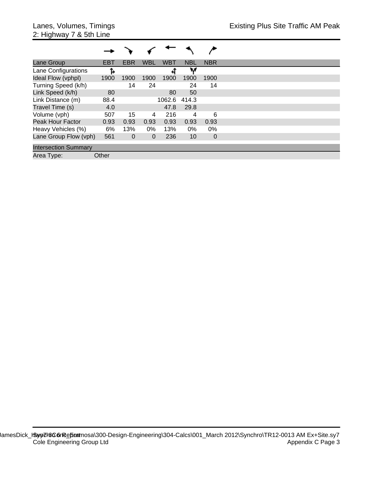| Lane Group                  | <b>EBT</b> | <b>EBR</b>   | <b>WBL</b>  | <b>WBT</b> | <b>NBL</b> | <b>NBR</b>     |
|-----------------------------|------------|--------------|-------------|------------|------------|----------------|
| Lane Configurations         | Ъ          |              |             |            | w          |                |
| Ideal Flow (vphpl)          | 1900       | 1900         | 1900        | 1900       | 1900       | 1900           |
| Turning Speed (k/h)         |            | 14           | 24          |            | 24         | 14             |
| Link Speed (k/h)            | 80         |              |             | 80         | 50         |                |
| Link Distance (m)           | 88.4       |              |             | 1062.6     | 414.3      |                |
| Travel Time (s)             | 4.0        |              |             | 47.8       | 29.8       |                |
| Volume (vph)                | 507        | 15           | 4           | 216        | 4          | 6              |
| <b>Peak Hour Factor</b>     | 0.93       | 0.93         | 0.93        | 0.93       | 0.93       | 0.93           |
| Heavy Vehicles (%)          | 6%         | 13%          | $0\%$       | 13%        | $0\%$      | $0\%$          |
| Lane Group Flow (vph)       | 561        | $\mathbf{0}$ | $\mathbf 0$ | 236        | 10         | $\overline{0}$ |
| <b>Intersection Summary</b> |            |              |             |            |            |                |
| Area Type:                  | Other      |              |             |            |            |                |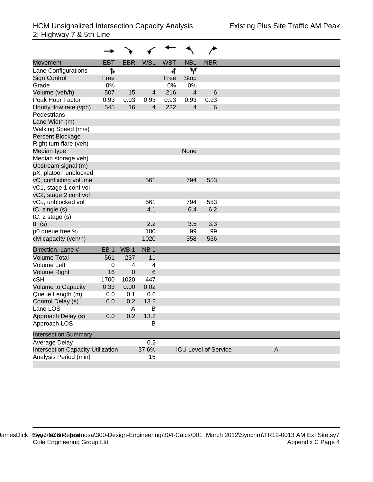| <b>Movement</b>                          | <b>EBT</b>      | <b>EBR</b>      | <b>WBL</b>      | <b>WBT</b> | <b>NBL</b>              | <b>NBR</b>                  |   |
|------------------------------------------|-----------------|-----------------|-----------------|------------|-------------------------|-----------------------------|---|
| Lane Configurations                      | ħ               |                 |                 | ची         | W                       |                             |   |
| Sign Control                             | Free            |                 |                 | Free       | <b>Stop</b>             |                             |   |
| Grade                                    | 0%              |                 |                 | 0%         | 0%                      |                             |   |
| Volume (veh/h)                           | 507             | 15              | $\overline{4}$  | 216        | $\overline{\mathbf{4}}$ | $6\phantom{1}6$             |   |
| Peak Hour Factor                         | 0.93            | 0.93            | 0.93            | 0.93       | 0.93                    | 0.93                        |   |
| Hourly flow rate (vph)                   | 545             | 16              | $\overline{4}$  | 232        | $\overline{4}$          | 6                           |   |
| Pedestrians                              |                 |                 |                 |            |                         |                             |   |
| Lane Width (m)                           |                 |                 |                 |            |                         |                             |   |
| Walking Speed (m/s)                      |                 |                 |                 |            |                         |                             |   |
| Percent Blockage                         |                 |                 |                 |            |                         |                             |   |
| Right turn flare (veh)                   |                 |                 |                 |            |                         |                             |   |
| Median type                              |                 |                 |                 |            | None                    |                             |   |
| Median storage veh)                      |                 |                 |                 |            |                         |                             |   |
| Upstream signal (m)                      |                 |                 |                 |            |                         |                             |   |
| pX, platoon unblocked                    |                 |                 |                 |            |                         |                             |   |
| vC, conflicting volume                   |                 |                 | 561             |            | 794                     | 553                         |   |
| vC1, stage 1 conf vol                    |                 |                 |                 |            |                         |                             |   |
| vC2, stage 2 conf vol                    |                 |                 |                 |            |                         |                             |   |
| vCu, unblocked vol                       |                 |                 | 561             |            | 794                     | 553                         |   |
| tC, single (s)                           |                 |                 | 4.1             |            | 6.4                     | 6.2                         |   |
| $tC$ , 2 stage $(s)$                     |                 |                 |                 |            |                         |                             |   |
| tF(s)                                    |                 |                 | 2.2             |            | 3.5                     | 3.3                         |   |
| p0 queue free %                          |                 |                 | 100             |            | 99                      | 99                          |   |
| cM capacity (veh/h)                      |                 |                 | 1020            |            | 358                     | 536                         |   |
| Direction, Lane #                        | EB <sub>1</sub> | WB <sub>1</sub> | NB <sub>1</sub> |            |                         |                             |   |
| <b>Volume Total</b>                      | 561             | 237             | 11              |            |                         |                             |   |
| Volume Left                              | 0               | 4               | 4               |            |                         |                             |   |
| <b>Volume Right</b>                      | 16              | $\pmb{0}$       | 6               |            |                         |                             |   |
| cSH                                      | 1700            | 1020            | 447             |            |                         |                             |   |
| <b>Volume to Capacity</b>                | 0.33            | 0.00            | 0.02            |            |                         |                             |   |
| Queue Length (m)                         | 0.0             | 0.1             | 0.6             |            |                         |                             |   |
| Control Delay (s)                        | 0.0             | 0.2             | 13.2            |            |                         |                             |   |
| Lane LOS                                 |                 | A               | B               |            |                         |                             |   |
| Approach Delay (s)                       | 0.0             | 0.2             | 13.2            |            |                         |                             |   |
| Approach LOS                             |                 |                 | B               |            |                         |                             |   |
| <b>Intersection Summary</b>              |                 |                 |                 |            |                         |                             |   |
| Average Delay                            |                 |                 | 0.2             |            |                         |                             |   |
| <b>Intersection Capacity Utilization</b> |                 |                 | 37.6%           |            |                         | <b>ICU Level of Service</b> | A |
| Analysis Period (min)                    |                 |                 | 15              |            |                         |                             |   |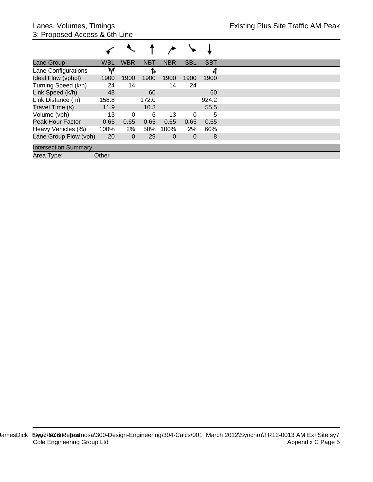| Lane Group                  | <b>WBL</b> | <b>WBR</b>   | <b>NBT</b> | <b>NBR</b>  | <b>SBL</b> | <b>SBT</b> |
|-----------------------------|------------|--------------|------------|-------------|------------|------------|
| Lane Configurations         | w          |              | Ъ          |             |            | ↤          |
| Ideal Flow (vphpl)          | 1900       | 1900         | 1900       | 1900        | 1900       | 1900       |
| Turning Speed (k/h)         | 24         | 14           |            | 14          | 24         |            |
| Link Speed (k/h)            | 48         |              | 60         |             |            | 60         |
| Link Distance (m)           | 158.8      |              | 172.0      |             |            | 924.2      |
| Travel Time (s)             | 11.9       |              | 10.3       |             |            | 55.5       |
| Volume (vph)                | 13         | 0            | 6          | 13          | 0          | 5          |
| Peak Hour Factor            | 0.65       | 0.65         | 0.65       | 0.65        | 0.65       | 0.65       |
| Heavy Vehicles (%)          | 100%       | 2%           | 50%        | 100%        | 2%         | 60%        |
| Lane Group Flow (vph)       | 20         | $\mathbf{0}$ | 29         | $\mathbf 0$ | 0          | 8          |
| <b>Intersection Summary</b> |            |              |            |             |            |            |
| Area Type:                  | Other      |              |            |             |            |            |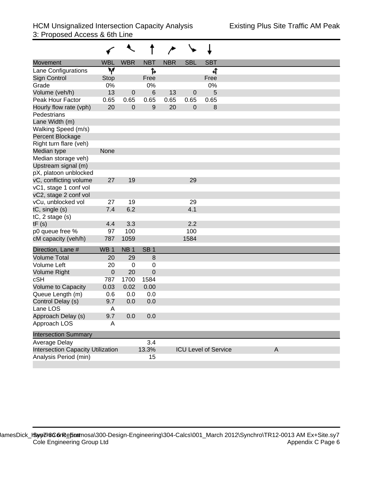| Movement                                 | <b>WBL</b>      | <b>WBR</b>      | <b>NBT</b>      | <b>NBR</b> | <b>SBL</b>     | <b>SBT</b>                  |   |
|------------------------------------------|-----------------|-----------------|-----------------|------------|----------------|-----------------------------|---|
| Lane Configurations                      | W               |                 | 1,              |            |                | प                           |   |
| <b>Sign Control</b>                      | Stop            |                 | Free            |            |                | Free                        |   |
| Grade                                    | 0%              |                 | 0%              |            |                | 0%                          |   |
| Volume (veh/h)                           | 13              | 0               | $6\phantom{1}$  | 13         | $\mathbf{0}$   | 5                           |   |
| <b>Peak Hour Factor</b>                  | 0.65            | 0.65            | 0.65            | 0.65       | 0.65           | 0.65                        |   |
| Hourly flow rate (vph)                   | 20              | $\Omega$        | 9               | 20         | $\overline{0}$ | 8                           |   |
| Pedestrians                              |                 |                 |                 |            |                |                             |   |
| Lane Width (m)                           |                 |                 |                 |            |                |                             |   |
| Walking Speed (m/s)                      |                 |                 |                 |            |                |                             |   |
| Percent Blockage                         |                 |                 |                 |            |                |                             |   |
| Right turn flare (veh)                   |                 |                 |                 |            |                |                             |   |
| Median type                              | None            |                 |                 |            |                |                             |   |
| Median storage veh)                      |                 |                 |                 |            |                |                             |   |
| Upstream signal (m)                      |                 |                 |                 |            |                |                             |   |
| pX, platoon unblocked                    |                 |                 |                 |            |                |                             |   |
| vC, conflicting volume                   | 27              | 19              |                 |            | 29             |                             |   |
| vC1, stage 1 conf vol                    |                 |                 |                 |            |                |                             |   |
| vC2, stage 2 conf vol                    |                 |                 |                 |            |                |                             |   |
| vCu, unblocked vol                       | 27              | 19              |                 |            | 29             |                             |   |
| tC, single (s)                           | 7.4             | 6.2             |                 |            | 4.1            |                             |   |
| $tC$ , 2 stage $(s)$                     |                 |                 |                 |            |                |                             |   |
| tF(s)                                    | 4.4             | 3.3             |                 |            | 2.2            |                             |   |
| p0 queue free %                          | 97              | 100             |                 |            | 100            |                             |   |
| cM capacity (veh/h)                      | 787             | 1059            |                 |            | 1584           |                             |   |
| Direction, Lane #                        | WB <sub>1</sub> | NB <sub>1</sub> | SB <sub>1</sub> |            |                |                             |   |
| <b>Volume Total</b>                      | 20              | 29              | 8               |            |                |                             |   |
| <b>Volume Left</b>                       | 20              | $\mathbf 0$     | 0               |            |                |                             |   |
| <b>Volume Right</b>                      | $\overline{0}$  | 20              | $\overline{0}$  |            |                |                             |   |
| <b>cSH</b>                               | 787             | 1700            | 1584            |            |                |                             |   |
| Volume to Capacity                       | 0.03            | 0.02            | 0.00            |            |                |                             |   |
| Queue Length (m)                         | 0.6             | 0.0             | 0.0             |            |                |                             |   |
| Control Delay (s)                        | 9.7             | 0.0             | 0.0             |            |                |                             |   |
| Lane LOS                                 | $\mathsf{A}$    |                 |                 |            |                |                             |   |
| Approach Delay (s)                       | 9.7             | 0.0             | 0.0             |            |                |                             |   |
| Approach LOS                             | Α               |                 |                 |            |                |                             |   |
| <b>Intersection Summary</b>              |                 |                 |                 |            |                |                             |   |
| Average Delay                            |                 |                 | 3.4             |            |                |                             |   |
| <b>Intersection Capacity Utilization</b> |                 |                 | 13.3%           |            |                | <b>ICU Level of Service</b> | A |
| Analysis Period (min)                    |                 |                 | 15              |            |                |                             |   |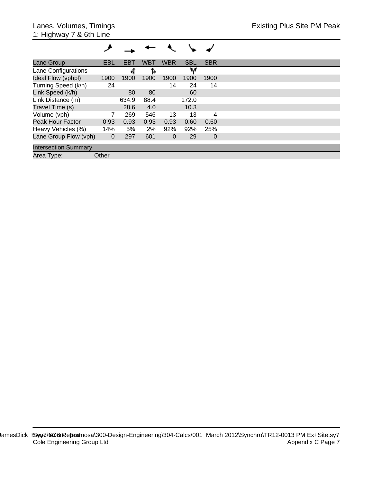| Lane Group                  | EBL            | EBT   | <b>WBT</b> | <b>WBR</b>   | <b>SBL</b> | <b>SBR</b> |  |
|-----------------------------|----------------|-------|------------|--------------|------------|------------|--|
| Lane Configurations         |                | स     | Ъ          |              | w          |            |  |
| Ideal Flow (vphpl)          | 1900           | 1900  | 1900       | 1900         | 1900       | 1900       |  |
| Turning Speed (k/h)         | 24             |       |            | 14           | 24         | 14         |  |
| Link Speed (k/h)            |                | 80    | 80         |              | 60         |            |  |
| Link Distance (m)           |                | 634.9 | 88.4       |              | 172.0      |            |  |
| Travel Time (s)             |                | 28.6  | 4.0        |              | 10.3       |            |  |
| Volume (vph)                |                | 269   | 546        | 13           | 13         | 4          |  |
| <b>Peak Hour Factor</b>     | 0.93           | 0.93  | 0.93       | 0.93         | 0.60       | 0.60       |  |
| Heavy Vehicles (%)          | 14%            | 5%    | 2%         | 92%          | 92%        | 25%        |  |
| Lane Group Flow (vph)       | $\overline{0}$ | 297   | 601        | $\mathbf{0}$ | 29         | $\Omega$   |  |
| <b>Intersection Summary</b> |                |       |            |              |            |            |  |
| Area Type:                  | Other          |       |            |              |            |            |  |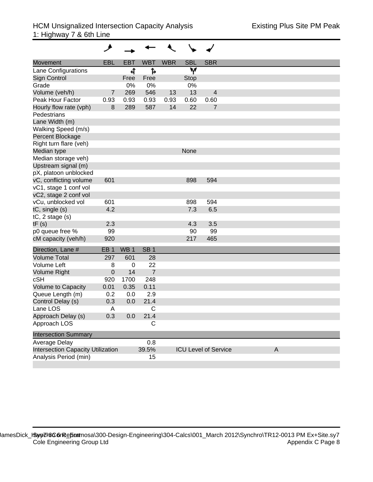| <b>Movement</b>                          | <b>EBL</b>      | <b>EBT</b>      | <b>WBT</b>      | <b>WBR</b> | <b>SBL</b> | <b>SBR</b>                  |   |
|------------------------------------------|-----------------|-----------------|-----------------|------------|------------|-----------------------------|---|
| Lane Configurations                      |                 | ची              | 1,              |            | W          |                             |   |
| <b>Sign Control</b>                      |                 | Free            | Free            |            | Stop       |                             |   |
| Grade                                    |                 | 0%              | 0%              |            | 0%         |                             |   |
| Volume (veh/h)                           | 7               | 269             | 546             | 13         | 13         | $\overline{4}$              |   |
| Peak Hour Factor                         | 0.93            | 0.93            | 0.93            | 0.93       | 0.60       | 0.60                        |   |
| Hourly flow rate (vph)                   | 8               | 289             | 587             | 14         | 22         | $\overline{7}$              |   |
| Pedestrians                              |                 |                 |                 |            |            |                             |   |
| Lane Width (m)                           |                 |                 |                 |            |            |                             |   |
| Walking Speed (m/s)                      |                 |                 |                 |            |            |                             |   |
| Percent Blockage                         |                 |                 |                 |            |            |                             |   |
| Right turn flare (veh)                   |                 |                 |                 |            |            |                             |   |
| Median type                              |                 |                 |                 |            | None       |                             |   |
| Median storage veh)                      |                 |                 |                 |            |            |                             |   |
| Upstream signal (m)                      |                 |                 |                 |            |            |                             |   |
| pX, platoon unblocked                    |                 |                 |                 |            |            |                             |   |
| vC, conflicting volume                   | 601             |                 |                 |            | 898        | 594                         |   |
| vC1, stage 1 conf vol                    |                 |                 |                 |            |            |                             |   |
| vC2, stage 2 conf vol                    |                 |                 |                 |            |            |                             |   |
| vCu, unblocked vol                       | 601             |                 |                 |            | 898        | 594                         |   |
| tC, single (s)                           | 4.2             |                 |                 |            | 7.3        | 6.5                         |   |
| $tC$ , 2 stage $(s)$                     |                 |                 |                 |            |            |                             |   |
| tF(s)                                    | 2.3             |                 |                 |            | 4.3        | 3.5                         |   |
| p0 queue free %                          | 99              |                 |                 |            | 90         | 99                          |   |
| cM capacity (veh/h)                      | 920             |                 |                 |            | 217        | 465                         |   |
| Direction, Lane #                        | EB <sub>1</sub> | WB <sub>1</sub> | SB <sub>1</sub> |            |            |                             |   |
| <b>Volume Total</b>                      | 297             | 601             | 28              |            |            |                             |   |
| Volume Left                              | 8               | $\mathbf 0$     | 22              |            |            |                             |   |
| <b>Volume Right</b>                      | $\pmb{0}$       | 14              | $\overline{7}$  |            |            |                             |   |
| cSH                                      | 920             | 1700            | 248             |            |            |                             |   |
| <b>Volume to Capacity</b>                | 0.01            | 0.35            | 0.11            |            |            |                             |   |
| Queue Length (m)                         | 0.2             | 0.0             | 2.9             |            |            |                             |   |
| Control Delay (s)                        | 0.3             | 0.0             | 21.4            |            |            |                             |   |
| Lane LOS                                 | A               |                 | C               |            |            |                             |   |
| Approach Delay (s)                       | 0.3             | 0.0             | 21.4            |            |            |                             |   |
| Approach LOS                             |                 |                 | С               |            |            |                             |   |
| <b>Intersection Summary</b>              |                 |                 |                 |            |            |                             |   |
| Average Delay                            |                 |                 | 0.8             |            |            |                             |   |
| <b>Intersection Capacity Utilization</b> |                 |                 | 39.5%           |            |            | <b>ICU Level of Service</b> | A |
| Analysis Period (min)                    |                 |                 | 15              |            |            |                             |   |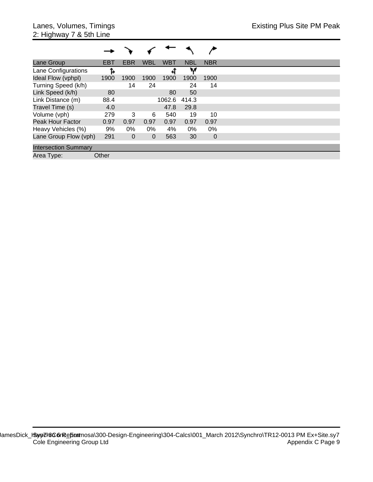| Lane Group                  | <b>EBT</b> | EBR          | <b>WBL</b> | <b>WBT</b> | <b>NBL</b> | <b>NBR</b>  |  |  |  |  |
|-----------------------------|------------|--------------|------------|------------|------------|-------------|--|--|--|--|
| Lane Configurations         | Ъ          |              |            | ส          | w          |             |  |  |  |  |
| Ideal Flow (vphpl)          | 1900       | 1900         | 1900       | 1900       | 1900       | 1900        |  |  |  |  |
| Turning Speed (k/h)         |            | 14           | 24         |            | 24         | 14          |  |  |  |  |
| Link Speed (k/h)            | 80         |              |            | 80         | 50         |             |  |  |  |  |
| Link Distance (m)           | 88.4       |              |            | 1062.6     | 414.3      |             |  |  |  |  |
| Travel Time (s)             | 4.0        |              |            | 47.8       | 29.8       |             |  |  |  |  |
| Volume (vph)                | 279        | 3            | 6          | 540        | 19         | 10          |  |  |  |  |
| Peak Hour Factor            | 0.97       | 0.97         | 0.97       | 0.97       | 0.97       | 0.97        |  |  |  |  |
| Heavy Vehicles (%)          | 9%         | 0%           | $0\%$      | 4%         | 0%         | $0\%$       |  |  |  |  |
| Lane Group Flow (vph)       | 291        | $\mathbf{0}$ | 0          | 563        | 30         | $\mathbf 0$ |  |  |  |  |
| <b>Intersection Summary</b> |            |              |            |            |            |             |  |  |  |  |
| Area Type:                  | Other      |              |            |            |            |             |  |  |  |  |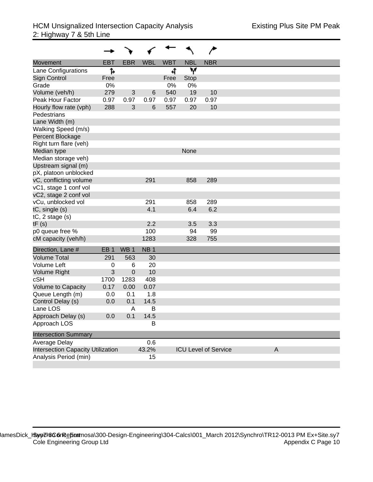|                                          |                 |                 |                 |            |            | ∕                           |              |  |
|------------------------------------------|-----------------|-----------------|-----------------|------------|------------|-----------------------------|--------------|--|
| Movement                                 | <b>EBT</b>      | <b>EBR</b>      | <b>WBL</b>      | <b>WBT</b> | <b>NBL</b> | <b>NBR</b>                  |              |  |
| Lane Configurations                      | ħ               |                 |                 | च          | Υ          |                             |              |  |
| Sign Control                             | Free            |                 |                 | Free       | Stop       |                             |              |  |
| Grade                                    | 0%              |                 |                 | 0%         | 0%         |                             |              |  |
| Volume (veh/h)                           | 279             | 3               | 6               | 540        | 19         | 10                          |              |  |
| Peak Hour Factor                         | 0.97            | 0.97            | 0.97            | 0.97       | 0.97       | 0.97                        |              |  |
| Hourly flow rate (vph)                   | 288             | 3               | 6               | 557        | 20         | 10                          |              |  |
| Pedestrians                              |                 |                 |                 |            |            |                             |              |  |
| Lane Width (m)                           |                 |                 |                 |            |            |                             |              |  |
| Walking Speed (m/s)                      |                 |                 |                 |            |            |                             |              |  |
| Percent Blockage                         |                 |                 |                 |            |            |                             |              |  |
| Right turn flare (veh)                   |                 |                 |                 |            |            |                             |              |  |
| Median type                              |                 |                 |                 |            | None       |                             |              |  |
| Median storage veh)                      |                 |                 |                 |            |            |                             |              |  |
| Upstream signal (m)                      |                 |                 |                 |            |            |                             |              |  |
| pX, platoon unblocked                    |                 |                 |                 |            |            |                             |              |  |
| vC, conflicting volume                   |                 |                 | 291             |            | 858        | 289                         |              |  |
| vC1, stage 1 conf vol                    |                 |                 |                 |            |            |                             |              |  |
| vC2, stage 2 conf vol                    |                 |                 |                 |            |            |                             |              |  |
| vCu, unblocked vol                       |                 |                 | 291             |            | 858        | 289                         |              |  |
| tC, single (s)                           |                 |                 | 4.1             |            | 6.4        | 6.2                         |              |  |
| $tC$ , 2 stage $(s)$                     |                 |                 |                 |            |            |                             |              |  |
| tF(s)                                    |                 |                 | 2.2             |            | 3.5        | 3.3                         |              |  |
| p0 queue free %                          |                 |                 | 100             |            | 94         | 99                          |              |  |
| cM capacity (veh/h)                      |                 |                 | 1283            |            | 328        | 755                         |              |  |
| Direction, Lane #                        | EB <sub>1</sub> | WB <sub>1</sub> | NB <sub>1</sub> |            |            |                             |              |  |
| <b>Volume Total</b>                      | 291             | 563             | 30              |            |            |                             |              |  |
| Volume Left                              | $\mathbf 0$     | 6               | 20              |            |            |                             |              |  |
| <b>Volume Right</b>                      | 3               | $\mathbf 0$     | 10              |            |            |                             |              |  |
| <b>cSH</b>                               | 1700            | 1283            | 408             |            |            |                             |              |  |
| <b>Volume to Capacity</b>                | 0.17            | 0.00            | 0.07            |            |            |                             |              |  |
| Queue Length (m)                         | 0.0             | 0.1             | 1.8             |            |            |                             |              |  |
| Control Delay (s)                        | 0.0             | 0.1             | 14.5            |            |            |                             |              |  |
| Lane LOS                                 |                 | A               | B               |            |            |                             |              |  |
| Approach Delay (s)                       | 0.0             | 0.1             | 14.5            |            |            |                             |              |  |
| Approach LOS                             |                 |                 | В               |            |            |                             |              |  |
| <b>Intersection Summary</b>              |                 |                 |                 |            |            |                             |              |  |
| Average Delay                            |                 |                 | 0.6             |            |            |                             |              |  |
| <b>Intersection Capacity Utilization</b> |                 |                 | 43.2%           |            |            | <b>ICU Level of Service</b> | $\mathsf{A}$ |  |
| Analysis Period (min)                    |                 |                 | 15              |            |            |                             |              |  |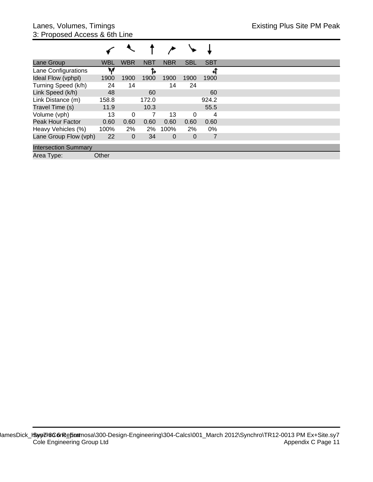| Lane Group                  | <b>WBL</b> | <b>WBR</b>   | <b>NBT</b> | <b>NBR</b>     | <b>SBL</b>     | <b>SBT</b> |
|-----------------------------|------------|--------------|------------|----------------|----------------|------------|
| Lane Configurations         | w          |              |            |                |                |            |
| Ideal Flow (vphpl)          | 1900       | 1900         | 1900       | 1900           | 1900           | 1900       |
| Turning Speed (k/h)         | 24         | 14           |            | 14             | 24             |            |
| Link Speed (k/h)            | 48         |              | 60         |                |                | 60         |
| Link Distance (m)           | 158.8      |              | 172.0      |                |                | 924.2      |
| Travel Time (s)             | 11.9       |              | 10.3       |                |                | 55.5       |
| Volume (vph)                | 13         | 0            |            | 13             | 0              | 4          |
| <b>Peak Hour Factor</b>     | 0.60       | 0.60         | 0.60       | 0.60           | 0.60           | 0.60       |
| Heavy Vehicles (%)          | 100%       | 2%           | 2%         | 100%           | 2%             | $0\%$      |
| Lane Group Flow (vph)       | 22         | $\mathbf{0}$ | 34         | $\overline{0}$ | $\overline{0}$ | 7          |
| <b>Intersection Summary</b> |            |              |            |                |                |            |
| Area Type:                  | Other      |              |            |                |                |            |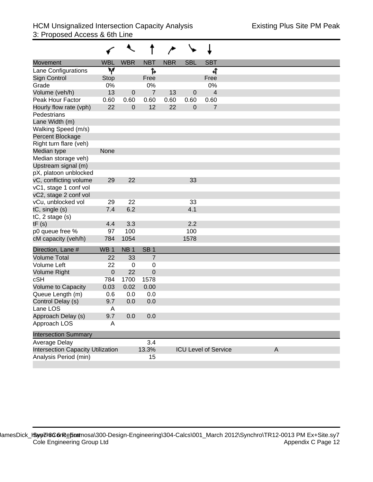| <b>Movement</b>                          | <b>WBL</b>       | <b>WBR</b>      | <b>NBT</b>     | <b>NBR</b> | <b>SBL</b>     | <b>SBT</b>                  |   |
|------------------------------------------|------------------|-----------------|----------------|------------|----------------|-----------------------------|---|
| Lane Configurations                      | W                |                 | ħ              |            |                | पी                          |   |
| Sign Control                             | <b>Stop</b>      |                 | Free           |            |                | Free                        |   |
| Grade                                    | 0%               |                 | 0%             |            |                | 0%                          |   |
| Volume (veh/h)                           | 13               | $\mathbf 0$     | $\overline{7}$ | 13         | $\mathbf 0$    | $\overline{4}$              |   |
| Peak Hour Factor                         | 0.60             | 0.60            | 0.60           | 0.60       | 0.60           | 0.60                        |   |
| Hourly flow rate (vph)                   | 22               | $\mathbf 0$     | 12             | 22         | $\overline{0}$ | 7                           |   |
| Pedestrians                              |                  |                 |                |            |                |                             |   |
| Lane Width (m)                           |                  |                 |                |            |                |                             |   |
| Walking Speed (m/s)                      |                  |                 |                |            |                |                             |   |
| Percent Blockage                         |                  |                 |                |            |                |                             |   |
| Right turn flare (veh)                   |                  |                 |                |            |                |                             |   |
| Median type                              | None             |                 |                |            |                |                             |   |
| Median storage veh)                      |                  |                 |                |            |                |                             |   |
| Upstream signal (m)                      |                  |                 |                |            |                |                             |   |
| pX, platoon unblocked                    |                  |                 |                |            |                |                             |   |
| vC, conflicting volume                   | 29               | 22              |                |            | 33             |                             |   |
| vC1, stage 1 conf vol                    |                  |                 |                |            |                |                             |   |
| vC2, stage 2 conf vol                    |                  |                 |                |            |                |                             |   |
| vCu, unblocked vol                       | 29               | 22              |                |            | 33             |                             |   |
| tC, single (s)                           | 7.4              | 6.2             |                |            | 4.1            |                             |   |
| $tC$ , 2 stage $(s)$                     |                  |                 |                |            |                |                             |   |
| tF(s)                                    | 4.4              | 3.3             |                |            | 2.2            |                             |   |
| p0 queue free %                          | 97               | 100             |                |            | 100            |                             |   |
| cM capacity (veh/h)                      | 784              | 1054            |                |            | 1578           |                             |   |
| Direction, Lane #                        | WB <sub>1</sub>  | NB <sub>1</sub> | <b>SB1</b>     |            |                |                             |   |
| <b>Volume Total</b>                      | 22               | 33              | $\overline{7}$ |            |                |                             |   |
| Volume Left                              | 22               | $\mathbf 0$     | 0              |            |                |                             |   |
| <b>Volume Right</b>                      | $\boldsymbol{0}$ | 22              | 0              |            |                |                             |   |
| cSH                                      | 784              | 1700            | 1578           |            |                |                             |   |
| <b>Volume to Capacity</b>                | 0.03             | 0.02            | 0.00           |            |                |                             |   |
| Queue Length (m)                         | 0.6              | 0.0             | 0.0            |            |                |                             |   |
| Control Delay (s)                        | 9.7              | 0.0             | 0.0            |            |                |                             |   |
| Lane LOS                                 | A                |                 |                |            |                |                             |   |
| Approach Delay (s)                       | 9.7              | 0.0             | 0.0            |            |                |                             |   |
| Approach LOS                             | A                |                 |                |            |                |                             |   |
| <b>Intersection Summary</b>              |                  |                 |                |            |                |                             |   |
| Average Delay                            |                  |                 | 3.4            |            |                |                             |   |
| <b>Intersection Capacity Utilization</b> |                  |                 | 13.3%          |            |                | <b>ICU Level of Service</b> | A |
| Analysis Period (min)                    |                  |                 | 15             |            |                |                             |   |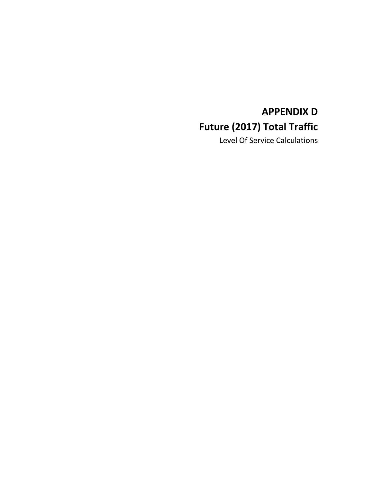## **APPENDIX D Future (2017) Total Traffic**

Level Of Service Calculations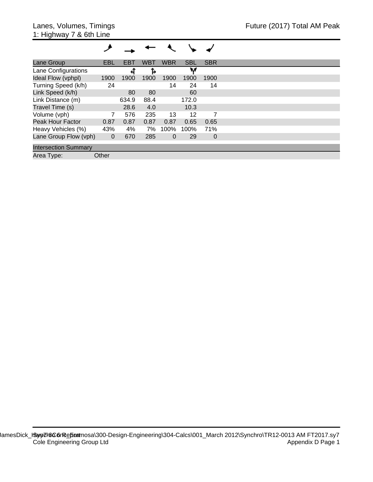| Lane Group                  | EBL            | <b>EBT</b> | <b>WBT</b> | <b>WBR</b>   | <b>SBL</b> | <b>SBR</b>     |
|-----------------------------|----------------|------------|------------|--------------|------------|----------------|
| Lane Configurations         |                | न्         | Ъ          |              | w          |                |
| Ideal Flow (vphpl)          | 1900           | 1900       | 1900       | 1900         | 1900       | 1900           |
| Turning Speed (k/h)         | 24             |            |            | 14           | 24         | 14             |
| Link Speed (k/h)            |                | 80         | 80         |              | 60         |                |
| Link Distance (m)           |                | 634.9      | 88.4       |              | 172.0      |                |
| Travel Time (s)             |                | 28.6       | 4.0        |              | 10.3       |                |
| Volume (vph)                | 7              | 576        | 235        | 13           | 12         | 7              |
| <b>Peak Hour Factor</b>     | 0.87           | 0.87       | 0.87       | 0.87         | 0.65       | 0.65           |
| Heavy Vehicles (%)          | 43%            | 4%         | 7%         | 100%         | 100%       | 71%            |
| Lane Group Flow (vph)       | $\overline{0}$ | 670        | 285        | $\mathbf{0}$ | 29         | $\overline{0}$ |
| <b>Intersection Summary</b> |                |            |            |              |            |                |
| Area Type:                  | Other          |            |            |              |            |                |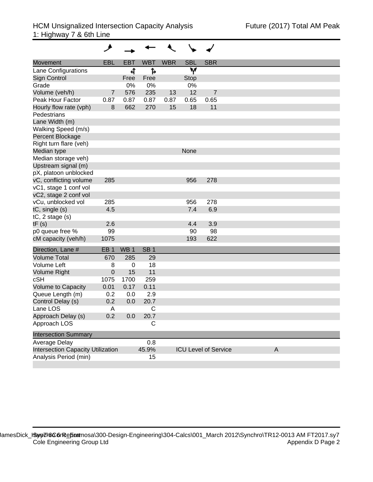| <b>Movement</b>                          | <b>EBL</b>      | <b>EBT</b>      | <b>WBT</b>      | <b>WBR</b> | <b>SBL</b> | <b>SBR</b>                  |   |
|------------------------------------------|-----------------|-----------------|-----------------|------------|------------|-----------------------------|---|
| Lane Configurations                      |                 | ची              | 1,              |            | W          |                             |   |
| <b>Sign Control</b>                      |                 | Free            | Free            |            | Stop       |                             |   |
| Grade                                    |                 | 0%              | 0%              |            | 0%         |                             |   |
| Volume (veh/h)                           | 7               | 576             | 235             | 13         | 12         | $\overline{7}$              |   |
| Peak Hour Factor                         | 0.87            | 0.87            | 0.87            | 0.87       | 0.65       | 0.65                        |   |
| Hourly flow rate (vph)                   | 8               | 662             | 270             | 15         | 18         | 11                          |   |
| Pedestrians                              |                 |                 |                 |            |            |                             |   |
| Lane Width (m)                           |                 |                 |                 |            |            |                             |   |
| Walking Speed (m/s)                      |                 |                 |                 |            |            |                             |   |
| Percent Blockage                         |                 |                 |                 |            |            |                             |   |
| Right turn flare (veh)                   |                 |                 |                 |            |            |                             |   |
| Median type                              |                 |                 |                 |            | None       |                             |   |
| Median storage veh)                      |                 |                 |                 |            |            |                             |   |
| Upstream signal (m)                      |                 |                 |                 |            |            |                             |   |
| pX, platoon unblocked                    |                 |                 |                 |            |            |                             |   |
| vC, conflicting volume                   | 285             |                 |                 |            | 956        | 278                         |   |
| vC1, stage 1 conf vol                    |                 |                 |                 |            |            |                             |   |
| vC2, stage 2 conf vol                    |                 |                 |                 |            |            |                             |   |
| vCu, unblocked vol                       | 285             |                 |                 |            | 956        | 278                         |   |
| tC, single (s)                           | 4.5             |                 |                 |            | 7.4        | 6.9                         |   |
| $tC$ , 2 stage $(s)$                     |                 |                 |                 |            |            |                             |   |
| tF(s)                                    | 2.6             |                 |                 |            | 4.4        | 3.9                         |   |
| p0 queue free %                          | 99              |                 |                 |            | 90         | 98                          |   |
| cM capacity (veh/h)                      | 1075            |                 |                 |            | 193        | 622                         |   |
| Direction, Lane #                        | EB <sub>1</sub> | WB <sub>1</sub> | SB <sub>1</sub> |            |            |                             |   |
| <b>Volume Total</b>                      | 670             | 285             | 29              |            |            |                             |   |
| Volume Left                              | 8               | 0               | 18              |            |            |                             |   |
| <b>Volume Right</b>                      | $\pmb{0}$       | 15              | 11              |            |            |                             |   |
| cSH                                      | 1075            | 1700            | 259             |            |            |                             |   |
| Volume to Capacity                       | 0.01            | 0.17            | 0.11            |            |            |                             |   |
| Queue Length (m)                         | 0.2             | 0.0             | 2.9             |            |            |                             |   |
| Control Delay (s)                        | 0.2             | 0.0             | 20.7            |            |            |                             |   |
| Lane LOS                                 | A               |                 | C               |            |            |                             |   |
| Approach Delay (s)                       | 0.2             | 0.0             | 20.7            |            |            |                             |   |
| Approach LOS                             |                 |                 | C               |            |            |                             |   |
| <b>Intersection Summary</b>              |                 |                 |                 |            |            |                             |   |
| Average Delay                            |                 |                 | 0.8             |            |            |                             |   |
| <b>Intersection Capacity Utilization</b> |                 |                 | 45.9%           |            |            | <b>ICU Level of Service</b> | A |
| Analysis Period (min)                    |                 |                 | 15              |            |            |                             |   |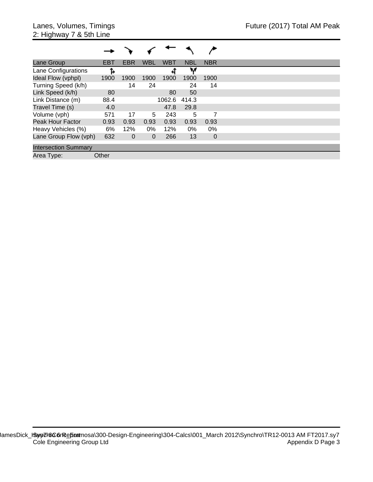| Lane Group                  | <b>EBT</b> | EBR          | <b>WBL</b>  | <b>WBT</b> | <b>NBL</b> | <b>NBR</b>     |  |  |  |
|-----------------------------|------------|--------------|-------------|------------|------------|----------------|--|--|--|
| Lane Configurations         | Ъ          |              |             |            | w          |                |  |  |  |
| Ideal Flow (vphpl)          | 1900       | 1900         | 1900        | 1900       | 1900       | 1900           |  |  |  |
| Turning Speed (k/h)         |            | 14           | 24          |            | 24         | 14             |  |  |  |
| Link Speed (k/h)            | 80         |              |             | 80         | 50         |                |  |  |  |
| Link Distance (m)           | 88.4       |              |             | 1062.6     | 414.3      |                |  |  |  |
| Travel Time (s)             | 4.0        |              |             | 47.8       | 29.8       |                |  |  |  |
| Volume (vph)                | 571        | 17           | 5           | 243        | 5          |                |  |  |  |
| <b>Peak Hour Factor</b>     | 0.93       | 0.93         | 0.93        | 0.93       | 0.93       | 0.93           |  |  |  |
| Heavy Vehicles (%)          | 6%         | 12%          | $0\%$       | 12%        | 0%         | $0\%$          |  |  |  |
| Lane Group Flow (vph)       | 632        | $\mathbf{0}$ | $\mathbf 0$ | 266        | 13         | $\overline{0}$ |  |  |  |
| <b>Intersection Summary</b> |            |              |             |            |            |                |  |  |  |
| Area Type:                  | Other      |              |             |            |            |                |  |  |  |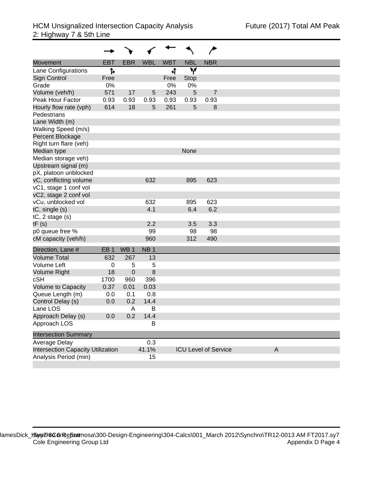| Movement                                 | <b>EBT</b>      | <b>EBR</b>      | <b>WBL</b>      | <b>WBT</b> | <b>NBL</b>     | <b>NBR</b>                  |   |
|------------------------------------------|-----------------|-----------------|-----------------|------------|----------------|-----------------------------|---|
| Lane Configurations                      | ħ               |                 |                 | च          | v              |                             |   |
| Sign Control                             | Free            |                 |                 | Free       | Stop           |                             |   |
| Grade                                    | 0%              |                 |                 | 0%         | 0%             |                             |   |
| Volume (veh/h)                           | 571             | 17              | 5               | 243        | $\overline{5}$ | $\overline{7}$              |   |
| Peak Hour Factor                         | 0.93            | 0.93            | 0.93            | 0.93       | 0.93           | 0.93                        |   |
| Hourly flow rate (vph)                   | 614             | 18              | 5               | 261        | 5              | 8                           |   |
| Pedestrians                              |                 |                 |                 |            |                |                             |   |
| Lane Width (m)                           |                 |                 |                 |            |                |                             |   |
| Walking Speed (m/s)                      |                 |                 |                 |            |                |                             |   |
| Percent Blockage                         |                 |                 |                 |            |                |                             |   |
| Right turn flare (veh)                   |                 |                 |                 |            |                |                             |   |
| Median type                              |                 |                 |                 |            | None           |                             |   |
| Median storage veh)                      |                 |                 |                 |            |                |                             |   |
| Upstream signal (m)                      |                 |                 |                 |            |                |                             |   |
| pX, platoon unblocked                    |                 |                 |                 |            |                |                             |   |
| vC, conflicting volume                   |                 |                 | 632             |            | 895            | 623                         |   |
| vC1, stage 1 conf vol                    |                 |                 |                 |            |                |                             |   |
| vC2, stage 2 conf vol                    |                 |                 |                 |            |                |                             |   |
| vCu, unblocked vol                       |                 |                 | 632             |            | 895            | 623                         |   |
| tC, single (s)                           |                 |                 | 4.1             |            | 6.4            | 6.2                         |   |
| $tC$ , 2 stage $(s)$                     |                 |                 |                 |            |                |                             |   |
| tF(s)                                    |                 |                 | 2.2             |            | 3.5            | 3.3                         |   |
| p0 queue free %                          |                 |                 | 99              |            | 98             | 98                          |   |
| cM capacity (veh/h)                      |                 |                 | 960             |            | 312            | 490                         |   |
| Direction, Lane #                        | EB <sub>1</sub> | WB <sub>1</sub> | NB <sub>1</sub> |            |                |                             |   |
| <b>Volume Total</b>                      | 632             | 267             | 13              |            |                |                             |   |
| Volume Left                              | 0               | 5               | 5               |            |                |                             |   |
| <b>Volume Right</b>                      | 18              | 0               | 8               |            |                |                             |   |
| cSH                                      | 1700            | 960             | 396             |            |                |                             |   |
| Volume to Capacity                       | 0.37            | 0.01            | 0.03            |            |                |                             |   |
| Queue Length (m)                         | 0.0             | 0.1             | 0.8             |            |                |                             |   |
| Control Delay (s)                        | 0.0             | 0.2             | 14.4            |            |                |                             |   |
| Lane LOS                                 |                 | A               | B               |            |                |                             |   |
| Approach Delay (s)                       | 0.0             | 0.2             | 14.4            |            |                |                             |   |
| Approach LOS                             |                 |                 | B               |            |                |                             |   |
| <b>Intersection Summary</b>              |                 |                 |                 |            |                |                             |   |
| Average Delay                            |                 |                 | 0.3             |            |                |                             |   |
| <b>Intersection Capacity Utilization</b> |                 |                 | 41.1%           |            |                | <b>ICU Level of Service</b> | A |
| Analysis Period (min)                    |                 |                 | 15              |            |                |                             |   |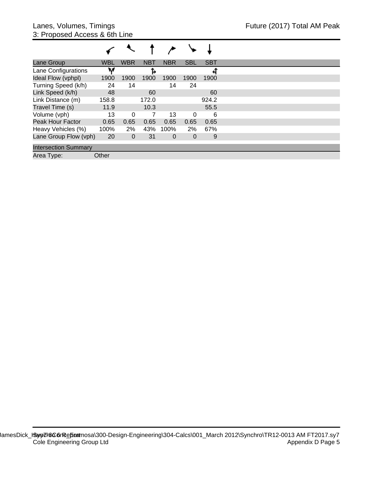| $\checkmark$ $\checkmark$ $\checkmark$ $\checkmark$ $\checkmark$ $\checkmark$ $\checkmark$ |  |  |  |
|--------------------------------------------------------------------------------------------|--|--|--|
|                                                                                            |  |  |  |

| Lane Group                  | WBL   | <b>WBR</b>   | <b>NBT</b> | <b>NBR</b>     | <b>SBL</b> | <b>SBT</b> |  |
|-----------------------------|-------|--------------|------------|----------------|------------|------------|--|
| Lane Configurations         | w     |              |            |                |            |            |  |
| Ideal Flow (vphpl)          | 1900  | 1900         | 1900       | 1900           | 1900       | 1900       |  |
| Turning Speed (k/h)         | 24    | 14           |            | 14             | 24         |            |  |
| Link Speed (k/h)            | 48    |              | 60         |                |            | 60         |  |
| Link Distance (m)           | 158.8 |              | 172.0      |                |            | 924.2      |  |
| Travel Time (s)             | 11.9  |              | 10.3       |                |            | 55.5       |  |
| Volume (vph)                | 13    | 0            |            | 13             | 0          | 6          |  |
| <b>Peak Hour Factor</b>     | 0.65  | 0.65         | 0.65       | 0.65           | 0.65       | 0.65       |  |
| Heavy Vehicles (%)          | 100%  | 2%           | 43%        | 100%           | 2%         | 67%        |  |
| Lane Group Flow (vph)       | 20    | $\mathbf{0}$ | 31         | $\overline{0}$ | 0          | 9          |  |
| <b>Intersection Summary</b> |       |              |            |                |            |            |  |
| Area Type:                  | Other |              |            |                |            |            |  |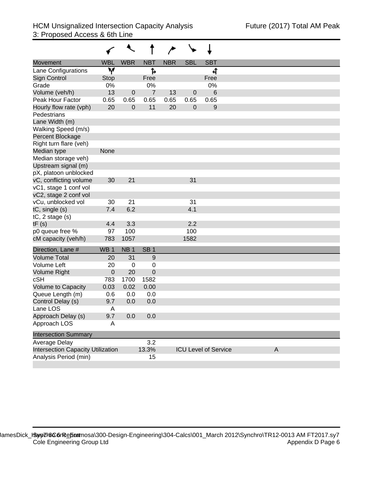| <b>Movement</b>                          | <b>WBL</b>       | <b>WBR</b>      | <b>NBT</b>      | <b>NBR</b> | <b>SBL</b>  | <b>SBT</b>                  |   |
|------------------------------------------|------------------|-----------------|-----------------|------------|-------------|-----------------------------|---|
| Lane Configurations                      | W                |                 | 1               |            |             | 4                           |   |
| Sign Control                             | <b>Stop</b>      |                 | Free            |            |             | Free                        |   |
| Grade                                    | 0%               |                 | 0%              |            |             | 0%                          |   |
| Volume (veh/h)                           | 13               | $\pmb{0}$       | $\overline{7}$  | 13         | $\mathbf 0$ | 6                           |   |
| Peak Hour Factor                         | 0.65             | 0.65            | 0.65            | 0.65       | 0.65        | 0.65                        |   |
| Hourly flow rate (vph)                   | 20               | $\pmb{0}$       | 11              | 20         | $\mathbf 0$ | 9                           |   |
| Pedestrians                              |                  |                 |                 |            |             |                             |   |
| Lane Width (m)                           |                  |                 |                 |            |             |                             |   |
| Walking Speed (m/s)                      |                  |                 |                 |            |             |                             |   |
| Percent Blockage                         |                  |                 |                 |            |             |                             |   |
| Right turn flare (veh)                   |                  |                 |                 |            |             |                             |   |
| Median type                              | None             |                 |                 |            |             |                             |   |
| Median storage veh)                      |                  |                 |                 |            |             |                             |   |
| Upstream signal (m)                      |                  |                 |                 |            |             |                             |   |
| pX, platoon unblocked                    |                  |                 |                 |            |             |                             |   |
| vC, conflicting volume                   | 30               | 21              |                 |            | 31          |                             |   |
| vC1, stage 1 conf vol                    |                  |                 |                 |            |             |                             |   |
| vC2, stage 2 conf vol                    |                  |                 |                 |            |             |                             |   |
| vCu, unblocked vol                       | 30               | 21              |                 |            | 31          |                             |   |
| tC, single (s)                           | 7.4              | 6.2             |                 |            | 4.1         |                             |   |
| $tC$ , 2 stage $(s)$                     |                  |                 |                 |            |             |                             |   |
| tF(s)                                    | 4.4              | 3.3             |                 |            | 2.2<br>100  |                             |   |
| p0 queue free %                          | 97               | 100<br>1057     |                 |            | 1582        |                             |   |
| cM capacity (veh/h)                      | 783              |                 |                 |            |             |                             |   |
| Direction, Lane #                        | WB <sub>1</sub>  | NB <sub>1</sub> | SB <sub>1</sub> |            |             |                             |   |
| <b>Volume Total</b>                      | 20               | 31              | $9$             |            |             |                             |   |
| Volume Left                              | 20               | $\mathbf 0$     | 0               |            |             |                             |   |
| <b>Volume Right</b>                      | $\boldsymbol{0}$ | 20              | 0               |            |             |                             |   |
| cSH                                      | 783              | 1700            | 1582            |            |             |                             |   |
| <b>Volume to Capacity</b>                | 0.03             | 0.02            | 0.00            |            |             |                             |   |
| Queue Length (m)                         | 0.6              | 0.0             | 0.0             |            |             |                             |   |
| Control Delay (s)                        | 9.7              | 0.0             | 0.0             |            |             |                             |   |
| Lane LOS                                 | A                |                 |                 |            |             |                             |   |
| Approach Delay (s)                       | 9.7              | 0.0             | 0.0             |            |             |                             |   |
| Approach LOS                             | A                |                 |                 |            |             |                             |   |
| <b>Intersection Summary</b>              |                  |                 |                 |            |             |                             |   |
| Average Delay                            |                  |                 | 3.2             |            |             |                             |   |
| <b>Intersection Capacity Utilization</b> |                  |                 | 13.3%           |            |             | <b>ICU Level of Service</b> | A |
| Analysis Period (min)                    |                  |                 | 15              |            |             |                             |   |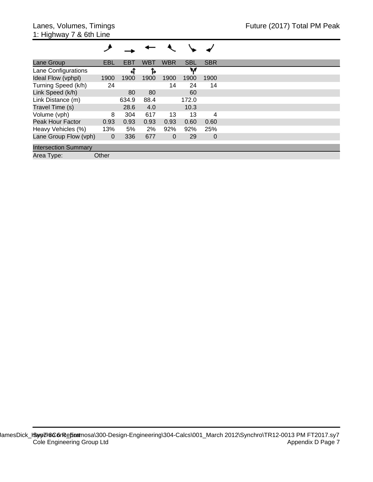| Lane Group                  | EBL            | <b>EBT</b> | <b>WBT</b> | <b>WBR</b>     | <b>SBL</b> | <b>SBR</b>     |
|-----------------------------|----------------|------------|------------|----------------|------------|----------------|
| Lane Configurations         |                | ची         | Ъ          |                | w          |                |
| Ideal Flow (vphpl)          | 1900           | 1900       | 1900       | 1900           | 1900       | 1900           |
| Turning Speed (k/h)         | 24             |            |            | 14             | 24         | 14             |
| Link Speed (k/h)            |                | 80         | 80         |                | 60         |                |
| Link Distance (m)           |                | 634.9      | 88.4       |                | 172.0      |                |
| Travel Time (s)             |                | 28.6       | 4.0        |                | 10.3       |                |
| Volume (vph)                | 8              | 304        | 617        | 13             | 13         | 4              |
| Peak Hour Factor            | 0.93           | 0.93       | 0.93       | 0.93           | 0.60       | 0.60           |
| Heavy Vehicles (%)          | 13%            | 5%         | 2%         | 92%            | 92%        | 25%            |
| Lane Group Flow (vph)       | $\overline{0}$ | 336        | 677        | $\overline{0}$ | 29         | $\overline{0}$ |
| <b>Intersection Summary</b> |                |            |            |                |            |                |
| Area Type:                  | Other          |            |            |                |            |                |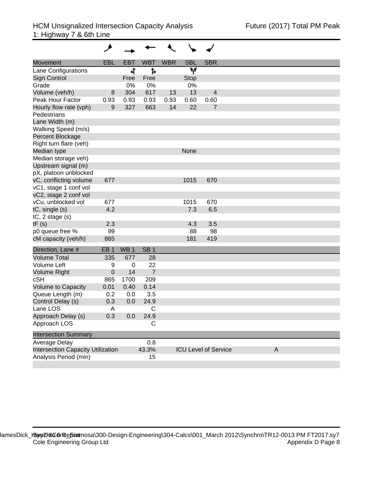| Movement                                 | EBL             | <b>EBT</b>      | <b>WBT</b>      | <b>WBR</b> | <b>SBL</b>  | <b>SBR</b>                  |              |
|------------------------------------------|-----------------|-----------------|-----------------|------------|-------------|-----------------------------|--------------|
| Lane Configurations                      |                 | ची              | 1,              |            | W           |                             |              |
| <b>Sign Control</b>                      |                 | Free            | Free            |            | <b>Stop</b> |                             |              |
| Grade                                    |                 | 0%              | 0%              |            | 0%          |                             |              |
| Volume (veh/h)                           | 8               | 304             | 617             | 13         | 13          | $\overline{4}$              |              |
| Peak Hour Factor                         | 0.93            | 0.93            | 0.93            | 0.93       | 0.60        | 0.60                        |              |
| Hourly flow rate (vph)                   | 9               | 327             | 663             | 14         | 22          | 7                           |              |
| Pedestrians                              |                 |                 |                 |            |             |                             |              |
| Lane Width (m)                           |                 |                 |                 |            |             |                             |              |
| Walking Speed (m/s)                      |                 |                 |                 |            |             |                             |              |
| Percent Blockage                         |                 |                 |                 |            |             |                             |              |
| Right turn flare (veh)                   |                 |                 |                 |            |             |                             |              |
| Median type                              |                 |                 |                 |            | None        |                             |              |
| Median storage veh)                      |                 |                 |                 |            |             |                             |              |
| Upstream signal (m)                      |                 |                 |                 |            |             |                             |              |
| pX, platoon unblocked                    |                 |                 |                 |            |             |                             |              |
| vC, conflicting volume                   | 677             |                 |                 |            | 1015        | 670                         |              |
| vC1, stage 1 conf vol                    |                 |                 |                 |            |             |                             |              |
| vC2, stage 2 conf vol                    |                 |                 |                 |            |             |                             |              |
| vCu, unblocked vol                       | 677             |                 |                 |            | 1015        | 670                         |              |
| tC, single (s)                           | 4.2             |                 |                 |            | 7.3         | 6.5                         |              |
| $tC$ , 2 stage $(s)$                     |                 |                 |                 |            |             |                             |              |
| tF(s)                                    | 2.3             |                 |                 |            | 4.3         | 3.5                         |              |
| p0 queue free %                          | 99              |                 |                 |            | 88          | 98                          |              |
| cM capacity (veh/h)                      | 865             |                 |                 |            | 181         | 419                         |              |
| Direction, Lane #                        | EB <sub>1</sub> | WB <sub>1</sub> | SB <sub>1</sub> |            |             |                             |              |
| <b>Volume Total</b>                      | 335             | 677             | 28              |            |             |                             |              |
| Volume Left                              | 9               | 0               | 22              |            |             |                             |              |
| <b>Volume Right</b>                      | $\pmb{0}$       | 14              | $\overline{7}$  |            |             |                             |              |
| cSH                                      | 865             | 1700            | 209             |            |             |                             |              |
| <b>Volume to Capacity</b>                | 0.01            | 0.40            | 0.14            |            |             |                             |              |
| Queue Length (m)                         | 0.2             | 0.0             | 3.5             |            |             |                             |              |
| Control Delay (s)                        | 0.3             | 0.0             | 24.9            |            |             |                             |              |
| Lane LOS                                 | A               |                 | C               |            |             |                             |              |
| Approach Delay (s)                       | 0.3             | 0.0             | 24.9            |            |             |                             |              |
| Approach LOS                             |                 |                 | C               |            |             |                             |              |
| <b>Intersection Summary</b>              |                 |                 |                 |            |             |                             |              |
| Average Delay                            |                 |                 | 0.8             |            |             |                             |              |
| <b>Intersection Capacity Utilization</b> |                 |                 | 43.3%           |            |             | <b>ICU Level of Service</b> | $\mathsf{A}$ |
| Analysis Period (min)                    |                 |                 | 15              |            |             |                             |              |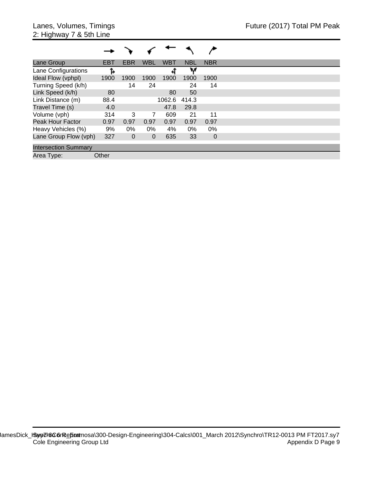| Lane Group                  | <b>EBT</b> | EBR            | <b>WBL</b> | <b>WBT</b> | <b>NBL</b> | <b>NBR</b>     |
|-----------------------------|------------|----------------|------------|------------|------------|----------------|
| Lane Configurations         | Ъ          |                |            |            | w          |                |
| Ideal Flow (vphpl)          | 1900       | 1900           | 1900       | 1900       | 1900       | 1900           |
| Turning Speed (k/h)         |            | 14             | 24         |            | 24         | 14             |
| Link Speed (k/h)            | 80         |                |            | 80         | 50         |                |
| Link Distance (m)           | 88.4       |                |            | 1062.6     | 414.3      |                |
| Travel Time (s)             | 4.0        |                |            | 47.8       | 29.8       |                |
| Volume (vph)                | 314        | 3              | 7          | 609        | 21         | 11             |
| <b>Peak Hour Factor</b>     | 0.97       | 0.97           | 0.97       | 0.97       | 0.97       | 0.97           |
| Heavy Vehicles (%)          | 9%         | $0\%$          | $0\%$      | 4%         | $0\%$      | $0\%$          |
| Lane Group Flow (vph)       | 327        | $\overline{0}$ | 0          | 635        | 33         | $\overline{0}$ |
| <b>Intersection Summary</b> |            |                |            |            |            |                |
| Area Type:                  | Other      |                |            |            |            |                |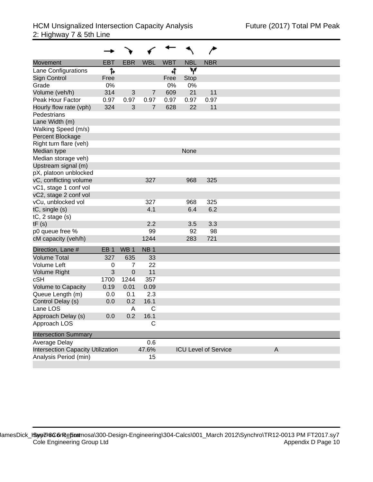| Movement                                 | <b>EBT</b>      | <b>EBR</b>      | <b>WBL</b>      | <b>WBT</b> | <b>NBL</b> | <b>NBR</b>                  |   |  |
|------------------------------------------|-----------------|-----------------|-----------------|------------|------------|-----------------------------|---|--|
| Lane Configurations                      | ħ               |                 |                 | च          | v          |                             |   |  |
| <b>Sign Control</b>                      | Free            |                 |                 | Free       | Stop       |                             |   |  |
| Grade                                    | 0%              |                 |                 | 0%         | 0%         |                             |   |  |
| Volume (veh/h)                           | 314             | 3               | $\overline{7}$  | 609        | 21         | 11                          |   |  |
| Peak Hour Factor                         | 0.97            | 0.97            | 0.97            | 0.97       | 0.97       | 0.97                        |   |  |
| Hourly flow rate (vph)                   | 324             | 3               | $\overline{7}$  | 628        | 22         | 11                          |   |  |
| Pedestrians                              |                 |                 |                 |            |            |                             |   |  |
| Lane Width (m)                           |                 |                 |                 |            |            |                             |   |  |
| Walking Speed (m/s)                      |                 |                 |                 |            |            |                             |   |  |
| Percent Blockage                         |                 |                 |                 |            |            |                             |   |  |
| Right turn flare (veh)                   |                 |                 |                 |            |            |                             |   |  |
| Median type                              |                 |                 |                 |            | None       |                             |   |  |
| Median storage veh)                      |                 |                 |                 |            |            |                             |   |  |
| Upstream signal (m)                      |                 |                 |                 |            |            |                             |   |  |
| pX, platoon unblocked                    |                 |                 |                 |            |            |                             |   |  |
| vC, conflicting volume                   |                 |                 | 327             |            | 968        | 325                         |   |  |
| vC1, stage 1 conf vol                    |                 |                 |                 |            |            |                             |   |  |
| vC2, stage 2 conf vol                    |                 |                 |                 |            |            |                             |   |  |
| vCu, unblocked vol                       |                 |                 | 327             |            | 968        | 325                         |   |  |
| tC, single (s)                           |                 |                 | 4.1             |            | 6.4        | 6.2                         |   |  |
| $tC$ , 2 stage $(s)$                     |                 |                 |                 |            |            |                             |   |  |
| tF(s)                                    |                 |                 | 2.2             |            | 3.5        | 3.3                         |   |  |
| p0 queue free %                          |                 |                 | 99              |            | 92         | 98                          |   |  |
| cM capacity (veh/h)                      |                 |                 | 1244            |            | 283        | 721                         |   |  |
| Direction, Lane #                        | EB <sub>1</sub> | WB <sub>1</sub> | NB <sub>1</sub> |            |            |                             |   |  |
| <b>Volume Total</b>                      | 327             | 635             | 33              |            |            |                             |   |  |
| Volume Left                              | $\mathbf 0$     | 7               | 22              |            |            |                             |   |  |
| <b>Volume Right</b>                      | 3               | $\pmb{0}$       | 11              |            |            |                             |   |  |
| cSH                                      | 1700            | 1244            | 357             |            |            |                             |   |  |
| Volume to Capacity                       | 0.19            | 0.01            | 0.09            |            |            |                             |   |  |
| Queue Length (m)                         | 0.0             | 0.1             | 2.3             |            |            |                             |   |  |
| Control Delay (s)                        | 0.0             | 0.2             | 16.1            |            |            |                             |   |  |
| Lane LOS                                 |                 | A               | C               |            |            |                             |   |  |
| Approach Delay (s)                       | 0.0             | 0.2             | 16.1            |            |            |                             |   |  |
| Approach LOS                             |                 |                 | C               |            |            |                             |   |  |
| <b>Intersection Summary</b>              |                 |                 |                 |            |            |                             |   |  |
| Average Delay                            |                 |                 | 0.6             |            |            |                             |   |  |
| <b>Intersection Capacity Utilization</b> |                 |                 | 47.6%           |            |            | <b>ICU Level of Service</b> | A |  |
| Analysis Period (min)                    |                 |                 | 15              |            |            |                             |   |  |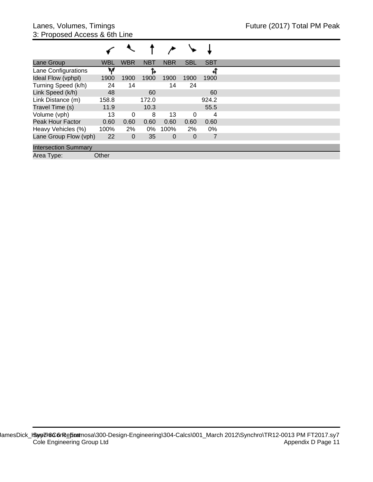| $\checkmark$ . $\checkmark$ . $\checkmark$ . $\checkmark$ . $\checkmark$ |  |  |
|--------------------------------------------------------------------------|--|--|
|                                                                          |  |  |

| Lane Group                  | <b>WBL</b> | <b>WBR</b>     | <b>NBT</b> | <b>NBR</b> | <b>SBL</b> | <b>SBT</b> |  |  |  |
|-----------------------------|------------|----------------|------------|------------|------------|------------|--|--|--|
| Lane Configurations         | w          |                |            |            |            | ↤          |  |  |  |
| Ideal Flow (vphpl)          | 1900       | 1900           | 1900       | 1900       | 1900       | 1900       |  |  |  |
| Turning Speed (k/h)         | 24         | 14             |            | 14         | 24         |            |  |  |  |
| Link Speed (k/h)            | 48         |                | 60         |            |            | 60         |  |  |  |
| Link Distance (m)           | 158.8      |                | 172.0      |            |            | 924.2      |  |  |  |
| Travel Time (s)             | 11.9       |                | 10.3       |            |            | 55.5       |  |  |  |
| Volume (vph)                | 13         | 0              | 8          | 13         | 0          | 4          |  |  |  |
| <b>Peak Hour Factor</b>     | 0.60       | 0.60           | 0.60       | 0.60       | 0.60       | 0.60       |  |  |  |
| Heavy Vehicles (%)          | 100%       | 2%             | 0%         | 100%       | 2%         | 0%         |  |  |  |
| Lane Group Flow (vph)       | 22         | $\overline{0}$ | 35         | 0          | 0          | 7          |  |  |  |
| <b>Intersection Summary</b> |            |                |            |            |            |            |  |  |  |
| Area Type:                  | Other      |                |            |            |            |            |  |  |  |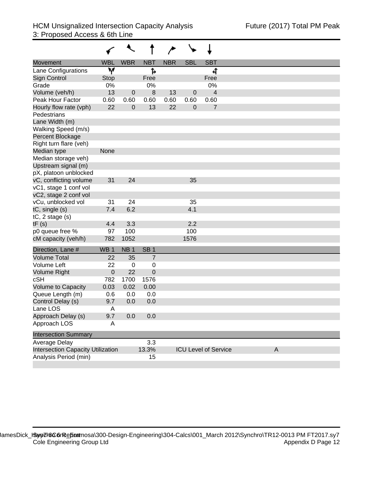| <b>Movement</b>                          | <b>WBL</b>       | <b>WBR</b>      | <b>NBT</b>      | <b>NBR</b> | <b>SBL</b>     | <b>SBT</b>                  |   |
|------------------------------------------|------------------|-----------------|-----------------|------------|----------------|-----------------------------|---|
| Lane Configurations                      | W                |                 | Ъ               |            |                | ची                          |   |
| Sign Control                             | Stop             |                 | Free            |            |                | Free                        |   |
| Grade                                    | 0%               |                 | 0%              |            |                | 0%                          |   |
| Volume (veh/h)                           | 13               | $\pmb{0}$       | 8               | 13         | $\overline{0}$ | 4                           |   |
| Peak Hour Factor                         | 0.60             | 0.60            | 0.60            | 0.60       | 0.60           | 0.60                        |   |
| Hourly flow rate (vph)                   | 22               | $\mathbf 0$     | 13              | 22         | $\overline{0}$ | $\overline{7}$              |   |
| Pedestrians                              |                  |                 |                 |            |                |                             |   |
| Lane Width (m)                           |                  |                 |                 |            |                |                             |   |
| Walking Speed (m/s)                      |                  |                 |                 |            |                |                             |   |
| Percent Blockage                         |                  |                 |                 |            |                |                             |   |
| Right turn flare (veh)                   |                  |                 |                 |            |                |                             |   |
| Median type                              | None             |                 |                 |            |                |                             |   |
| Median storage veh)                      |                  |                 |                 |            |                |                             |   |
| Upstream signal (m)                      |                  |                 |                 |            |                |                             |   |
| pX, platoon unblocked                    |                  |                 |                 |            |                |                             |   |
| vC, conflicting volume                   | 31               | 24              |                 |            | 35             |                             |   |
| vC1, stage 1 conf vol                    |                  |                 |                 |            |                |                             |   |
| vC2, stage 2 conf vol                    |                  |                 |                 |            |                |                             |   |
| vCu, unblocked vol                       | 31               | 24              |                 |            | 35             |                             |   |
| tC, single (s)                           | 7.4              | 6.2             |                 |            | 4.1            |                             |   |
| $tC$ , 2 stage $(s)$                     |                  |                 |                 |            |                |                             |   |
| tF(s)                                    | 4.4              | 3.3             |                 |            | 2.2            |                             |   |
| p0 queue free %                          | 97               | 100             |                 |            | 100            |                             |   |
| cM capacity (veh/h)                      | 782              | 1052            |                 |            | 1576           |                             |   |
| Direction, Lane #                        | WB <sub>1</sub>  | NB <sub>1</sub> | SB <sub>1</sub> |            |                |                             |   |
| <b>Volume Total</b>                      | 22               | 35              | $\overline{7}$  |            |                |                             |   |
| Volume Left                              | 22               | $\mathbf 0$     | 0               |            |                |                             |   |
| <b>Volume Right</b>                      | $\boldsymbol{0}$ | 22              | 0               |            |                |                             |   |
| cSH                                      | 782              | 1700            | 1576            |            |                |                             |   |
| <b>Volume to Capacity</b>                | 0.03             | 0.02            | 0.00            |            |                |                             |   |
| Queue Length (m)                         | 0.6              | 0.0             | 0.0             |            |                |                             |   |
| Control Delay (s)                        | 9.7              | 0.0             | 0.0             |            |                |                             |   |
| Lane LOS                                 | A                |                 |                 |            |                |                             |   |
| Approach Delay (s)                       | 9.7              | 0.0             | 0.0             |            |                |                             |   |
| Approach LOS                             | A                |                 |                 |            |                |                             |   |
| <b>Intersection Summary</b>              |                  |                 |                 |            |                |                             |   |
| Average Delay                            |                  |                 | 3.3             |            |                |                             |   |
| <b>Intersection Capacity Utilization</b> |                  |                 | 13.3%           |            |                | <b>ICU Level of Service</b> | A |
| Analysis Period (min)                    |                  |                 | 15              |            |                |                             |   |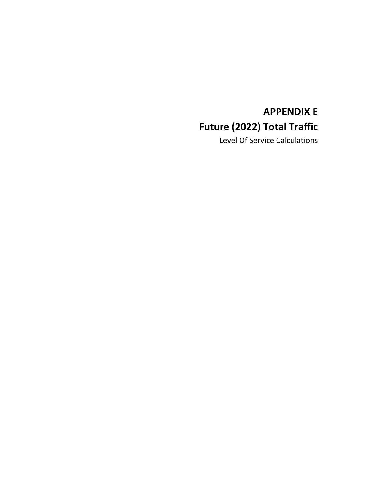## **APPENDIX E Future (2022) Total Traffic**

Level Of Service Calculations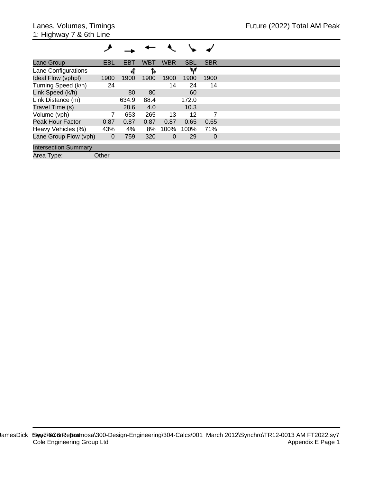| Lane Group                  | <b>EBL</b>  | <b>EBT</b> | <b>WBT</b> | <b>WBR</b> | <b>SBL</b> | <b>SBR</b>     |  |
|-----------------------------|-------------|------------|------------|------------|------------|----------------|--|
| Lane Configurations         |             | ची         | Ъ          |            | w          |                |  |
| Ideal Flow (vphpl)          | 1900        | 1900       | 1900       | 1900       | 1900       | 1900           |  |
| Turning Speed (k/h)         | 24          |            |            | 14         | 24         | 14             |  |
| Link Speed (k/h)            |             | 80         | 80         |            | 60         |                |  |
| Link Distance (m)           |             | 634.9      | 88.4       |            | 172.0      |                |  |
| Travel Time (s)             |             | 28.6       | 4.0        |            | 10.3       |                |  |
| Volume (vph)                | 7           | 653        | 265        | 13         | 12         | $\overline{7}$ |  |
| <b>Peak Hour Factor</b>     | 0.87        | 0.87       | 0.87       | 0.87       | 0.65       | 0.65           |  |
| Heavy Vehicles (%)          | 43%         | 4%         | 8%         | 100%       | 100%       | 71%            |  |
| Lane Group Flow (vph)       | $\mathbf 0$ | 759        | 320        | $\Omega$   | 29         | $\overline{0}$ |  |
| <b>Intersection Summary</b> |             |            |            |            |            |                |  |
| Area Type:                  | Other       |            |            |            |            |                |  |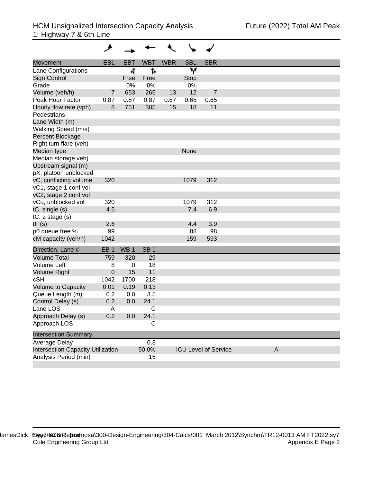| <b>Movement</b>                          | EBL             | <b>EBT</b>      | <b>WBT</b>      | <b>WBR</b> | <b>SBL</b>  | <b>SBR</b>                  |   |
|------------------------------------------|-----------------|-----------------|-----------------|------------|-------------|-----------------------------|---|
| Lane Configurations                      |                 | प               | 1,              |            | W           |                             |   |
| <b>Sign Control</b>                      |                 | Free            | Free            |            | <b>Stop</b> |                             |   |
| Grade                                    |                 | 0%              | 0%              |            | 0%          |                             |   |
| Volume (veh/h)                           | $\overline{7}$  | 653             | 265             | 13         | 12          | $\overline{7}$              |   |
| Peak Hour Factor                         | 0.87            | 0.87            | 0.87            | 0.87       | 0.65        | 0.65                        |   |
| Hourly flow rate (vph)                   | 8               | 751             | 305             | 15         | 18          | 11                          |   |
| Pedestrians                              |                 |                 |                 |            |             |                             |   |
| Lane Width (m)                           |                 |                 |                 |            |             |                             |   |
| Walking Speed (m/s)                      |                 |                 |                 |            |             |                             |   |
| Percent Blockage                         |                 |                 |                 |            |             |                             |   |
| Right turn flare (veh)                   |                 |                 |                 |            |             |                             |   |
| Median type                              |                 |                 |                 |            | None        |                             |   |
| Median storage veh)                      |                 |                 |                 |            |             |                             |   |
| Upstream signal (m)                      |                 |                 |                 |            |             |                             |   |
| pX, platoon unblocked                    |                 |                 |                 |            |             |                             |   |
| vC, conflicting volume                   | 320             |                 |                 |            | 1079        | 312                         |   |
| vC1, stage 1 conf vol                    |                 |                 |                 |            |             |                             |   |
| vC2, stage 2 conf vol                    |                 |                 |                 |            |             |                             |   |
| vCu, unblocked vol                       | 320             |                 |                 |            | 1079        | 312                         |   |
| tC, single (s)                           | 4.5             |                 |                 |            | 7.4         | 6.9                         |   |
| $tC$ , 2 stage $(s)$                     |                 |                 |                 |            |             |                             |   |
| tF(s)                                    | 2.6             |                 |                 |            | 4.4         | 3.9                         |   |
| p0 queue free %                          | 99              |                 |                 |            | 88          | 98                          |   |
| cM capacity (veh/h)                      | 1042            |                 |                 |            | 159         | 593                         |   |
| Direction, Lane #                        | EB <sub>1</sub> | WB <sub>1</sub> | SB <sub>1</sub> |            |             |                             |   |
| <b>Volume Total</b>                      | 759             | 320             | 29              |            |             |                             |   |
| Volume Left                              | 8               | $\mathbf 0$     | 18              |            |             |                             |   |
| <b>Volume Right</b>                      | $\pmb{0}$       | 15              | 11              |            |             |                             |   |
| cSH                                      | 1042            | 1700            | 218             |            |             |                             |   |
| Volume to Capacity                       | 0.01            | 0.19            | 0.13            |            |             |                             |   |
| Queue Length (m)                         | 0.2             | 0.0             | 3.5             |            |             |                             |   |
| Control Delay (s)                        | 0.2             | 0.0             | 24.1            |            |             |                             |   |
| Lane LOS                                 | A               |                 | $\mathsf{C}$    |            |             |                             |   |
| Approach Delay (s)                       | 0.2             | 0.0             | 24.1            |            |             |                             |   |
| Approach LOS                             |                 |                 | C               |            |             |                             |   |
| <b>Intersection Summary</b>              |                 |                 |                 |            |             |                             |   |
| Average Delay                            |                 |                 | 0.8             |            |             |                             |   |
| <b>Intersection Capacity Utilization</b> |                 |                 | 50.0%           |            |             | <b>ICU Level of Service</b> | A |
| Analysis Period (min)                    |                 |                 | 15              |            |             |                             |   |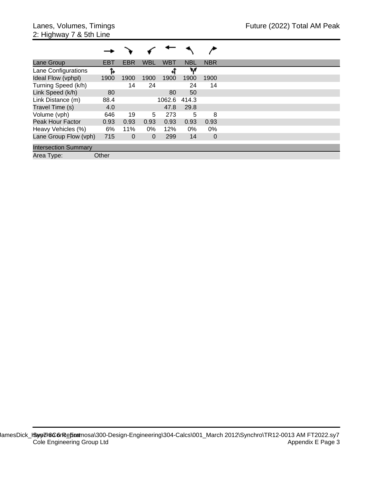| Lane Group                  | <b>EBT</b> | EBR            | <b>WBL</b> | <b>WBT</b> | <b>NBL</b> | <b>NBR</b>     |
|-----------------------------|------------|----------------|------------|------------|------------|----------------|
| Lane Configurations         | Ъ          |                |            |            | w          |                |
| Ideal Flow (vphpl)          | 1900       | 1900           | 1900       | 1900       | 1900       | 1900           |
| Turning Speed (k/h)         |            | 14             | 24         |            | 24         | 14             |
| Link Speed (k/h)            | 80         |                |            | 80         | 50         |                |
| Link Distance (m)           | 88.4       |                |            | 1062.6     | 414.3      |                |
| Travel Time (s)             | 4.0        |                |            | 47.8       | 29.8       |                |
| Volume (vph)                | 646        | 19             | 5          | 273        | 5          | 8              |
| <b>Peak Hour Factor</b>     | 0.93       | 0.93           | 0.93       | 0.93       | 0.93       | 0.93           |
| Heavy Vehicles (%)          | 6%         | 11%            | $0\%$      | 12%        | 0%         | $0\%$          |
| Lane Group Flow (vph)       | 715        | $\overline{0}$ | 0          | 299        | 14         | $\overline{0}$ |
| <b>Intersection Summary</b> |            |                |            |            |            |                |
| Area Type:                  | Other      |                |            |            |            |                |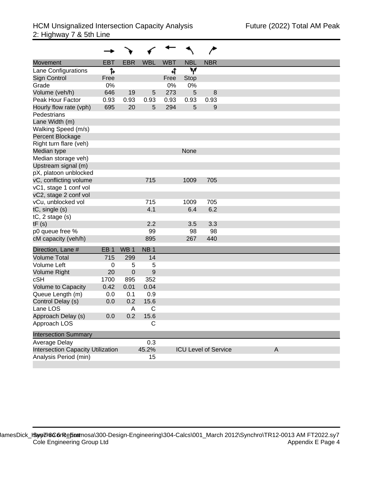| <b>Movement</b>                          | <b>EBT</b>      | <b>EBR</b>      | <b>WBL</b>      | <b>WBT</b> | <b>NBL</b> | <b>NBR</b>                  |   |
|------------------------------------------|-----------------|-----------------|-----------------|------------|------------|-----------------------------|---|
| Lane Configurations                      | ħ               |                 |                 | ची         | v          |                             |   |
| Sign Control                             | Free            |                 |                 | Free       | Stop       |                             |   |
| Grade                                    | 0%              |                 |                 | 0%         | 0%         |                             |   |
| Volume (veh/h)                           | 646             | 19              | 5               | 273        | 5          | 8                           |   |
| Peak Hour Factor                         | 0.93            | 0.93            | 0.93            | 0.93       | 0.93       | 0.93                        |   |
| Hourly flow rate (vph)                   | 695             | 20              | 5               | 294        | 5          | 9                           |   |
| Pedestrians                              |                 |                 |                 |            |            |                             |   |
| Lane Width (m)                           |                 |                 |                 |            |            |                             |   |
| Walking Speed (m/s)                      |                 |                 |                 |            |            |                             |   |
| Percent Blockage                         |                 |                 |                 |            |            |                             |   |
| Right turn flare (veh)                   |                 |                 |                 |            |            |                             |   |
| Median type                              |                 |                 |                 |            | None       |                             |   |
| Median storage veh)                      |                 |                 |                 |            |            |                             |   |
| Upstream signal (m)                      |                 |                 |                 |            |            |                             |   |
| pX, platoon unblocked                    |                 |                 |                 |            |            |                             |   |
| vC, conflicting volume                   |                 |                 | 715             |            | 1009       | 705                         |   |
| vC1, stage 1 conf vol                    |                 |                 |                 |            |            |                             |   |
| vC2, stage 2 conf vol                    |                 |                 |                 |            |            |                             |   |
| vCu, unblocked vol                       |                 |                 | 715             |            | 1009       | 705                         |   |
| tC, single (s)                           |                 |                 | 4.1             |            | 6.4        | 6.2                         |   |
| $tC$ , 2 stage $(s)$                     |                 |                 |                 |            |            |                             |   |
| tF(s)                                    |                 |                 | 2.2             |            | 3.5        | 3.3                         |   |
| p0 queue free %                          |                 |                 | 99              |            | 98         | 98                          |   |
| cM capacity (veh/h)                      |                 |                 | 895             |            | 267        | 440                         |   |
| Direction, Lane #                        | EB <sub>1</sub> | WB <sub>1</sub> | NB <sub>1</sub> |            |            |                             |   |
| <b>Volume Total</b>                      | 715             | 299             | 14              |            |            |                             |   |
| Volume Left                              | $\mathbf 0$     | 5               | 5               |            |            |                             |   |
| <b>Volume Right</b>                      | 20              | $\pmb{0}$       | 9               |            |            |                             |   |
| cSH                                      | 1700            | 895             | 352             |            |            |                             |   |
| Volume to Capacity                       | 0.42            | 0.01            | 0.04            |            |            |                             |   |
| Queue Length (m)                         | 0.0             | 0.1             | 0.9             |            |            |                             |   |
| Control Delay (s)                        | 0.0             | 0.2             | 15.6            |            |            |                             |   |
| Lane LOS                                 |                 | A               | C               |            |            |                             |   |
| Approach Delay (s)                       | 0.0             | 0.2             | 15.6            |            |            |                             |   |
| Approach LOS                             |                 |                 | С               |            |            |                             |   |
| <b>Intersection Summary</b>              |                 |                 |                 |            |            |                             |   |
|                                          |                 |                 |                 |            |            |                             |   |
| Average Delay                            |                 |                 | 0.3             |            |            |                             |   |
| <b>Intersection Capacity Utilization</b> |                 |                 | 45.2%           |            |            | <b>ICU Level of Service</b> | A |
| Analysis Period (min)                    |                 |                 | 15              |            |            |                             |   |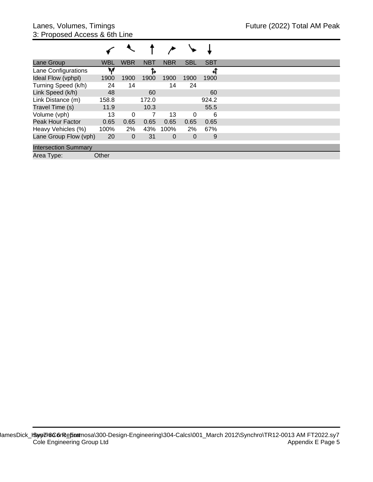| Lane Group                  | WBL   | WBR            | <b>NBT</b> | <b>NBR</b> | <b>SBL</b> | <b>SBT</b> |  |
|-----------------------------|-------|----------------|------------|------------|------------|------------|--|
| Lane Configurations         | w     |                |            |            |            |            |  |
| Ideal Flow (vphpl)          | 1900  | 1900           | 1900       | 1900       | 1900       | 1900       |  |
| Turning Speed (k/h)         | 24    | 14             |            | 14         | 24         |            |  |
| Link Speed (k/h)            | 48    |                | 60         |            |            | 60         |  |
| Link Distance (m)           | 158.8 |                | 172.0      |            |            | 924.2      |  |
| Travel Time (s)             | 11.9  |                | 10.3       |            |            | 55.5       |  |
| Volume (vph)                | 13    | 0              |            | 13         | 0          | 6          |  |
| <b>Peak Hour Factor</b>     | 0.65  | 0.65           | 0.65       | 0.65       | 0.65       | 0.65       |  |
| Heavy Vehicles (%)          | 100%  | 2%             | 43%        | 100%       | 2%         | 67%        |  |
| Lane Group Flow (vph)       | 20    | $\overline{0}$ | 31         | 0          | 0          | 9          |  |
| <b>Intersection Summary</b> |       |                |            |            |            |            |  |
| Area Type:                  | Other |                |            |            |            |            |  |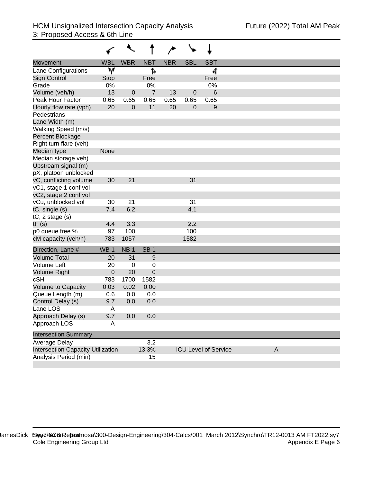| <b>Movement</b>                               | <b>WBL</b>      | <b>WBR</b>      | <b>NBT</b>      | <b>NBR</b> | <b>SBL</b>                  | <b>SBT</b>       |   |
|-----------------------------------------------|-----------------|-----------------|-----------------|------------|-----------------------------|------------------|---|
| Lane Configurations<br>Sign Control           | W<br>Stop       |                 | 1<br>Free       |            |                             | प<br>Free        |   |
| Grade                                         | 0%              |                 | 0%              |            |                             | 0%               |   |
| Volume (veh/h)                                | 13              | $\pmb{0}$       | $\overline{7}$  | 13         | $\pmb{0}$                   | 6                |   |
| Peak Hour Factor                              | 0.65            | 0.65            | 0.65            | 0.65       | 0.65                        | 0.65             |   |
| Hourly flow rate (vph)                        | 20              | $\pmb{0}$       | 11              | 20         | $\pmb{0}$                   | $\boldsymbol{9}$ |   |
| Pedestrians                                   |                 |                 |                 |            |                             |                  |   |
| Lane Width (m)                                |                 |                 |                 |            |                             |                  |   |
| Walking Speed (m/s)                           |                 |                 |                 |            |                             |                  |   |
| Percent Blockage                              |                 |                 |                 |            |                             |                  |   |
| Right turn flare (veh)                        |                 |                 |                 |            |                             |                  |   |
| Median type                                   | None            |                 |                 |            |                             |                  |   |
| Median storage veh)                           |                 |                 |                 |            |                             |                  |   |
| Upstream signal (m)                           |                 |                 |                 |            |                             |                  |   |
| pX, platoon unblocked                         |                 |                 |                 |            |                             |                  |   |
| vC, conflicting volume                        | 30              | 21              |                 |            | 31                          |                  |   |
| vC1, stage 1 conf vol                         |                 |                 |                 |            |                             |                  |   |
| vC2, stage 2 conf vol                         |                 |                 |                 |            |                             |                  |   |
| vCu, unblocked vol                            | 30<br>7.4       | 21<br>6.2       |                 |            | 31<br>4.1                   |                  |   |
| tC, single (s)<br>$tC$ , 2 stage $(s)$        |                 |                 |                 |            |                             |                  |   |
| tF(s)                                         | 4.4             | 3.3             |                 |            | 2.2                         |                  |   |
| p0 queue free %                               | 97              | 100             |                 |            | 100                         |                  |   |
| cM capacity (veh/h)                           | 783             | 1057            |                 |            | 1582                        |                  |   |
|                                               |                 |                 |                 |            |                             |                  |   |
| Direction, Lane #                             | WB <sub>1</sub> | NB <sub>1</sub> | SB <sub>1</sub> |            |                             |                  |   |
| <b>Volume Total</b>                           | 20              | 31              | 9               |            |                             |                  |   |
| Volume Left                                   | 20              | $\mathbf 0$     | 0               |            |                             |                  |   |
| <b>Volume Right</b>                           | $\mathbf 0$     | 20              | 0               |            |                             |                  |   |
| cSH                                           | 783<br>0.03     | 1700            | 1582            |            |                             |                  |   |
| <b>Volume to Capacity</b><br>Queue Length (m) | 0.6             | 0.02<br>0.0     | 0.00<br>0.0     |            |                             |                  |   |
|                                               | 9.7             | 0.0             | 0.0             |            |                             |                  |   |
| Control Delay (s)<br>Lane LOS                 | A               |                 |                 |            |                             |                  |   |
| Approach Delay (s)                            | 9.7             | 0.0             | 0.0             |            |                             |                  |   |
| Approach LOS                                  | A               |                 |                 |            |                             |                  |   |
| <b>Intersection Summary</b>                   |                 |                 |                 |            |                             |                  |   |
| Average Delay                                 |                 |                 | 3.2             |            |                             |                  |   |
| <b>Intersection Capacity Utilization</b>      |                 |                 | 13.3%           |            | <b>ICU Level of Service</b> |                  | A |
| Analysis Period (min)                         |                 |                 | 15              |            |                             |                  |   |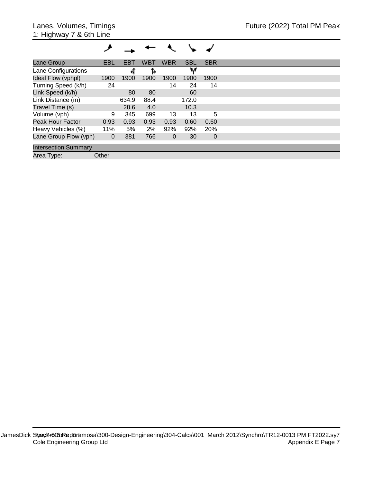## ۸  $\overline{\phantom{a}}$ ╰ ✔

| Lane Group                  | <b>EBL</b>     | <b>EBT</b> | <b>WBT</b> | <b>WBR</b>  | <b>SBL</b> | <b>SBR</b> |  |
|-----------------------------|----------------|------------|------------|-------------|------------|------------|--|
| Lane Configurations         |                | ᆌ          | Ъ          |             | w          |            |  |
| Ideal Flow (vphpl)          | 1900           | 1900       | 1900       | 1900        | 1900       | 1900       |  |
| Turning Speed (k/h)         | 24             |            |            | 14          | 24         | 14         |  |
| Link Speed (k/h)            |                | 80         | 80         |             | 60         |            |  |
| Link Distance (m)           |                | 634.9      | 88.4       |             | 172.0      |            |  |
| Travel Time (s)             |                | 28.6       | 4.0        |             | 10.3       |            |  |
| Volume (vph)                | 9              | 345        | 699        | 13          | 13         | 5          |  |
| <b>Peak Hour Factor</b>     | 0.93           | 0.93       | 0.93       | 0.93        | 0.60       | 0.60       |  |
| Heavy Vehicles (%)          | 11%            | 5%         | 2%         | 92%         | 92%        | 20%        |  |
| Lane Group Flow (vph)       | $\overline{0}$ | 381        | 766        | $\mathbf 0$ | 30         | 0          |  |
| <b>Intersection Summary</b> |                |            |            |             |            |            |  |
|                             |                |            |            |             |            |            |  |
| Area Type:                  | Other          |            |            |             |            |            |  |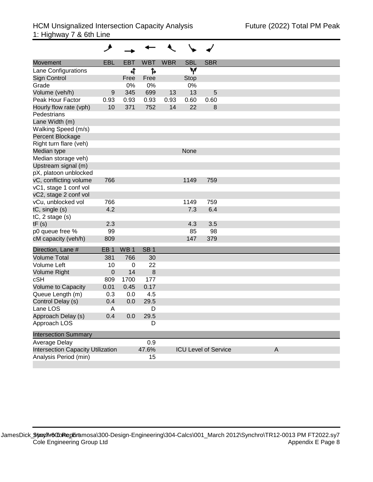| Movement                                 | <b>EBL</b>      | <b>EBT</b>      | <b>WBT</b>       | <b>WBR</b> | <b>SBL</b>  | <b>SBR</b>                  |              |
|------------------------------------------|-----------------|-----------------|------------------|------------|-------------|-----------------------------|--------------|
| Lane Configurations                      |                 | ची              | 1                |            | W           |                             |              |
| Sign Control                             |                 | Free            | Free             |            | <b>Stop</b> |                             |              |
| Grade                                    |                 | 0%              | 0%               |            | 0%          |                             |              |
| Volume (veh/h)                           | $9\,$           | 345             | 699              | 13         | 13          | 5                           |              |
| Peak Hour Factor                         | 0.93            | 0.93            | 0.93             | 0.93       | 0.60        | 0.60                        |              |
| Hourly flow rate (vph)                   | 10              | 371             | 752              | 14         | 22          | 8                           |              |
| Pedestrians                              |                 |                 |                  |            |             |                             |              |
| Lane Width (m)                           |                 |                 |                  |            |             |                             |              |
| Walking Speed (m/s)                      |                 |                 |                  |            |             |                             |              |
| Percent Blockage                         |                 |                 |                  |            |             |                             |              |
| Right turn flare (veh)                   |                 |                 |                  |            |             |                             |              |
| Median type                              |                 |                 |                  |            | None        |                             |              |
| Median storage veh)                      |                 |                 |                  |            |             |                             |              |
| Upstream signal (m)                      |                 |                 |                  |            |             |                             |              |
| pX, platoon unblocked                    |                 |                 |                  |            |             |                             |              |
| vC, conflicting volume                   | 766             |                 |                  |            | 1149        | 759                         |              |
| vC1, stage 1 conf vol                    |                 |                 |                  |            |             |                             |              |
| vC2, stage 2 conf vol                    |                 |                 |                  |            |             |                             |              |
| vCu, unblocked vol                       | 766<br>4.2      |                 |                  |            | 1149        | 759                         |              |
| tC, single (s)                           |                 |                 |                  |            | 7.3         | 6.4                         |              |
| $tC$ , 2 stage $(s)$                     | 2.3             |                 |                  |            | 4.3         | 3.5                         |              |
| tF(s)<br>p0 queue free %                 | 99              |                 |                  |            | 85          | 98                          |              |
| cM capacity (veh/h)                      | 809             |                 |                  |            | 147         | 379                         |              |
|                                          |                 |                 |                  |            |             |                             |              |
| Direction, Lane #                        | EB <sub>1</sub> | WB <sub>1</sub> | SB <sub>1</sub>  |            |             |                             |              |
| <b>Volume Total</b>                      | 381             | 766             | 30               |            |             |                             |              |
| Volume Left                              | 10              | $\mathbf 0$     | 22               |            |             |                             |              |
| Volume Right                             | $\pmb{0}$       | 14              | $\boldsymbol{8}$ |            |             |                             |              |
| cSH                                      | 809             | 1700            | 177              |            |             |                             |              |
| Volume to Capacity                       | 0.01            | 0.45            | 0.17             |            |             |                             |              |
| Queue Length (m)                         | 0.3             | 0.0             | 4.5              |            |             |                             |              |
| Control Delay (s)                        | 0.4             | 0.0             | 29.5             |            |             |                             |              |
| Lane LOS                                 | A               |                 | D                |            |             |                             |              |
| Approach Delay (s)                       | 0.4             | 0.0             | 29.5             |            |             |                             |              |
| Approach LOS                             |                 |                 | D                |            |             |                             |              |
| <b>Intersection Summary</b>              |                 |                 |                  |            |             |                             |              |
| Average Delay                            |                 |                 | 0.9              |            |             |                             |              |
| <b>Intersection Capacity Utilization</b> |                 |                 | 47.6%            |            |             | <b>ICU Level of Service</b> | $\mathsf{A}$ |
| Analysis Period (min)                    |                 |                 | 15               |            |             |                             |              |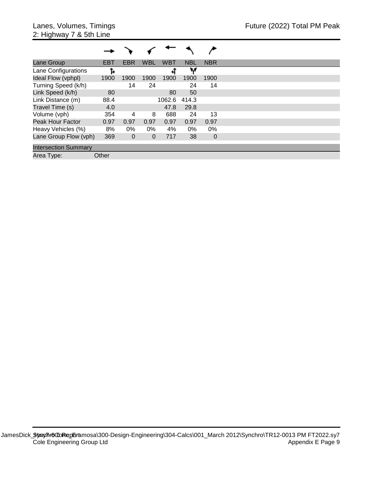| Lane Group                  | EBT   | <b>EBR</b>   | <b>WBL</b>  | WBT    | <b>NBL</b> | <b>NBR</b>     |
|-----------------------------|-------|--------------|-------------|--------|------------|----------------|
| Lane Configurations         | Ъ     |              |             |        | w          |                |
| Ideal Flow (vphpl)          | 1900  | 1900         | 1900        | 1900   | 1900       | 1900           |
| Turning Speed (k/h)         |       | 14           | 24          |        | 24         | 14             |
| Link Speed (k/h)            | 80    |              |             | 80     | 50         |                |
| Link Distance (m)           | 88.4  |              |             | 1062.6 | 414.3      |                |
| Travel Time (s)             | 4.0   |              |             | 47.8   | 29.8       |                |
| Volume (vph)                | 354   | 4            | 8           | 688    | 24         | 13             |
| Peak Hour Factor            | 0.97  | 0.97         | 0.97        | 0.97   | 0.97       | 0.97           |
| Heavy Vehicles (%)          | 8%    | $0\%$        | $0\%$       | 4%     | 0%         | 0%             |
| Lane Group Flow (vph)       | 369   | $\mathbf{0}$ | $\mathbf 0$ | 717    | 38         | $\overline{0}$ |
| <b>Intersection Summary</b> |       |              |             |        |            |                |
| Area Type:                  | Other |              |             |        |            |                |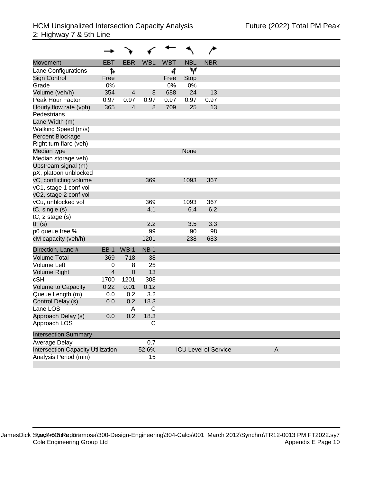| Movement                                 | <b>EBT</b>      | <b>EBR</b>      | <b>WBL</b>      | <b>WBT</b> | <b>NBL</b> | <b>NBR</b>                  |   |
|------------------------------------------|-----------------|-----------------|-----------------|------------|------------|-----------------------------|---|
| Lane Configurations                      | Ъ               |                 |                 | ची         | W          |                             |   |
| Sign Control                             | Free            |                 |                 | Free       | Stop       |                             |   |
| Grade                                    | 0%              |                 |                 | 0%         | 0%         |                             |   |
| Volume (veh/h)                           | 354             | $\overline{4}$  | 8               | 688        | 24         | 13                          |   |
| Peak Hour Factor                         | 0.97            | 0.97            | 0.97            | 0.97       | 0.97       | 0.97                        |   |
| Hourly flow rate (vph)                   | 365             | $\overline{4}$  | 8               | 709        | 25         | 13                          |   |
| Pedestrians                              |                 |                 |                 |            |            |                             |   |
| Lane Width (m)                           |                 |                 |                 |            |            |                             |   |
| Walking Speed (m/s)                      |                 |                 |                 |            |            |                             |   |
| Percent Blockage                         |                 |                 |                 |            |            |                             |   |
| Right turn flare (veh)                   |                 |                 |                 |            |            |                             |   |
| Median type                              |                 |                 |                 |            | None       |                             |   |
| Median storage veh)                      |                 |                 |                 |            |            |                             |   |
| Upstream signal (m)                      |                 |                 |                 |            |            |                             |   |
| pX, platoon unblocked                    |                 |                 |                 |            |            |                             |   |
| vC, conflicting volume                   |                 |                 | 369             |            | 1093       | 367                         |   |
| vC1, stage 1 conf vol                    |                 |                 |                 |            |            |                             |   |
| vC2, stage 2 conf vol                    |                 |                 |                 |            |            |                             |   |
| vCu, unblocked vol                       |                 |                 | 369             |            | 1093       | 367                         |   |
| tC, single (s)                           |                 |                 | 4.1             |            | 6.4        | 6.2                         |   |
| $tC$ , 2 stage $(s)$                     |                 |                 |                 |            |            |                             |   |
| tF(s)                                    |                 |                 | 2.2             |            | 3.5        | 3.3                         |   |
| p0 queue free %                          |                 |                 | 99              |            | 90         | 98                          |   |
| cM capacity (veh/h)                      |                 |                 | 1201            |            | 238        | 683                         |   |
| Direction, Lane #                        | EB <sub>1</sub> | WB <sub>1</sub> | NB <sub>1</sub> |            |            |                             |   |
| <b>Volume Total</b>                      | 369             | 718             | 38              |            |            |                             |   |
| Volume Left                              | 0               | 8               | 25              |            |            |                             |   |
| <b>Volume Right</b>                      | $\overline{4}$  | $\pmb{0}$       | 13              |            |            |                             |   |
| cSH                                      | 1700            | 1201            | 308             |            |            |                             |   |
| Volume to Capacity                       | 0.22            | 0.01            | 0.12            |            |            |                             |   |
| Queue Length (m)                         | 0.0             | 0.2             | 3.2             |            |            |                             |   |
| Control Delay (s)                        | 0.0             | 0.2             | 18.3            |            |            |                             |   |
| Lane LOS                                 |                 | Α               | C               |            |            |                             |   |
| Approach Delay (s)                       | 0.0             | 0.2             | 18.3            |            |            |                             |   |
| Approach LOS                             |                 |                 | C               |            |            |                             |   |
| <b>Intersection Summary</b>              |                 |                 |                 |            |            |                             |   |
| Average Delay                            |                 |                 | 0.7             |            |            |                             |   |
| <b>Intersection Capacity Utilization</b> |                 |                 | 52.6%           |            |            | <b>ICU Level of Service</b> | A |
| Analysis Period (min)                    |                 |                 | 15              |            |            |                             |   |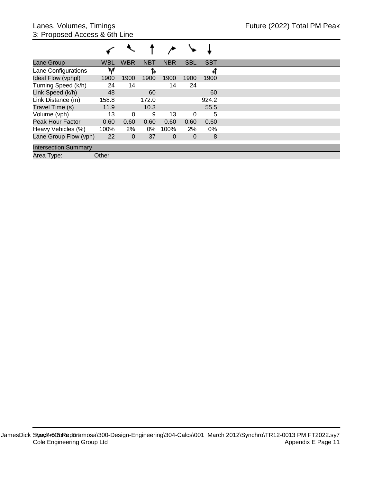| Lane Group                  | <b>WBL</b> | <b>WBR</b>     | <b>NBT</b> | <b>NBR</b> | <b>SBL</b>  | <b>SBT</b> |
|-----------------------------|------------|----------------|------------|------------|-------------|------------|
| Lane Configurations         | w          |                |            |            |             | ๚          |
| Ideal Flow (vphpl)          | 1900       | 1900           | 1900       | 1900       | 1900        | 1900       |
| Turning Speed (k/h)         | 24         | 14             |            | 14         | 24          |            |
| Link Speed (k/h)            | 48         |                | 60         |            |             | 60         |
| Link Distance (m)           | 158.8      |                | 172.0      |            |             | 924.2      |
| Travel Time (s)             | 11.9       |                | 10.3       |            |             | 55.5       |
| Volume (vph)                | 13         | 0              | 9          | 13         | 0           | 5          |
| Peak Hour Factor            | 0.60       | 0.60           | 0.60       | 0.60       | 0.60        | 0.60       |
| Heavy Vehicles (%)          | 100%       | 2%             | 0%         | 100%       | 2%          | 0%         |
| Lane Group Flow (vph)       | 22         | $\overline{0}$ | 37         | 0          | $\mathbf 0$ | 8          |
| <b>Intersection Summary</b> |            |                |            |            |             |            |
| Area Type:                  | Other      |                |            |            |             |            |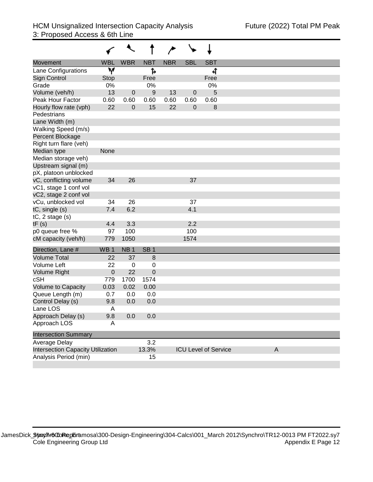| <b>Movement</b>                          | <b>WBL</b>      | <b>WBR</b>      | <b>NBT</b> | <b>NBR</b> | <b>SBL</b>     | <b>SBT</b>                  |   |
|------------------------------------------|-----------------|-----------------|------------|------------|----------------|-----------------------------|---|
| Lane Configurations                      | W               |                 | Ъ          |            |                | ची                          |   |
| <b>Sign Control</b>                      | <b>Stop</b>     |                 | Free       |            |                | Free                        |   |
| Grade                                    | 0%              |                 | 0%         |            |                | 0%                          |   |
| Volume (veh/h)                           | 13              | $\mathbf 0$     | $9$        | 13         | $\mathbf 0$    | 5                           |   |
| Peak Hour Factor                         | 0.60            | 0.60            | 0.60       | 0.60       | 0.60           | 0.60                        |   |
| Hourly flow rate (vph)                   | 22              | $\pmb{0}$       | 15         | 22         | $\overline{0}$ | 8                           |   |
| Pedestrians                              |                 |                 |            |            |                |                             |   |
| Lane Width (m)                           |                 |                 |            |            |                |                             |   |
| Walking Speed (m/s)                      |                 |                 |            |            |                |                             |   |
| <b>Percent Blockage</b>                  |                 |                 |            |            |                |                             |   |
| Right turn flare (veh)                   |                 |                 |            |            |                |                             |   |
| Median type                              | None            |                 |            |            |                |                             |   |
| Median storage veh)                      |                 |                 |            |            |                |                             |   |
| Upstream signal (m)                      |                 |                 |            |            |                |                             |   |
| pX, platoon unblocked                    |                 |                 |            |            |                |                             |   |
| vC, conflicting volume                   | 34              | 26              |            |            | 37             |                             |   |
| vC1, stage 1 conf vol                    |                 |                 |            |            |                |                             |   |
| vC2, stage 2 conf vol                    |                 |                 |            |            |                |                             |   |
| vCu, unblocked vol                       | 34              | 26              |            |            | 37             |                             |   |
| tC, single (s)                           | 7.4             | 6.2             |            |            | 4.1            |                             |   |
| $tC$ , 2 stage $(s)$                     |                 |                 |            |            |                |                             |   |
| tF(s)                                    | 4.4             | 3.3             |            |            | 2.2            |                             |   |
| p0 queue free %                          | 97              | 100             |            |            | 100            |                             |   |
| cM capacity (veh/h)                      | 779             | 1050            |            |            | 1574           |                             |   |
| Direction, Lane #                        | WB <sub>1</sub> | NB <sub>1</sub> | <b>SB1</b> |            |                |                             |   |
| <b>Volume Total</b>                      | 22              | 37              | 8          |            |                |                             |   |
| Volume Left                              | 22              | $\mathbf 0$     | 0          |            |                |                             |   |
| <b>Volume Right</b>                      | $\mathbf 0$     | 22              | 0          |            |                |                             |   |
| cSH                                      | 779             | 1700            | 1574       |            |                |                             |   |
| Volume to Capacity                       | 0.03            | 0.02            | 0.00       |            |                |                             |   |
| Queue Length (m)                         | 0.7             | 0.0             | 0.0        |            |                |                             |   |
| Control Delay (s)                        | 9.8             | 0.0             | 0.0        |            |                |                             |   |
| Lane LOS                                 | A               |                 |            |            |                |                             |   |
| Approach Delay (s)                       | 9.8             | 0.0             | 0.0        |            |                |                             |   |
| Approach LOS                             | A               |                 |            |            |                |                             |   |
| <b>Intersection Summary</b>              |                 |                 |            |            |                |                             |   |
| Average Delay                            |                 |                 | 3.2        |            |                |                             |   |
| <b>Intersection Capacity Utilization</b> |                 |                 | 13.3%      |            |                | <b>ICU Level of Service</b> | A |
| Analysis Period (min)                    |                 |                 | 15         |            |                |                             |   |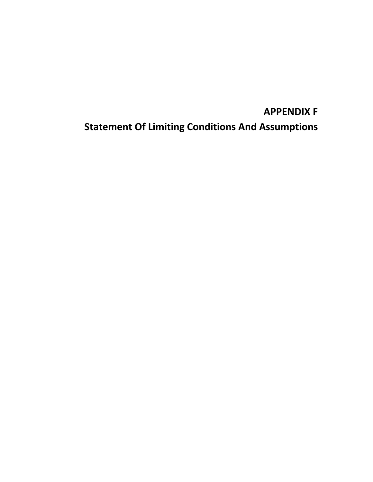## **APPENDIX F Statement Of Limiting Conditions And Assumptions**